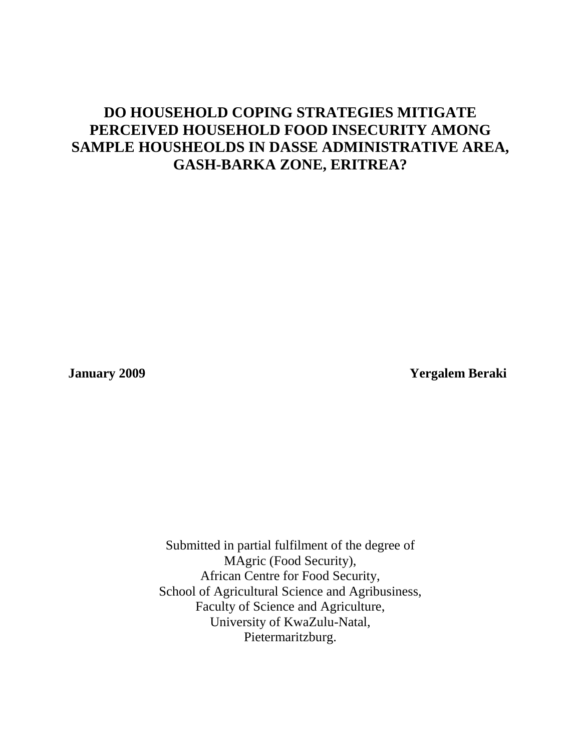# **DO HOUSEHOLD COPING STRATEGIES MITIGATE PERCEIVED HOUSEHOLD FOOD INSECURITY AMONG SAMPLE HOUSHEOLDS IN DASSE ADMINISTRATIVE AREA, GASH-BARKA ZONE, ERITREA?**

**January 2009 Yergalem Beraki**

Submitted in partial fulfilment of the degree of MAgric (Food Security), African Centre for Food Security, School of Agricultural Science and Agribusiness, Faculty of Science and Agriculture, University of KwaZulu-Natal, Pietermaritzburg.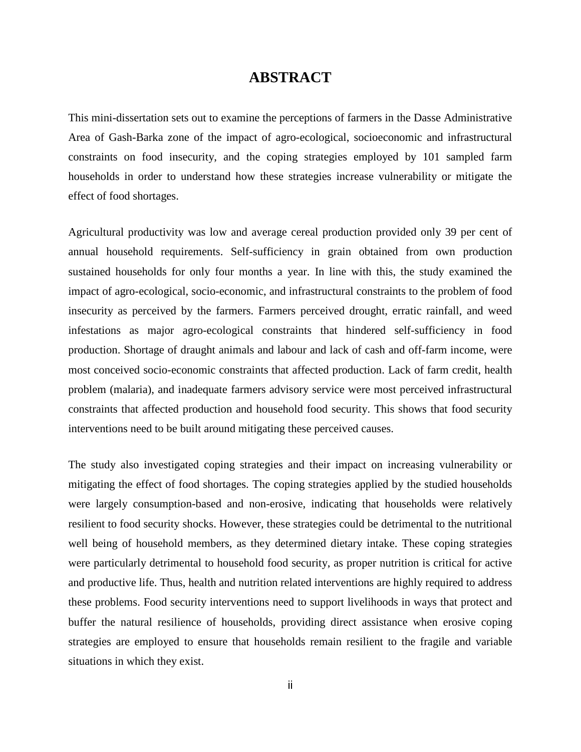## **ABSTRACT**

This mini-dissertation sets out to examine the perceptions of farmers in the Dasse Administrative Area of Gash-Barka zone of the impact of agro-ecological, socioeconomic and infrastructural constraints on food insecurity, and the coping strategies employed by 101 sampled farm households in order to understand how these strategies increase vulnerability or mitigate the effect of food shortages.

Agricultural productivity was low and average cereal production provided only 39 per cent of annual household requirements. Self-sufficiency in grain obtained from own production sustained households for only four months a year. In line with this, the study examined the impact of agro-ecological, socio-economic, and infrastructural constraints to the problem of food insecurity as perceived by the farmers. Farmers perceived drought, erratic rainfall, and weed infestations as major agro-ecological constraints that hindered self-sufficiency in food production. Shortage of draught animals and labour and lack of cash and off-farm income, were most conceived socio-economic constraints that affected production. Lack of farm credit, health problem (malaria), and inadequate farmers advisory service were most perceived infrastructural constraints that affected production and household food security. This shows that food security interventions need to be built around mitigating these perceived causes.

The study also investigated coping strategies and their impact on increasing vulnerability or mitigating the effect of food shortages. The coping strategies applied by the studied households were largely consumption-based and non-erosive, indicating that households were relatively resilient to food security shocks. However, these strategies could be detrimental to the nutritional well being of household members, as they determined dietary intake. These coping strategies were particularly detrimental to household food security, as proper nutrition is critical for active and productive life. Thus, health and nutrition related interventions are highly required to address these problems. Food security interventions need to support livelihoods in ways that protect and buffer the natural resilience of households, providing direct assistance when erosive coping strategies are employed to ensure that households remain resilient to the fragile and variable situations in which they exist.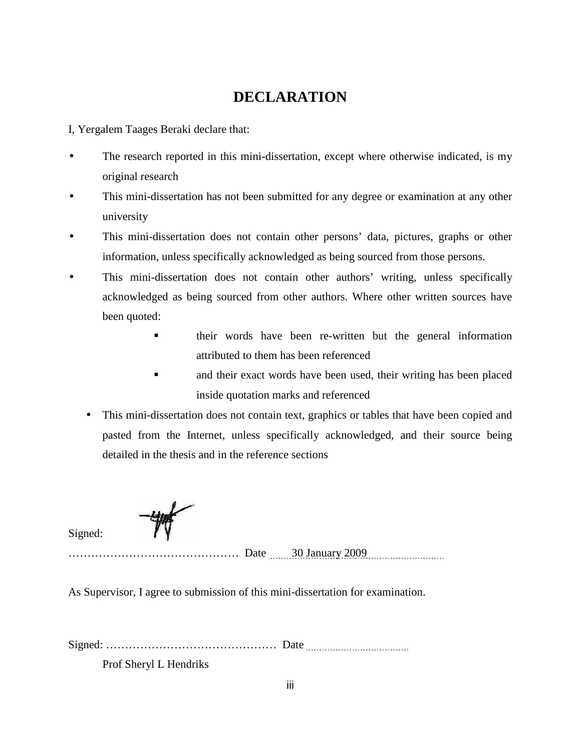# **DECLARATION**

I, Yergalem Taages Beraki declare that:

- The research reported in this mini-dissertation, except where otherwise indicated, is my original research
- This mini-dissertation has not been submitted for any degree or examination at any other university
- This mini-dissertation does not contain other persons' data, pictures, graphs or other information, unless specifically acknowledged as being sourced from those persons.
- This mini-dissertation does not contain other authors' writing, unless specifically acknowledged as being sourced from other authors. Where other written sources have been quoted:
	- their words have been re-written but the general information attributed to them has been referenced
	- and their exact words have been used, their writing has been placed inside quotation marks and referenced
	- This mini-dissertation does not contain text, graphics or tables that have been copied and pasted from the Internet, unless specifically acknowledged, and their source being detailed in the thesis and in the reference sections

Signed:

……………………………………… Date 30 January 2009

As Supervisor, I agree to submission of this mini-dissertation for examination.

Signed: ……………………………………… Date

Prof Sheryl L Hendriks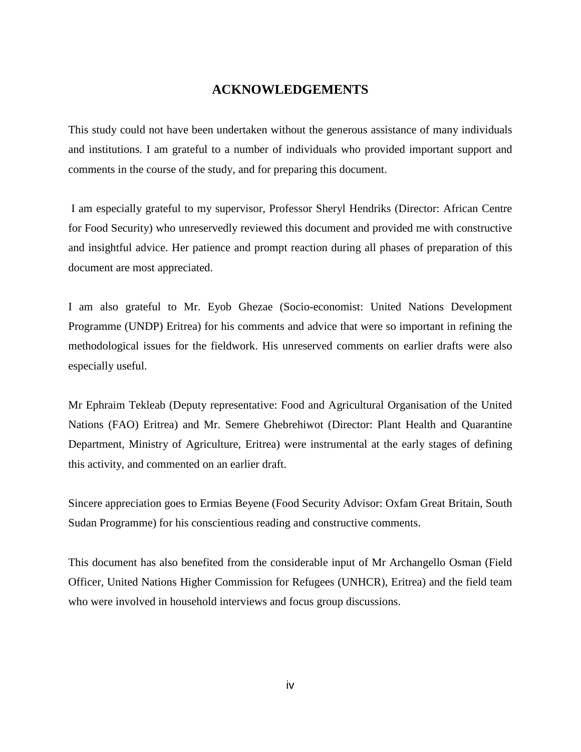## **ACKNOWLEDGEMENTS**

This study could not have been undertaken without the generous assistance of many individuals and institutions. I am grateful to a number of individuals who provided important support and comments in the course of the study, and for preparing this document.

 I am especially grateful to my supervisor, Professor Sheryl Hendriks (Director: African Centre for Food Security) who unreservedly reviewed this document and provided me with constructive and insightful advice. Her patience and prompt reaction during all phases of preparation of this document are most appreciated.

I am also grateful to Mr. Eyob Ghezae (Socio-economist: United Nations Development Programme (UNDP) Eritrea) for his comments and advice that were so important in refining the methodological issues for the fieldwork. His unreserved comments on earlier drafts were also especially useful.

Mr Ephraim Tekleab (Deputy representative: Food and Agricultural Organisation of the United Nations (FAO) Eritrea) and Mr. Semere Ghebrehiwot (Director: Plant Health and Quarantine Department, Ministry of Agriculture, Eritrea) were instrumental at the early stages of defining this activity, and commented on an earlier draft.

Sincere appreciation goes to Ermias Beyene (Food Security Advisor: Oxfam Great Britain, South Sudan Programme) for his conscientious reading and constructive comments.

This document has also benefited from the considerable input of Mr Archangello Osman (Field Officer, United Nations Higher Commission for Refugees (UNHCR), Eritrea) and the field team who were involved in household interviews and focus group discussions.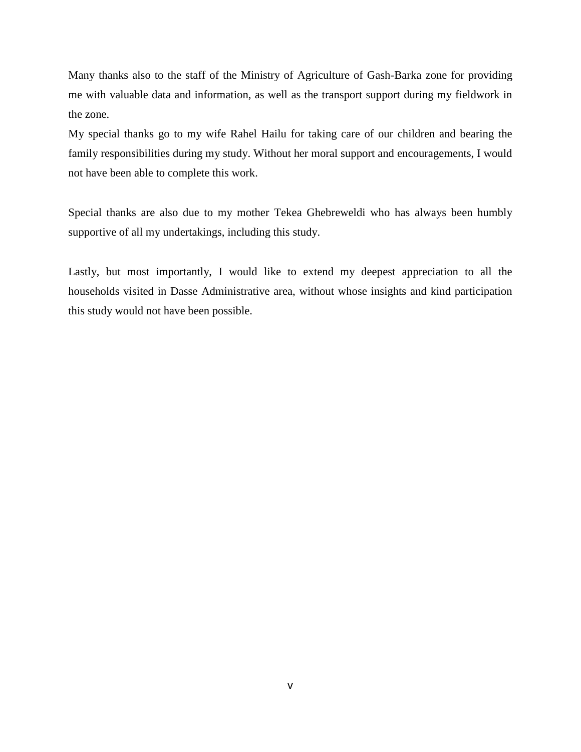Many thanks also to the staff of the Ministry of Agriculture of Gash-Barka zone for providing me with valuable data and information, as well as the transport support during my fieldwork in the zone.

My special thanks go to my wife Rahel Hailu for taking care of our children and bearing the family responsibilities during my study. Without her moral support and encouragements, I would not have been able to complete this work.

Special thanks are also due to my mother Tekea Ghebreweldi who has always been humbly supportive of all my undertakings, including this study.

Lastly, but most importantly, I would like to extend my deepest appreciation to all the households visited in Dasse Administrative area, without whose insights and kind participation this study would not have been possible.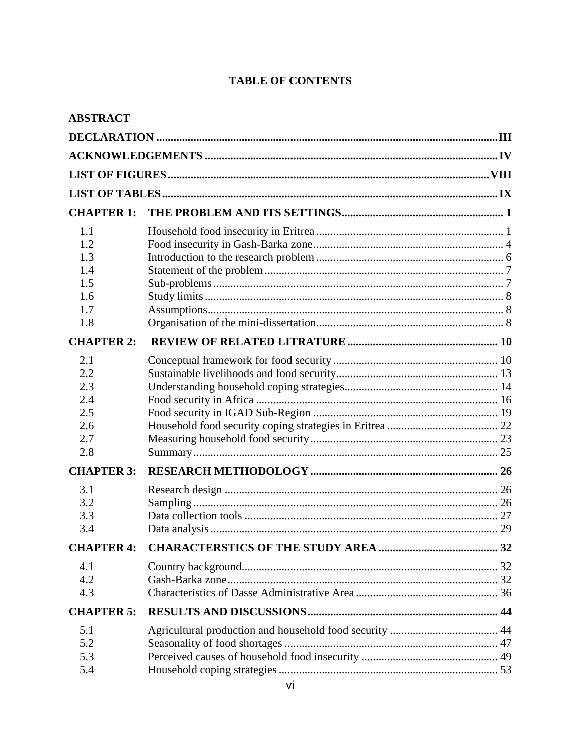## **TABLE OF CONTENTS**

| <b>ABSTRACT</b>                                      |  |
|------------------------------------------------------|--|
|                                                      |  |
|                                                      |  |
|                                                      |  |
|                                                      |  |
| <b>CHAPTER 1:</b>                                    |  |
| 1.1<br>1.2<br>1.3<br>1.4<br>1.5<br>1.6<br>1.7<br>1.8 |  |
| <b>CHAPTER 2:</b>                                    |  |
| 2.1<br>2.2<br>2.3<br>2.4<br>2.5<br>2.6<br>2.7<br>2.8 |  |
| <b>CHAPTER 3:</b>                                    |  |
| 3.1<br>3.2<br>3.3<br>3.4                             |  |
| <b>CHAPTER 4:</b>                                    |  |
| 4.1<br>4.2<br>4.3                                    |  |
| <b>CHAPTER 5:</b>                                    |  |
| 5.1<br>5.2<br>5.3<br>5.4                             |  |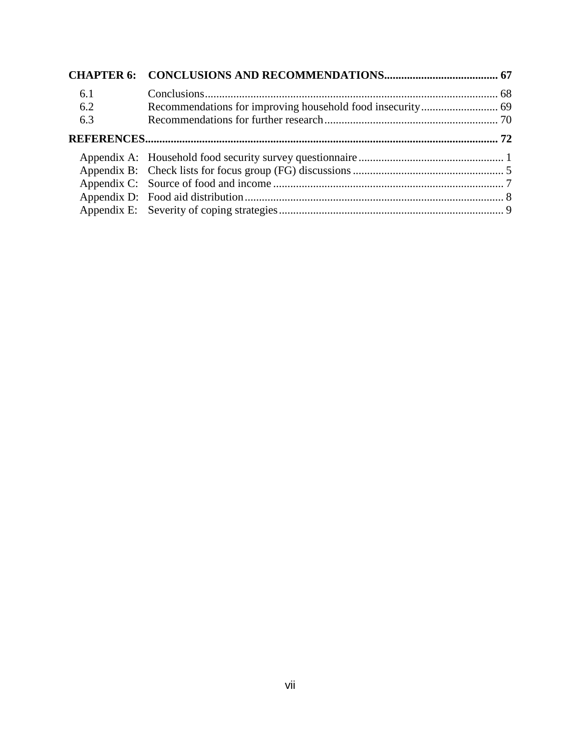| 6.1 |  |
|-----|--|
| 6.2 |  |
| 6.3 |  |
|     |  |
|     |  |
|     |  |
|     |  |
|     |  |
|     |  |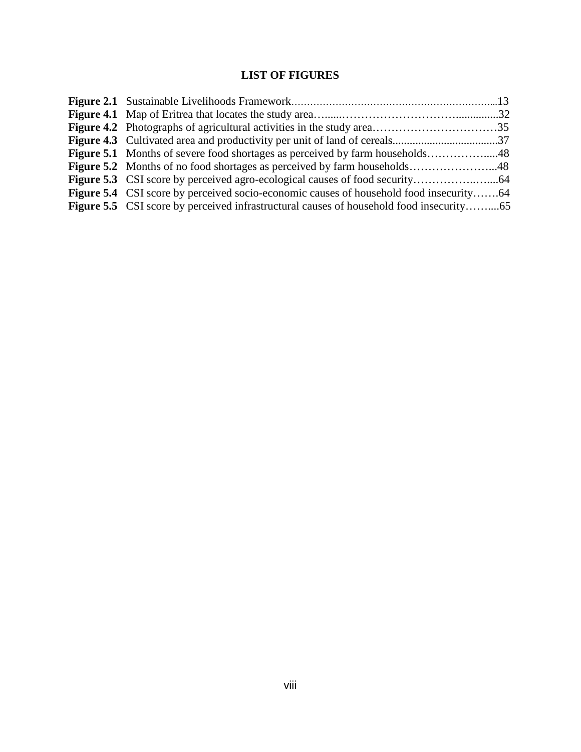## **LIST OF FIGURES**

| <b>Figure 5.4</b> CSI score by perceived socio-economic causes of household food insecurity64 |  |
|-----------------------------------------------------------------------------------------------|--|
|                                                                                               |  |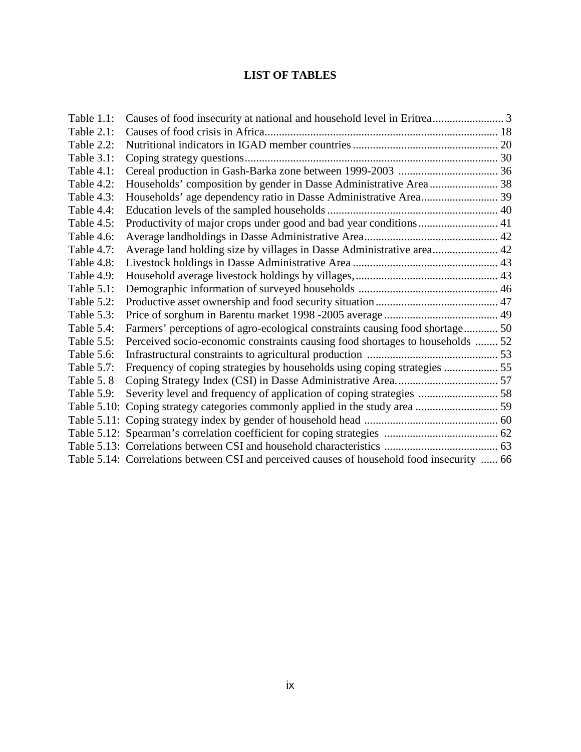## **LIST OF TABLES**

| Table 1.1:        |                                                                                            |  |
|-------------------|--------------------------------------------------------------------------------------------|--|
| Table 2.1:        |                                                                                            |  |
| Table 2.2:        |                                                                                            |  |
| Table 3.1:        |                                                                                            |  |
| <b>Table 4.1:</b> |                                                                                            |  |
| Table 4.2:        | Households' composition by gender in Dasse Administrative Area 38                          |  |
| Table $4.3$ :     |                                                                                            |  |
| Table 4.4:        |                                                                                            |  |
| Table 4.5:        | Productivity of major crops under good and bad year conditions 41                          |  |
| Table 4.6:        |                                                                                            |  |
| Table 4.7:        | Average land holding size by villages in Dasse Administrative area 42                      |  |
| Table 4.8:        |                                                                                            |  |
| Table 4.9:        |                                                                                            |  |
| Table 5.1:        |                                                                                            |  |
| Table 5.2:        |                                                                                            |  |
| Table 5.3:        |                                                                                            |  |
| Table 5.4:        | Farmers' perceptions of agro-ecological constraints causing food shortage 50               |  |
| Table 5.5:        | Perceived socio-economic constraints causing food shortages to households  52              |  |
| Table 5.6:        |                                                                                            |  |
| Table 5.7:        | Frequency of coping strategies by households using coping strategies  55                   |  |
| Table 5.8         |                                                                                            |  |
| Table 5.9:        | Severity level and frequency of application of coping strategies  58                       |  |
|                   | Table 5.10: Coping strategy categories commonly applied in the study area  59              |  |
|                   |                                                                                            |  |
|                   |                                                                                            |  |
|                   |                                                                                            |  |
|                   | Table 5.14: Correlations between CSI and perceived causes of household food insecurity  66 |  |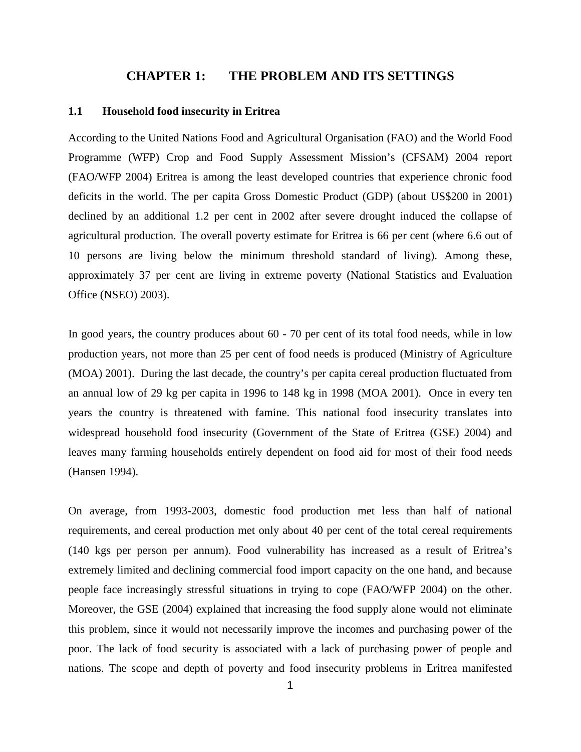## **CHAPTER 1: THE PROBLEM AND ITS SETTINGS**

## **1.1 Household food insecurity in Eritrea**

According to the United Nations Food and Agricultural Organisation (FAO) and the World Food Programme (WFP) Crop and Food Supply Assessment Mission's (CFSAM) 2004 report (FAO/WFP 2004) Eritrea is among the least developed countries that experience chronic food deficits in the world. The per capita Gross Domestic Product (GDP) (about US\$200 in 2001) declined by an additional 1.2 per cent in 2002 after severe drought induced the collapse of agricultural production. The overall poverty estimate for Eritrea is 66 per cent (where 6.6 out of 10 persons are living below the minimum threshold standard of living). Among these, approximately 37 per cent are living in extreme poverty (National Statistics and Evaluation Office (NSEO) 2003).

In good years, the country produces about 60 - 70 per cent of its total food needs, while in low production years, not more than 25 per cent of food needs is produced (Ministry of Agriculture (MOA) 2001). During the last decade, the country's per capita cereal production fluctuated from an annual low of 29 kg per capita in 1996 to 148 kg in 1998 (MOA 2001). Once in every ten years the country is threatened with famine. This national food insecurity translates into widespread household food insecurity (Government of the State of Eritrea (GSE) 2004) and leaves many farming households entirely dependent on food aid for most of their food needs (Hansen 1994).

On average, from 1993-2003, domestic food production met less than half of national requirements, and cereal production met only about 40 per cent of the total cereal requirements (140 kgs per person per annum). Food vulnerability has increased as a result of Eritrea's extremely limited and declining commercial food import capacity on the one hand, and because people face increasingly stressful situations in trying to cope (FAO/WFP 2004) on the other. Moreover, the GSE (2004) explained that increasing the food supply alone would not eliminate this problem, since it would not necessarily improve the incomes and purchasing power of the poor. The lack of food security is associated with a lack of purchasing power of people and nations. The scope and depth of poverty and food insecurity problems in Eritrea manifested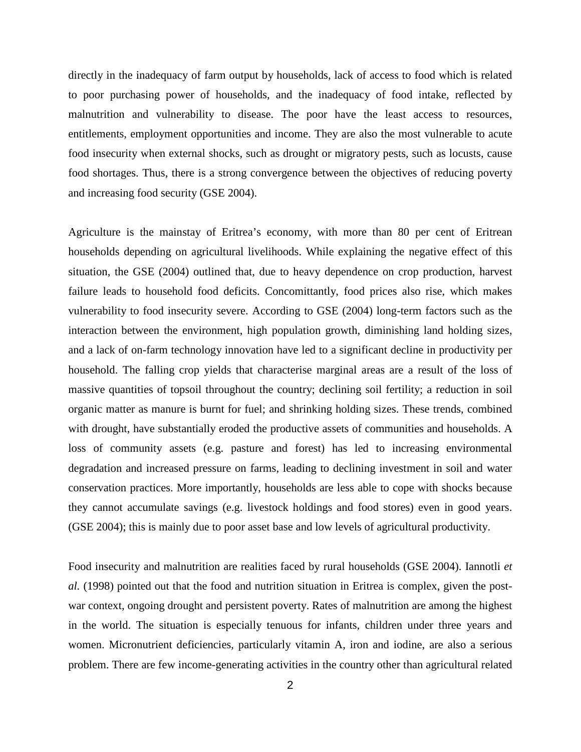directly in the inadequacy of farm output by households, lack of access to food which is related to poor purchasing power of households, and the inadequacy of food intake, reflected by malnutrition and vulnerability to disease. The poor have the least access to resources, entitlements, employment opportunities and income. They are also the most vulnerable to acute food insecurity when external shocks, such as drought or migratory pests, such as locusts, cause food shortages. Thus, there is a strong convergence between the objectives of reducing poverty and increasing food security (GSE 2004).

Agriculture is the mainstay of Eritrea's economy, with more than 80 per cent of Eritrean households depending on agricultural livelihoods. While explaining the negative effect of this situation, the GSE (2004) outlined that, due to heavy dependence on crop production, harvest failure leads to household food deficits. Concomittantly, food prices also rise, which makes vulnerability to food insecurity severe. According to GSE (2004) long-term factors such as the interaction between the environment, high population growth, diminishing land holding sizes, and a lack of on-farm technology innovation have led to a significant decline in productivity per household. The falling crop yields that characterise marginal areas are a result of the loss of massive quantities of topsoil throughout the country; declining soil fertility; a reduction in soil organic matter as manure is burnt for fuel; and shrinking holding sizes. These trends, combined with drought, have substantially eroded the productive assets of communities and households. A loss of community assets (e.g. pasture and forest) has led to increasing environmental degradation and increased pressure on farms, leading to declining investment in soil and water conservation practices. More importantly, households are less able to cope with shocks because they cannot accumulate savings (e.g. livestock holdings and food stores) even in good years. (GSE 2004); this is mainly due to poor asset base and low levels of agricultural productivity.

Food insecurity and malnutrition are realities faced by rural households (GSE 2004). Iannotli *et al.* (1998) pointed out that the food and nutrition situation in Eritrea is complex, given the postwar context, ongoing drought and persistent poverty. Rates of malnutrition are among the highest in the world. The situation is especially tenuous for infants, children under three years and women. Micronutrient deficiencies, particularly vitamin A, iron and iodine, are also a serious problem. There are few income-generating activities in the country other than agricultural related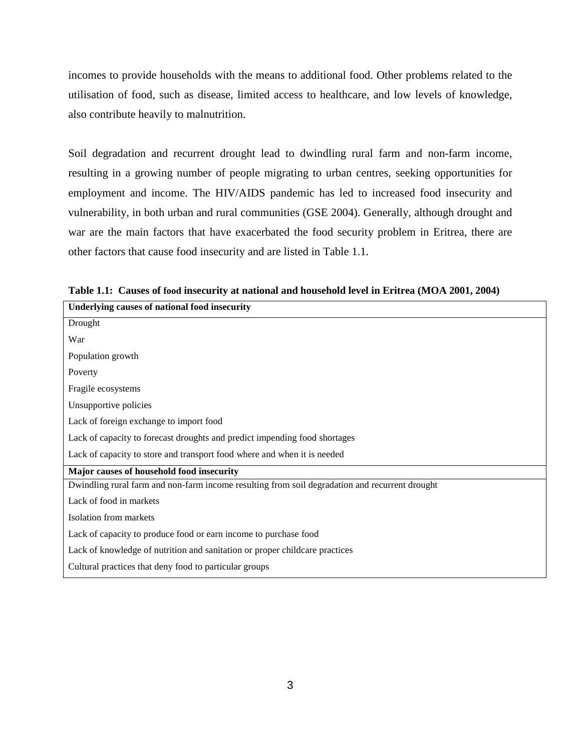incomes to provide households with the means to additional food. Other problems related to the utilisation of food, such as disease, limited access to healthcare, and low levels of knowledge, also contribute heavily to malnutrition.

Soil degradation and recurrent drought lead to dwindling rural farm and non-farm income, resulting in a growing number of people migrating to urban centres, seeking opportunities for employment and income. The HIV/AIDS pandemic has led to increased food insecurity and vulnerability, in both urban and rural communities (GSE 2004). Generally, although drought and war are the main factors that have exacerbated the food security problem in Eritrea, there are other factors that cause food insecurity and are listed in Table 1.1.

**Table 1.1: Causes of food insecurity at national and household level in Eritrea (MOA 2001, 2004)** 

| Underlying causes of national food insecurity                                                  |  |  |  |  |
|------------------------------------------------------------------------------------------------|--|--|--|--|
| Drought                                                                                        |  |  |  |  |
| War                                                                                            |  |  |  |  |
| Population growth                                                                              |  |  |  |  |
| Poverty                                                                                        |  |  |  |  |
| Fragile ecosystems                                                                             |  |  |  |  |
| Unsupportive policies                                                                          |  |  |  |  |
| Lack of foreign exchange to import food                                                        |  |  |  |  |
| Lack of capacity to forecast droughts and predict impending food shortages                     |  |  |  |  |
| Lack of capacity to store and transport food where and when it is needed                       |  |  |  |  |
| Major causes of household food insecurity                                                      |  |  |  |  |
| Dwindling rural farm and non-farm income resulting from soil degradation and recurrent drought |  |  |  |  |
| Lack of food in markets                                                                        |  |  |  |  |
| Isolation from markets                                                                         |  |  |  |  |
| Lack of capacity to produce food or earn income to purchase food                               |  |  |  |  |
| Lack of knowledge of nutrition and sanitation or proper childcare practices                    |  |  |  |  |
| Cultural practices that deny food to particular groups                                         |  |  |  |  |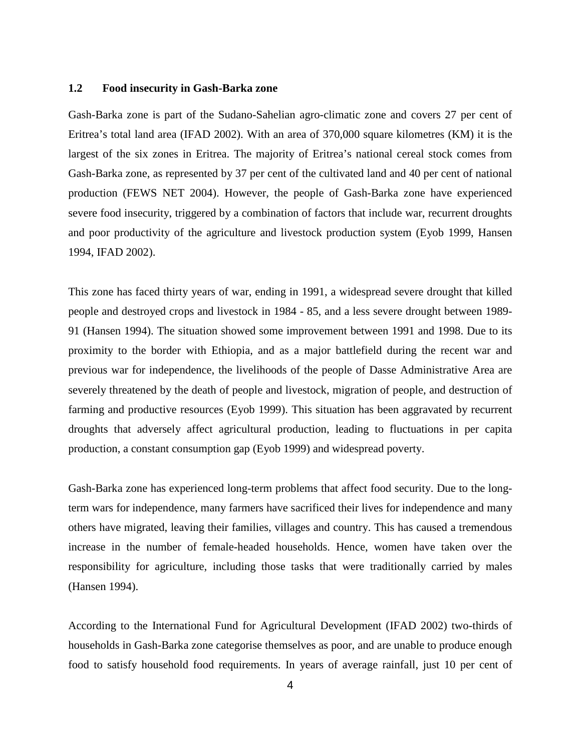#### **1.2 Food insecurity in Gash-Barka zone**

Gash-Barka zone is part of the Sudano-Sahelian agro-climatic zone and covers 27 per cent of Eritrea's total land area (IFAD 2002). With an area of 370,000 square kilometres (KM) it is the largest of the six zones in Eritrea. The majority of Eritrea's national cereal stock comes from Gash-Barka zone, as represented by 37 per cent of the cultivated land and 40 per cent of national production (FEWS NET 2004). However, the people of Gash-Barka zone have experienced severe food insecurity, triggered by a combination of factors that include war, recurrent droughts and poor productivity of the agriculture and livestock production system (Eyob 1999, Hansen 1994, IFAD 2002).

This zone has faced thirty years of war, ending in 1991, a widespread severe drought that killed people and destroyed crops and livestock in 1984 - 85, and a less severe drought between 1989- 91 (Hansen 1994). The situation showed some improvement between 1991 and 1998. Due to its proximity to the border with Ethiopia, and as a major battlefield during the recent war and previous war for independence, the livelihoods of the people of Dasse Administrative Area are severely threatened by the death of people and livestock, migration of people, and destruction of farming and productive resources (Eyob 1999). This situation has been aggravated by recurrent droughts that adversely affect agricultural production, leading to fluctuations in per capita production, a constant consumption gap (Eyob 1999) and widespread poverty.

Gash-Barka zone has experienced long-term problems that affect food security. Due to the longterm wars for independence, many farmers have sacrificed their lives for independence and many others have migrated, leaving their families, villages and country. This has caused a tremendous increase in the number of female-headed households. Hence, women have taken over the responsibility for agriculture, including those tasks that were traditionally carried by males (Hansen 1994).

According to the International Fund for Agricultural Development (IFAD 2002) two-thirds of households in Gash-Barka zone categorise themselves as poor, and are unable to produce enough food to satisfy household food requirements. In years of average rainfall, just 10 per cent of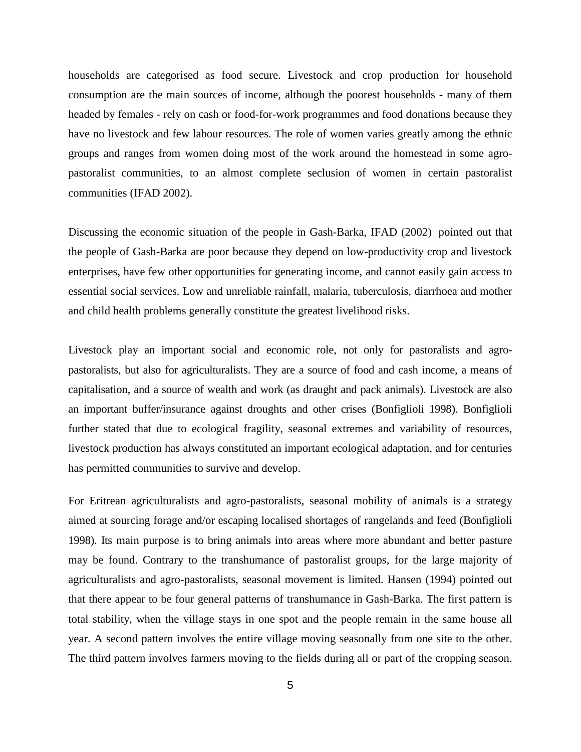households are categorised as food secure. Livestock and crop production for household consumption are the main sources of income, although the poorest households - many of them headed by females - rely on cash or food-for-work programmes and food donations because they have no livestock and few labour resources. The role of women varies greatly among the ethnic groups and ranges from women doing most of the work around the homestead in some agropastoralist communities, to an almost complete seclusion of women in certain pastoralist communities (IFAD 2002).

Discussing the economic situation of the people in Gash-Barka, IFAD (2002) pointed out that the people of Gash-Barka are poor because they depend on low-productivity crop and livestock enterprises, have few other opportunities for generating income, and cannot easily gain access to essential social services. Low and unreliable rainfall, malaria, tuberculosis, diarrhoea and mother and child health problems generally constitute the greatest livelihood risks.

Livestock play an important social and economic role, not only for pastoralists and agropastoralists, but also for agriculturalists. They are a source of food and cash income, a means of capitalisation, and a source of wealth and work (as draught and pack animals). Livestock are also an important buffer/insurance against droughts and other crises (Bonfiglioli 1998). Bonfiglioli further stated that due to ecological fragility, seasonal extremes and variability of resources, livestock production has always constituted an important ecological adaptation, and for centuries has permitted communities to survive and develop.

For Eritrean agriculturalists and agro-pastoralists, seasonal mobility of animals is a strategy aimed at sourcing forage and/or escaping localised shortages of rangelands and feed (Bonfiglioli 1998). Its main purpose is to bring animals into areas where more abundant and better pasture may be found. Contrary to the transhumance of pastoralist groups, for the large majority of agriculturalists and agro-pastoralists, seasonal movement is limited. Hansen (1994) pointed out that there appear to be four general patterns of transhumance in Gash-Barka. The first pattern is total stability, when the village stays in one spot and the people remain in the same house all year. A second pattern involves the entire village moving seasonally from one site to the other. The third pattern involves farmers moving to the fields during all or part of the cropping season.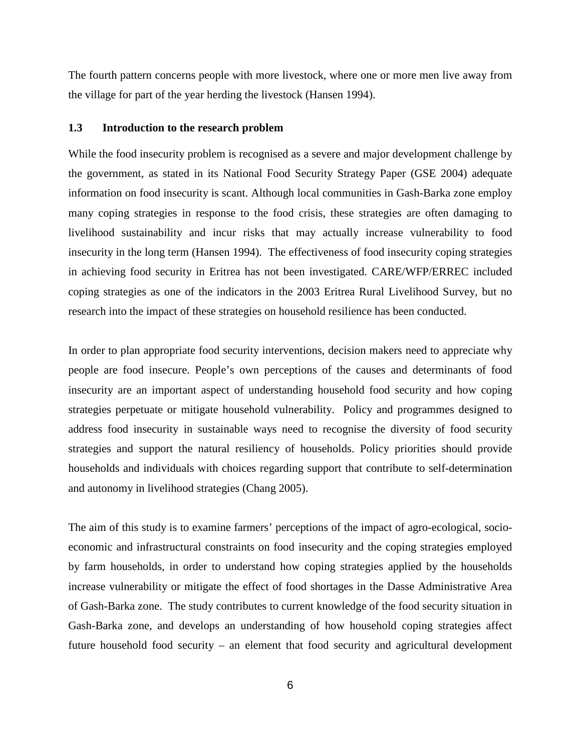The fourth pattern concerns people with more livestock, where one or more men live away from the village for part of the year herding the livestock (Hansen 1994).

#### **1.3 Introduction to the research problem**

While the food insecurity problem is recognised as a severe and major development challenge by the government, as stated in its National Food Security Strategy Paper (GSE 2004) adequate information on food insecurity is scant. Although local communities in Gash-Barka zone employ many coping strategies in response to the food crisis, these strategies are often damaging to livelihood sustainability and incur risks that may actually increase vulnerability to food insecurity in the long term (Hansen 1994). The effectiveness of food insecurity coping strategies in achieving food security in Eritrea has not been investigated. CARE/WFP/ERREC included coping strategies as one of the indicators in the 2003 Eritrea Rural Livelihood Survey, but no research into the impact of these strategies on household resilience has been conducted.

In order to plan appropriate food security interventions, decision makers need to appreciate why people are food insecure. People's own perceptions of the causes and determinants of food insecurity are an important aspect of understanding household food security and how coping strategies perpetuate or mitigate household vulnerability. Policy and programmes designed to address food insecurity in sustainable ways need to recognise the diversity of food security strategies and support the natural resiliency of households. Policy priorities should provide households and individuals with choices regarding support that contribute to self-determination and autonomy in livelihood strategies (Chang 2005).

The aim of this study is to examine farmers' perceptions of the impact of agro-ecological, socioeconomic and infrastructural constraints on food insecurity and the coping strategies employed by farm households, in order to understand how coping strategies applied by the households increase vulnerability or mitigate the effect of food shortages in the Dasse Administrative Area of Gash-Barka zone. The study contributes to current knowledge of the food security situation in Gash-Barka zone, and develops an understanding of how household coping strategies affect future household food security – an element that food security and agricultural development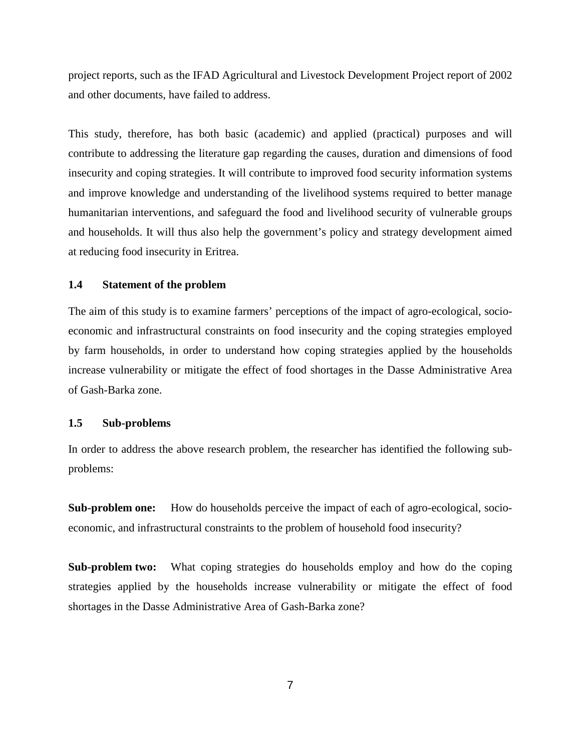project reports, such as the IFAD Agricultural and Livestock Development Project report of 2002 and other documents, have failed to address.

This study, therefore, has both basic (academic) and applied (practical) purposes and will contribute to addressing the literature gap regarding the causes, duration and dimensions of food insecurity and coping strategies. It will contribute to improved food security information systems and improve knowledge and understanding of the livelihood systems required to better manage humanitarian interventions, and safeguard the food and livelihood security of vulnerable groups and households. It will thus also help the government's policy and strategy development aimed at reducing food insecurity in Eritrea.

### **1.4 Statement of the problem**

The aim of this study is to examine farmers' perceptions of the impact of agro-ecological, socioeconomic and infrastructural constraints on food insecurity and the coping strategies employed by farm households, in order to understand how coping strategies applied by the households increase vulnerability or mitigate the effect of food shortages in the Dasse Administrative Area of Gash-Barka zone.

## **1.5 Sub-problems**

In order to address the above research problem, the researcher has identified the following subproblems:

**Sub-problem one:** How do households perceive the impact of each of agro-ecological, socioeconomic, and infrastructural constraints to the problem of household food insecurity?

**Sub-problem two:** What coping strategies do households employ and how do the coping strategies applied by the households increase vulnerability or mitigate the effect of food shortages in the Dasse Administrative Area of Gash-Barka zone?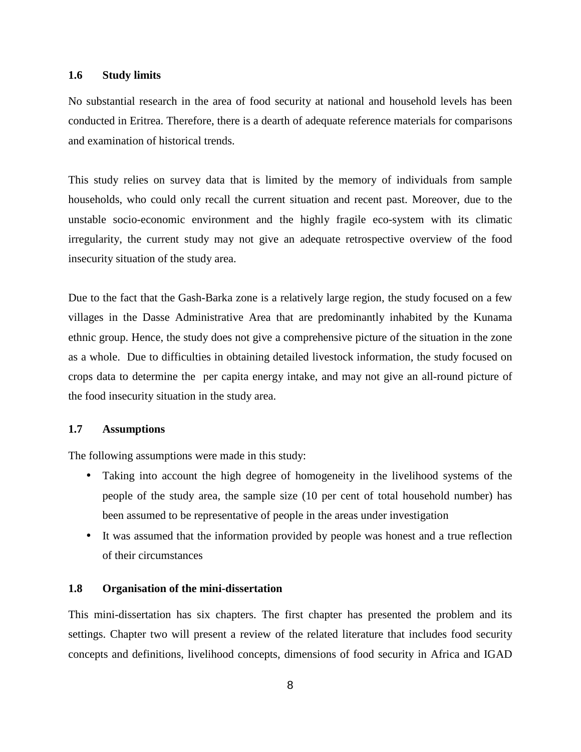### **1.6 Study limits**

No substantial research in the area of food security at national and household levels has been conducted in Eritrea. Therefore, there is a dearth of adequate reference materials for comparisons and examination of historical trends.

This study relies on survey data that is limited by the memory of individuals from sample households, who could only recall the current situation and recent past. Moreover, due to the unstable socio-economic environment and the highly fragile eco-system with its climatic irregularity, the current study may not give an adequate retrospective overview of the food insecurity situation of the study area.

Due to the fact that the Gash-Barka zone is a relatively large region, the study focused on a few villages in the Dasse Administrative Area that are predominantly inhabited by the Kunama ethnic group. Hence, the study does not give a comprehensive picture of the situation in the zone as a whole. Due to difficulties in obtaining detailed livestock information, the study focused on crops data to determine the per capita energy intake, and may not give an all-round picture of the food insecurity situation in the study area.

#### **1.7 Assumptions**

The following assumptions were made in this study:

- Taking into account the high degree of homogeneity in the livelihood systems of the people of the study area, the sample size (10 per cent of total household number) has been assumed to be representative of people in the areas under investigation
- It was assumed that the information provided by people was honest and a true reflection of their circumstances

#### **1.8 Organisation of the mini-dissertation**

This mini-dissertation has six chapters. The first chapter has presented the problem and its settings. Chapter two will present a review of the related literature that includes food security concepts and definitions, livelihood concepts, dimensions of food security in Africa and IGAD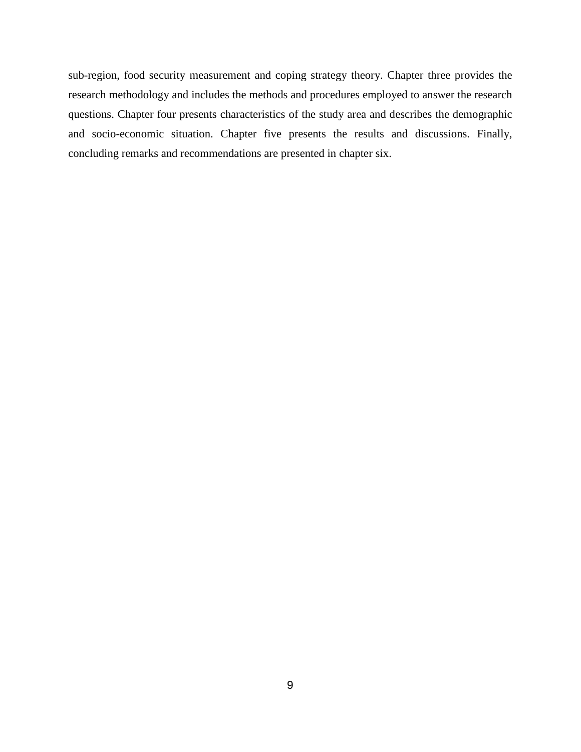sub-region, food security measurement and coping strategy theory. Chapter three provides the research methodology and includes the methods and procedures employed to answer the research questions. Chapter four presents characteristics of the study area and describes the demographic and socio-economic situation. Chapter five presents the results and discussions. Finally, concluding remarks and recommendations are presented in chapter six.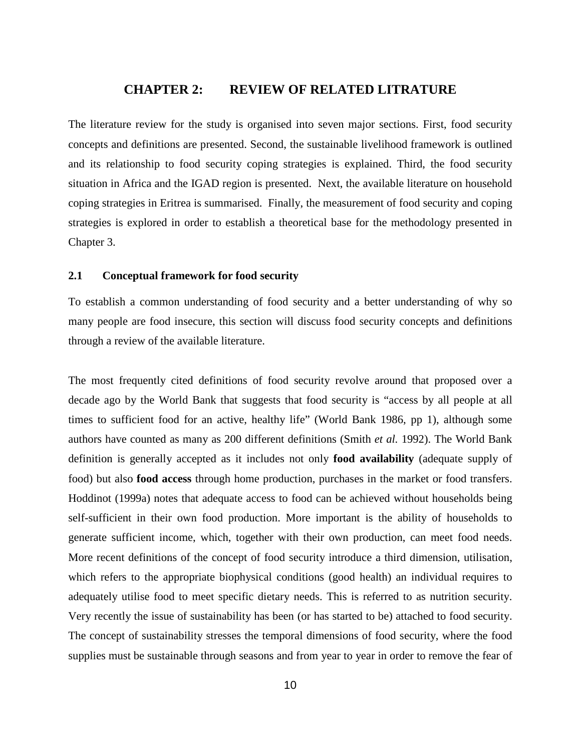## **CHAPTER 2: REVIEW OF RELATED LITRATURE**

The literature review for the study is organised into seven major sections. First, food security concepts and definitions are presented. Second, the sustainable livelihood framework is outlined and its relationship to food security coping strategies is explained. Third, the food security situation in Africa and the IGAD region is presented. Next, the available literature on household coping strategies in Eritrea is summarised. Finally, the measurement of food security and coping strategies is explored in order to establish a theoretical base for the methodology presented in Chapter 3.

### **2.1 Conceptual framework for food security**

To establish a common understanding of food security and a better understanding of why so many people are food insecure, this section will discuss food security concepts and definitions through a review of the available literature.

The most frequently cited definitions of food security revolve around that proposed over a decade ago by the World Bank that suggests that food security is "access by all people at all times to sufficient food for an active, healthy life" (World Bank 1986, pp 1), although some authors have counted as many as 200 different definitions (Smith *et al.* 1992). The World Bank definition is generally accepted as it includes not only **food availability** (adequate supply of food) but also **food access** through home production, purchases in the market or food transfers. Hoddinot (1999a) notes that adequate access to food can be achieved without households being self-sufficient in their own food production. More important is the ability of households to generate sufficient income, which, together with their own production, can meet food needs. More recent definitions of the concept of food security introduce a third dimension, utilisation, which refers to the appropriate biophysical conditions (good health) an individual requires to adequately utilise food to meet specific dietary needs. This is referred to as nutrition security. Very recently the issue of sustainability has been (or has started to be) attached to food security. The concept of sustainability stresses the temporal dimensions of food security, where the food supplies must be sustainable through seasons and from year to year in order to remove the fear of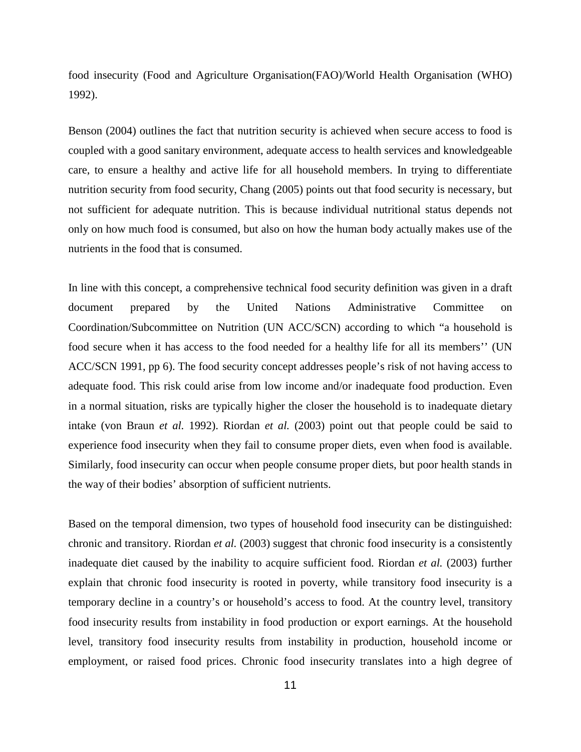food insecurity (Food and Agriculture Organisation(FAO)/World Health Organisation (WHO) 1992).

Benson (2004) outlines the fact that nutrition security is achieved when secure access to food is coupled with a good sanitary environment, adequate access to health services and knowledgeable care, to ensure a healthy and active life for all household members. In trying to differentiate nutrition security from food security, Chang (2005) points out that food security is necessary, but not sufficient for adequate nutrition. This is because individual nutritional status depends not only on how much food is consumed, but also on how the human body actually makes use of the nutrients in the food that is consumed.

In line with this concept, a comprehensive technical food security definition was given in a draft document prepared by the United Nations Administrative Committee on Coordination/Subcommittee on Nutrition (UN ACC/SCN) according to which "a household is food secure when it has access to the food needed for a healthy life for all its members'' (UN ACC/SCN 1991, pp 6). The food security concept addresses people's risk of not having access to adequate food. This risk could arise from low income and/or inadequate food production. Even in a normal situation, risks are typically higher the closer the household is to inadequate dietary intake (von Braun *et al.* 1992). Riordan *et al.* (2003) point out that people could be said to experience food insecurity when they fail to consume proper diets, even when food is available. Similarly, food insecurity can occur when people consume proper diets, but poor health stands in the way of their bodies' absorption of sufficient nutrients.

Based on the temporal dimension, two types of household food insecurity can be distinguished: chronic and transitory. Riordan *et al.* (2003) suggest that chronic food insecurity is a consistently inadequate diet caused by the inability to acquire sufficient food. Riordan *et al.* (2003) further explain that chronic food insecurity is rooted in poverty, while transitory food insecurity is a temporary decline in a country's or household's access to food. At the country level, transitory food insecurity results from instability in food production or export earnings. At the household level, transitory food insecurity results from instability in production, household income or employment, or raised food prices. Chronic food insecurity translates into a high degree of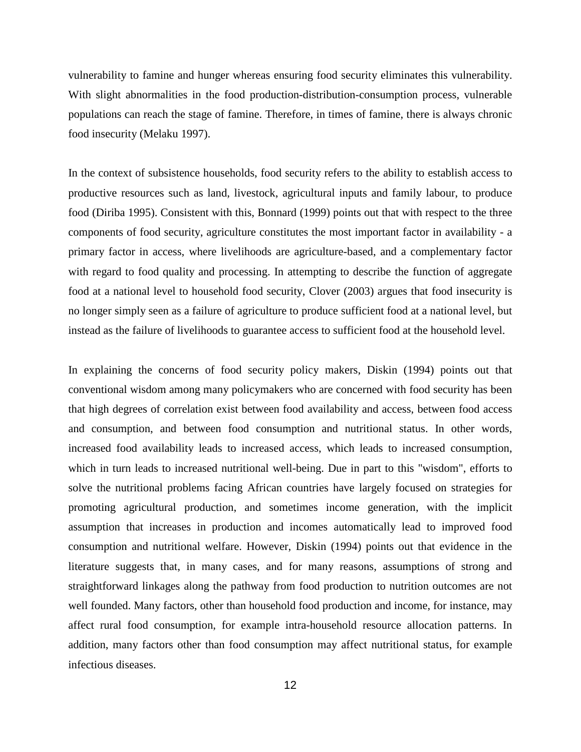vulnerability to famine and hunger whereas ensuring food security eliminates this vulnerability. With slight abnormalities in the food production-distribution-consumption process, vulnerable populations can reach the stage of famine. Therefore, in times of famine, there is always chronic food insecurity (Melaku 1997).

In the context of subsistence households, food security refers to the ability to establish access to productive resources such as land, livestock, agricultural inputs and family labour, to produce food (Diriba 1995). Consistent with this, Bonnard (1999) points out that with respect to the three components of food security, agriculture constitutes the most important factor in availability - a primary factor in access, where livelihoods are agriculture-based, and a complementary factor with regard to food quality and processing. In attempting to describe the function of aggregate food at a national level to household food security, Clover (2003) argues that food insecurity is no longer simply seen as a failure of agriculture to produce sufficient food at a national level, but instead as the failure of livelihoods to guarantee access to sufficient food at the household level.

In explaining the concerns of food security policy makers, Diskin (1994) points out that conventional wisdom among many policymakers who are concerned with food security has been that high degrees of correlation exist between food availability and access, between food access and consumption, and between food consumption and nutritional status. In other words, increased food availability leads to increased access, which leads to increased consumption, which in turn leads to increased nutritional well-being. Due in part to this "wisdom", efforts to solve the nutritional problems facing African countries have largely focused on strategies for promoting agricultural production, and sometimes income generation, with the implicit assumption that increases in production and incomes automatically lead to improved food consumption and nutritional welfare. However, Diskin (1994) points out that evidence in the literature suggests that, in many cases, and for many reasons, assumptions of strong and straightforward linkages along the pathway from food production to nutrition outcomes are not well founded. Many factors, other than household food production and income, for instance, may affect rural food consumption, for example intra-household resource allocation patterns. In addition, many factors other than food consumption may affect nutritional status, for example infectious diseases.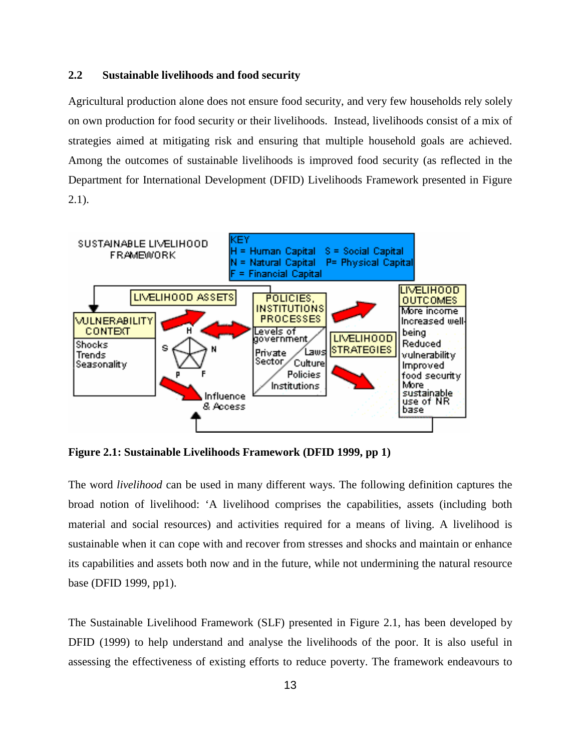## **2.2 Sustainable livelihoods and food security**

Agricultural production alone does not ensure food security, and very few households rely solely on own production for food security or their livelihoods. Instead, livelihoods consist of a mix of strategies aimed at mitigating risk and ensuring that multiple household goals are achieved. Among the outcomes of sustainable livelihoods is improved food security (as reflected in the Department for International Development (DFID) Livelihoods Framework presented in Figure 2.1).



**Figure 2.1: Sustainable Livelihoods Framework (DFID 1999, pp 1)** 

The word *livelihood* can be used in many different ways. The following definition captures the broad notion of livelihood: 'A livelihood comprises the capabilities, assets (including both material and social resources) and activities required for a means of living. A livelihood is sustainable when it can cope with and recover from stresses and shocks and maintain or enhance its capabilities and assets both now and in the future, while not undermining the natural resource base (DFID 1999, pp1).

The Sustainable Livelihood Framework (SLF) presented in Figure 2.1, has been developed by DFID (1999) to help understand and analyse the livelihoods of the poor. It is also useful in assessing the effectiveness of existing efforts to reduce poverty. The framework endeavours to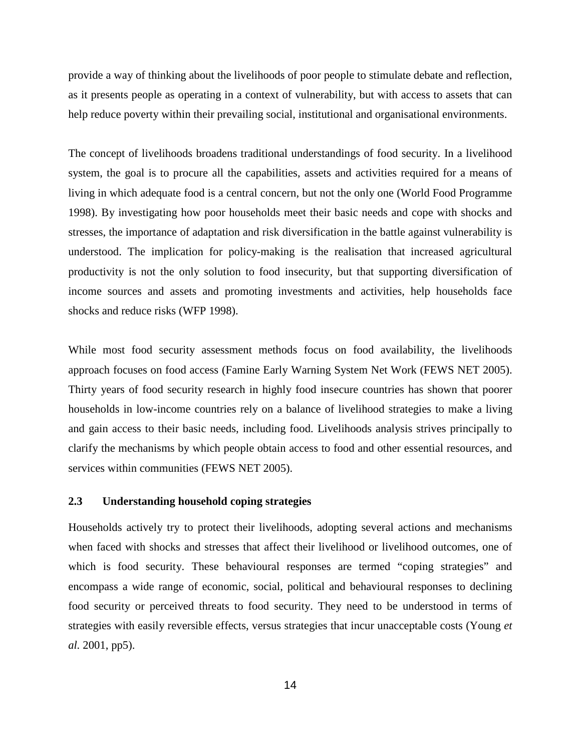provide a way of thinking about the livelihoods of poor people to stimulate debate and reflection, as it presents people as operating in a context of vulnerability, but with access to assets that can help reduce poverty within their prevailing social, institutional and organisational environments.

The concept of livelihoods broadens traditional understandings of food security. In a livelihood system, the goal is to procure all the capabilities, assets and activities required for a means of living in which adequate food is a central concern, but not the only one (World Food Programme 1998). By investigating how poor households meet their basic needs and cope with shocks and stresses, the importance of adaptation and risk diversification in the battle against vulnerability is understood. The implication for policy-making is the realisation that increased agricultural productivity is not the only solution to food insecurity, but that supporting diversification of income sources and assets and promoting investments and activities, help households face shocks and reduce risks (WFP 1998).

While most food security assessment methods focus on food availability, the livelihoods approach focuses on food access (Famine Early Warning System Net Work (FEWS NET 2005). Thirty years of food security research in highly food insecure countries has shown that poorer households in low-income countries rely on a balance of livelihood strategies to make a living and gain access to their basic needs, including food. Livelihoods analysis strives principally to clarify the mechanisms by which people obtain access to food and other essential resources, and services within communities (FEWS NET 2005).

## **2.3 Understanding household coping strategies**

Households actively try to protect their livelihoods, adopting several actions and mechanisms when faced with shocks and stresses that affect their livelihood or livelihood outcomes, one of which is food security. These behavioural responses are termed "coping strategies" and encompass a wide range of economic, social, political and behavioural responses to declining food security or perceived threats to food security. They need to be understood in terms of strategies with easily reversible effects, versus strategies that incur unacceptable costs (Young *et al.* 2001, pp5).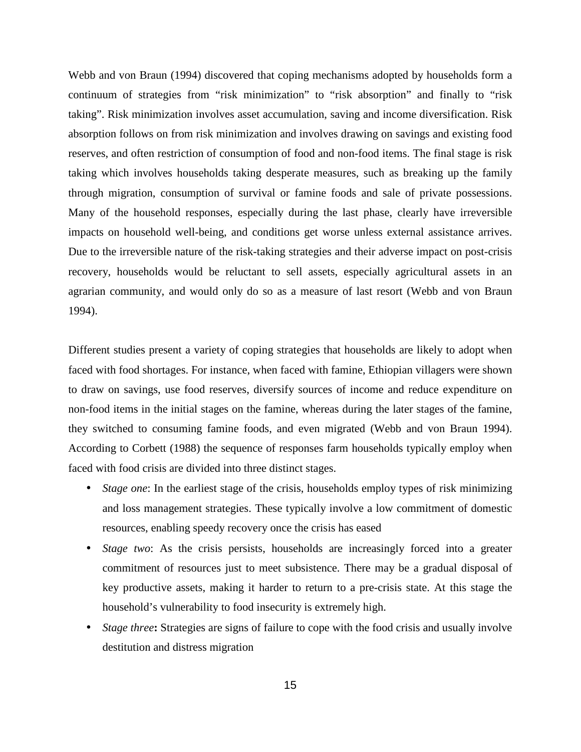Webb and von Braun (1994) discovered that coping mechanisms adopted by households form a continuum of strategies from "risk minimization" to "risk absorption" and finally to "risk taking". Risk minimization involves asset accumulation, saving and income diversification. Risk absorption follows on from risk minimization and involves drawing on savings and existing food reserves, and often restriction of consumption of food and non-food items. The final stage is risk taking which involves households taking desperate measures, such as breaking up the family through migration, consumption of survival or famine foods and sale of private possessions. Many of the household responses, especially during the last phase, clearly have irreversible impacts on household well-being, and conditions get worse unless external assistance arrives. Due to the irreversible nature of the risk-taking strategies and their adverse impact on post-crisis recovery, households would be reluctant to sell assets, especially agricultural assets in an agrarian community, and would only do so as a measure of last resort (Webb and von Braun 1994).

Different studies present a variety of coping strategies that households are likely to adopt when faced with food shortages. For instance, when faced with famine, Ethiopian villagers were shown to draw on savings, use food reserves, diversify sources of income and reduce expenditure on non-food items in the initial stages on the famine, whereas during the later stages of the famine, they switched to consuming famine foods, and even migrated (Webb and von Braun 1994). According to Corbett (1988) the sequence of responses farm households typically employ when faced with food crisis are divided into three distinct stages.

- *Stage one*: In the earliest stage of the crisis, households employ types of risk minimizing and loss management strategies. These typically involve a low commitment of domestic resources, enabling speedy recovery once the crisis has eased
- *Stage two*: As the crisis persists, households are increasingly forced into a greater commitment of resources just to meet subsistence. There may be a gradual disposal of key productive assets, making it harder to return to a pre-crisis state. At this stage the household's vulnerability to food insecurity is extremely high.
- *Stage three***:** Strategies are signs of failure to cope with the food crisis and usually involve destitution and distress migration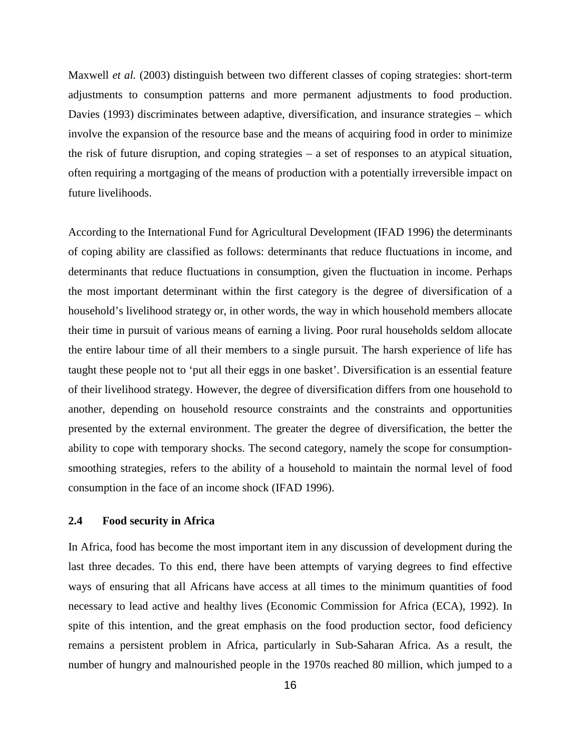Maxwell *et al.* (2003) distinguish between two different classes of coping strategies: short-term adjustments to consumption patterns and more permanent adjustments to food production. Davies (1993) discriminates between adaptive, diversification, and insurance strategies – which involve the expansion of the resource base and the means of acquiring food in order to minimize the risk of future disruption, and coping strategies – a set of responses to an atypical situation, often requiring a mortgaging of the means of production with a potentially irreversible impact on future livelihoods.

According to the International Fund for Agricultural Development (IFAD 1996) the determinants of coping ability are classified as follows: determinants that reduce fluctuations in income, and determinants that reduce fluctuations in consumption, given the fluctuation in income. Perhaps the most important determinant within the first category is the degree of diversification of a household's livelihood strategy or, in other words, the way in which household members allocate their time in pursuit of various means of earning a living. Poor rural households seldom allocate the entire labour time of all their members to a single pursuit. The harsh experience of life has taught these people not to 'put all their eggs in one basket'. Diversification is an essential feature of their livelihood strategy. However, the degree of diversification differs from one household to another, depending on household resource constraints and the constraints and opportunities presented by the external environment. The greater the degree of diversification, the better the ability to cope with temporary shocks. The second category, namely the scope for consumptionsmoothing strategies, refers to the ability of a household to maintain the normal level of food consumption in the face of an income shock (IFAD 1996).

### **2.4 Food security in Africa**

In Africa, food has become the most important item in any discussion of development during the last three decades. To this end, there have been attempts of varying degrees to find effective ways of ensuring that all Africans have access at all times to the minimum quantities of food necessary to lead active and healthy lives (Economic Commission for Africa (ECA), 1992). In spite of this intention, and the great emphasis on the food production sector, food deficiency remains a persistent problem in Africa, particularly in Sub-Saharan Africa. As a result, the number of hungry and malnourished people in the 1970s reached 80 million, which jumped to a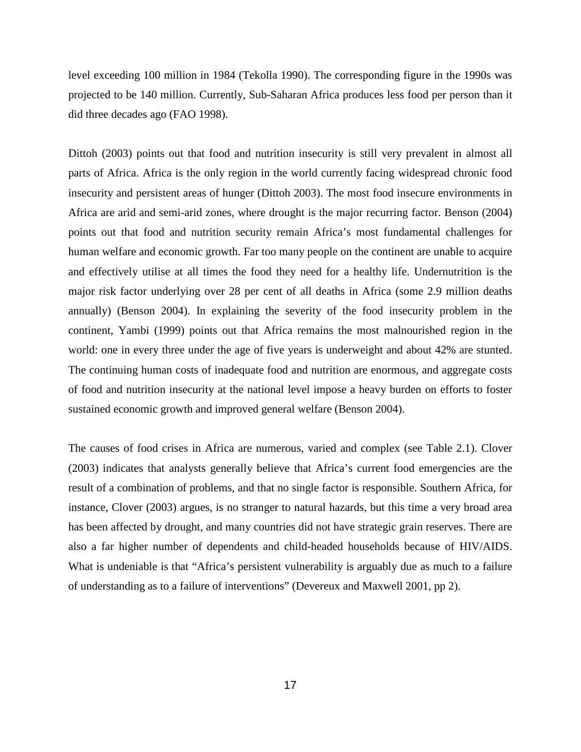level exceeding 100 million in 1984 (Tekolla 1990). The corresponding figure in the 1990s was projected to be 140 million. Currently, Sub-Saharan Africa produces less food per person than it did three decades ago (FAO 1998).

Dittoh (2003) points out that food and nutrition insecurity is still very prevalent in almost all parts of Africa. Africa is the only region in the world currently facing widespread chronic food insecurity and persistent areas of hunger (Dittoh 2003). The most food insecure environments in Africa are arid and semi-arid zones, where drought is the major recurring factor. Benson (2004) points out that food and nutrition security remain Africa's most fundamental challenges for human welfare and economic growth. Far too many people on the continent are unable to acquire and effectively utilise at all times the food they need for a healthy life. Undernutrition is the major risk factor underlying over 28 per cent of all deaths in Africa (some 2.9 million deaths annually) (Benson 2004). In explaining the severity of the food insecurity problem in the continent, Yambi (1999) points out that Africa remains the most malnourished region in the world: one in every three under the age of five years is underweight and about 42% are stunted. The continuing human costs of inadequate food and nutrition are enormous, and aggregate costs of food and nutrition insecurity at the national level impose a heavy burden on efforts to foster sustained economic growth and improved general welfare (Benson 2004).

The causes of food crises in Africa are numerous, varied and complex (see Table 2.1). Clover (2003) indicates that analysts generally believe that Africa's current food emergencies are the result of a combination of problems, and that no single factor is responsible. Southern Africa, for instance, Clover (2003) argues, is no stranger to natural hazards, but this time a very broad area has been affected by drought, and many countries did not have strategic grain reserves. There are also a far higher number of dependents and child-headed households because of HIV/AIDS. What is undeniable is that "Africa's persistent vulnerability is arguably due as much to a failure of understanding as to a failure of interventions" (Devereux and Maxwell 2001, pp 2).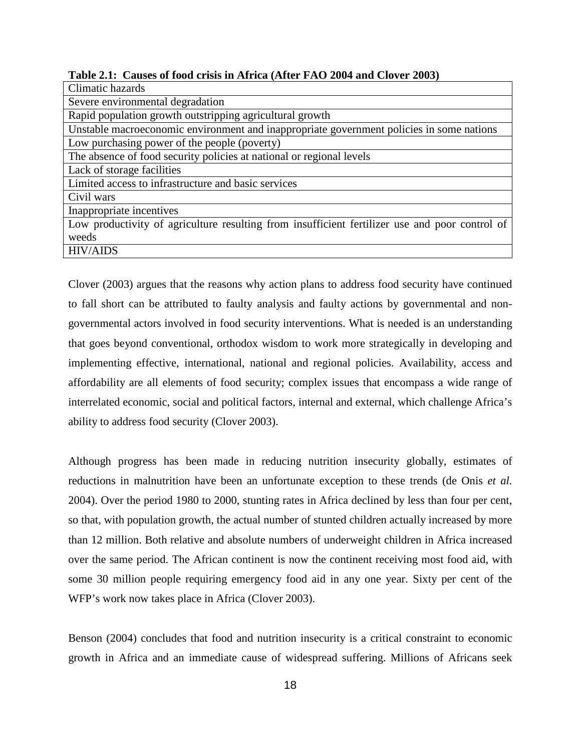|  |  |  |  | Table 2.1: Causes of food crisis in Africa (After FAO 2004 and Clover 2003) |
|--|--|--|--|-----------------------------------------------------------------------------|
|--|--|--|--|-----------------------------------------------------------------------------|

| Climatic hazards                                                                               |
|------------------------------------------------------------------------------------------------|
| Severe environmental degradation                                                               |
| Rapid population growth outstripping agricultural growth                                       |
| Unstable macroeconomic environment and inappropriate government policies in some nations       |
| Low purchasing power of the people (poverty)                                                   |
| The absence of food security policies at national or regional levels                           |
| Lack of storage facilities                                                                     |
| Limited access to infrastructure and basic services                                            |
| Civil wars                                                                                     |
| Inappropriate incentives                                                                       |
| Low productivity of agriculture resulting from insufficient fertilizer use and poor control of |
| weeds                                                                                          |
| <b>HIV/AIDS</b>                                                                                |

Clover (2003) argues that the reasons why action plans to address food security have continued to fall short can be attributed to faulty analysis and faulty actions by governmental and nongovernmental actors involved in food security interventions. What is needed is an understanding that goes beyond conventional, orthodox wisdom to work more strategically in developing and implementing effective, international, national and regional policies. Availability, access and affordability are all elements of food security; complex issues that encompass a wide range of interrelated economic, social and political factors, internal and external, which challenge Africa's ability to address food security (Clover 2003).

Although progress has been made in reducing nutrition insecurity globally, estimates of reductions in malnutrition have been an unfortunate exception to these trends (de Onis *et al.* 2004). Over the period 1980 to 2000, stunting rates in Africa declined by less than four per cent, so that, with population growth, the actual number of stunted children actually increased by more than 12 million. Both relative and absolute numbers of underweight children in Africa increased over the same period. The African continent is now the continent receiving most food aid, with some 30 million people requiring emergency food aid in any one year. Sixty per cent of the WFP's work now takes place in Africa (Clover 2003).

Benson (2004) concludes that food and nutrition insecurity is a critical constraint to economic growth in Africa and an immediate cause of widespread suffering. Millions of Africans seek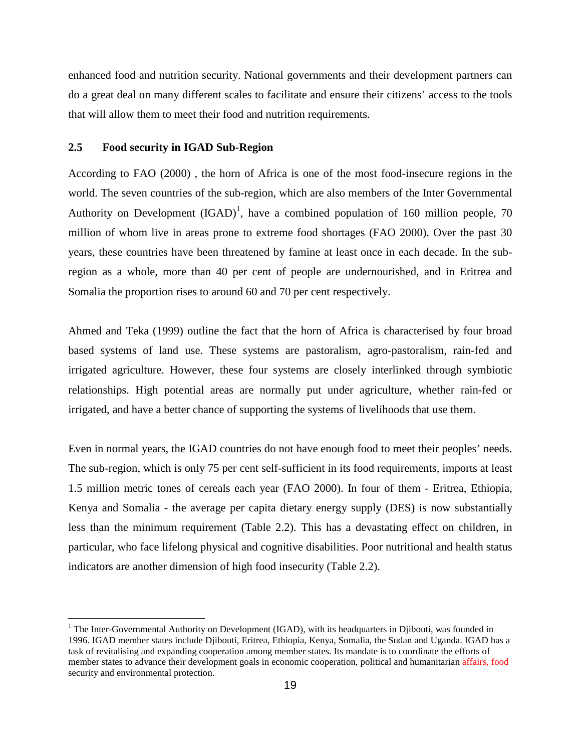enhanced food and nutrition security. National governments and their development partners can do a great deal on many different scales to facilitate and ensure their citizens' access to the tools that will allow them to meet their food and nutrition requirements.

## **2.5 Food security in IGAD Sub-Region**

 $\overline{a}$ 

According to FAO (2000) , the horn of Africa is one of the most food-insecure regions in the world. The seven countries of the sub-region, which are also members of the Inter Governmental Authority on Development  $(IGAD)^1$ , have a combined population of 160 million people, 70 million of whom live in areas prone to extreme food shortages (FAO 2000). Over the past 30 years, these countries have been threatened by famine at least once in each decade. In the subregion as a whole, more than 40 per cent of people are undernourished, and in Eritrea and Somalia the proportion rises to around 60 and 70 per cent respectively.

Ahmed and Teka (1999) outline the fact that the horn of Africa is characterised by four broad based systems of land use. These systems are pastoralism, agro-pastoralism, rain-fed and irrigated agriculture. However, these four systems are closely interlinked through symbiotic relationships. High potential areas are normally put under agriculture, whether rain-fed or irrigated, and have a better chance of supporting the systems of livelihoods that use them.

Even in normal years, the IGAD countries do not have enough food to meet their peoples' needs. The sub-region, which is only 75 per cent self-sufficient in its food requirements, imports at least 1.5 million metric tones of cereals each year (FAO 2000). In four of them - Eritrea, Ethiopia, Kenya and Somalia - the average per capita dietary energy supply (DES) is now substantially less than the minimum requirement (Table 2.2). This has a devastating effect on children, in particular, who face lifelong physical and cognitive disabilities. Poor nutritional and health status indicators are another dimension of high food insecurity (Table 2.2).

<sup>&</sup>lt;sup>1</sup> The Inter-Governmental Authority on Development (IGAD), with its headquarters in Djibouti, was founded in 1996. IGAD member states include Djibouti, Eritrea, Ethiopia, Kenya, Somalia, the Sudan and Uganda. IGAD has a task of revitalising and expanding cooperation among member states. Its mandate is to coordinate the efforts of member states to advance their development goals in economic cooperation, political and humanitarian affairs, food security and environmental protection.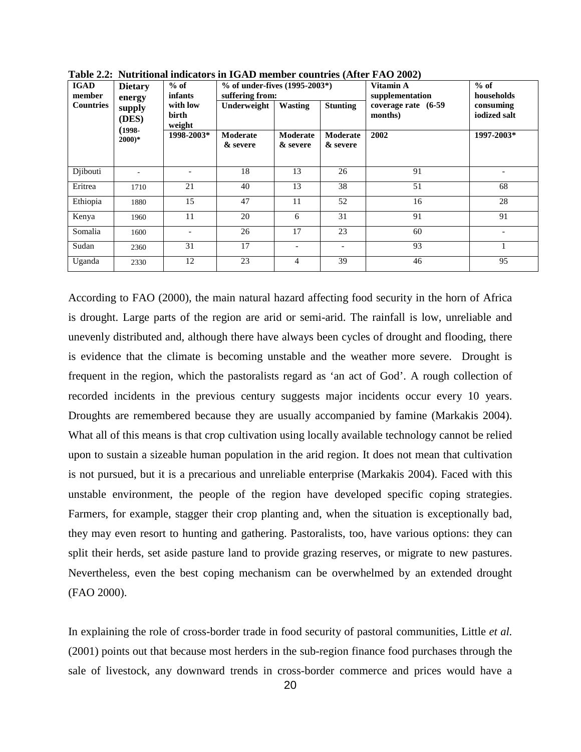| <b>IGAD</b><br>member | $%$ of<br><b>Dietary</b><br>infants<br>energy<br>with low<br>supply<br>birth<br>(DES)<br>weight | $%$ of under-fives (1995-2003*)<br>suffering from: |                      |                          | Vitamin A<br>supplementation | $%$ of<br>households            |                           |
|-----------------------|-------------------------------------------------------------------------------------------------|----------------------------------------------------|----------------------|--------------------------|------------------------------|---------------------------------|---------------------------|
| <b>Countries</b>      |                                                                                                 |                                                    | Underweight          | <b>Wasting</b>           | <b>Stunting</b>              | coverage rate (6-59)<br>months) | consuming<br>iodized salt |
|                       | (1998-<br>$2000)*$                                                                              | 1998-2003*                                         | Moderate<br>& severe | Moderate<br>& severe     | Moderate<br>& severe         | 2002                            | 1997-2003*                |
| Djibouti              |                                                                                                 | $\qquad \qquad -$                                  | 18                   | 13                       | 26                           | 91                              |                           |
| Eritrea               | 1710                                                                                            | 21                                                 | 40                   | 13                       | 38                           | 51                              | 68                        |
| Ethiopia              | 1880                                                                                            | 15                                                 | 47                   | 11                       | 52                           | 16                              | 28                        |
| Kenya                 | 1960                                                                                            | 11                                                 | 20                   | 6                        | 31                           | 91                              | 91                        |
| Somalia               | 1600                                                                                            | $\qquad \qquad \blacksquare$                       | 26                   | 17                       | 23                           | 60                              |                           |
| Sudan                 | 2360                                                                                            | 31                                                 | 17                   | $\overline{\phantom{a}}$ | $\overline{\phantom{0}}$     | 93                              |                           |
| Uganda                | 2330                                                                                            | 12                                                 | 23                   | $\overline{4}$           | 39                           | 46                              | 95                        |

**Table 2.2: Nutritional indicators in IGAD member countries (After FAO 2002)** 

According to FAO (2000), the main natural hazard affecting food security in the horn of Africa is drought. Large parts of the region are arid or semi-arid. The rainfall is low, unreliable and unevenly distributed and, although there have always been cycles of drought and flooding, there is evidence that the climate is becoming unstable and the weather more severe. Drought is frequent in the region, which the pastoralists regard as 'an act of God'. A rough collection of recorded incidents in the previous century suggests major incidents occur every 10 years. Droughts are remembered because they are usually accompanied by famine (Markakis 2004). What all of this means is that crop cultivation using locally available technology cannot be relied upon to sustain a sizeable human population in the arid region. It does not mean that cultivation is not pursued, but it is a precarious and unreliable enterprise (Markakis 2004). Faced with this unstable environment, the people of the region have developed specific coping strategies. Farmers, for example, stagger their crop planting and, when the situation is exceptionally bad, they may even resort to hunting and gathering. Pastoralists, too, have various options: they can split their herds, set aside pasture land to provide grazing reserves, or migrate to new pastures. Nevertheless, even the best coping mechanism can be overwhelmed by an extended drought (FAO 2000).

In explaining the role of cross-border trade in food security of pastoral communities, Little *et al.* (2001) points out that because most herders in the sub-region finance food purchases through the sale of livestock, any downward trends in cross-border commerce and prices would have a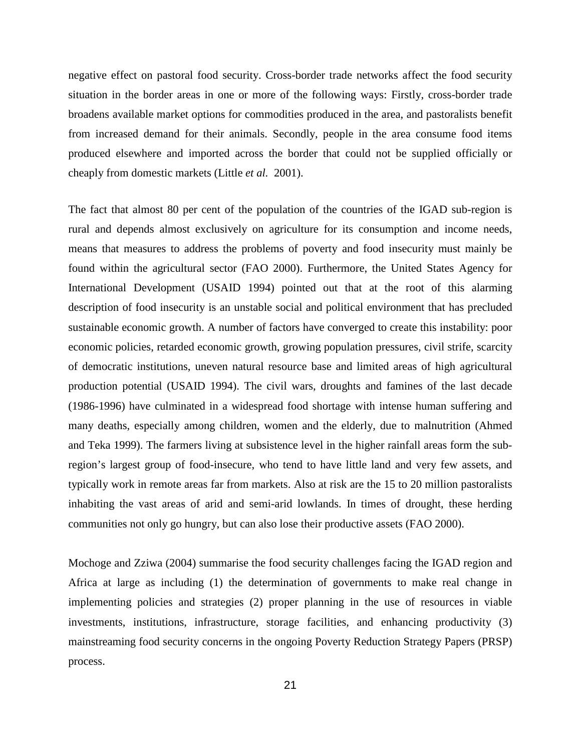negative effect on pastoral food security. Cross-border trade networks affect the food security situation in the border areas in one or more of the following ways: Firstly, cross-border trade broadens available market options for commodities produced in the area, and pastoralists benefit from increased demand for their animals. Secondly, people in the area consume food items produced elsewhere and imported across the border that could not be supplied officially or cheaply from domestic markets (Little *et al.* 2001).

The fact that almost 80 per cent of the population of the countries of the IGAD sub-region is rural and depends almost exclusively on agriculture for its consumption and income needs, means that measures to address the problems of poverty and food insecurity must mainly be found within the agricultural sector (FAO 2000). Furthermore, the United States Agency for International Development (USAID 1994) pointed out that at the root of this alarming description of food insecurity is an unstable social and political environment that has precluded sustainable economic growth. A number of factors have converged to create this instability: poor economic policies, retarded economic growth, growing population pressures, civil strife, scarcity of democratic institutions, uneven natural resource base and limited areas of high agricultural production potential (USAID 1994). The civil wars, droughts and famines of the last decade (1986-1996) have culminated in a widespread food shortage with intense human suffering and many deaths, especially among children, women and the elderly, due to malnutrition (Ahmed and Teka 1999). The farmers living at subsistence level in the higher rainfall areas form the subregion's largest group of food-insecure, who tend to have little land and very few assets, and typically work in remote areas far from markets. Also at risk are the 15 to 20 million pastoralists inhabiting the vast areas of arid and semi-arid lowlands. In times of drought, these herding communities not only go hungry, but can also lose their productive assets (FAO 2000).

Mochoge and Zziwa (2004) summarise the food security challenges facing the IGAD region and Africa at large as including (1) the determination of governments to make real change in implementing policies and strategies (2) proper planning in the use of resources in viable investments, institutions, infrastructure, storage facilities, and enhancing productivity (3) mainstreaming food security concerns in the ongoing Poverty Reduction Strategy Papers (PRSP) process.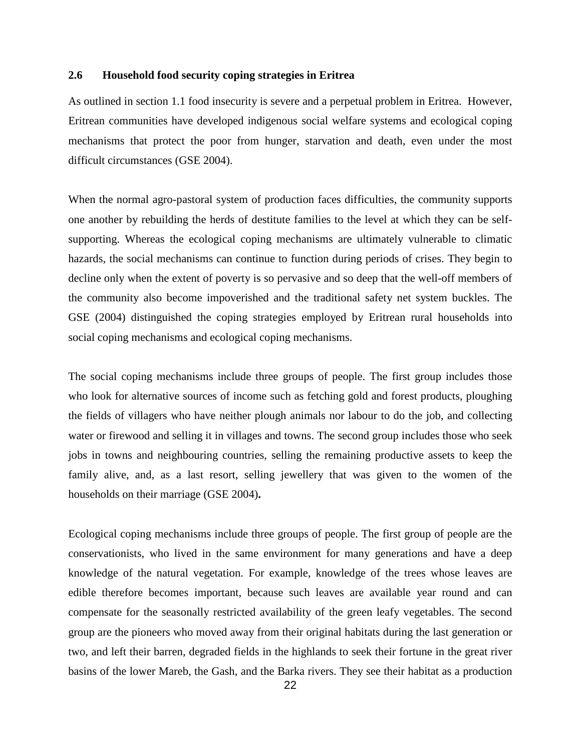## **2.6 Household food security coping strategies in Eritrea**

As outlined in section 1.1 food insecurity is severe and a perpetual problem in Eritrea. However, Eritrean communities have developed indigenous social welfare systems and ecological coping mechanisms that protect the poor from hunger, starvation and death, even under the most difficult circumstances (GSE 2004).

When the normal agro-pastoral system of production faces difficulties, the community supports one another by rebuilding the herds of destitute families to the level at which they can be selfsupporting. Whereas the ecological coping mechanisms are ultimately vulnerable to climatic hazards, the social mechanisms can continue to function during periods of crises. They begin to decline only when the extent of poverty is so pervasive and so deep that the well-off members of the community also become impoverished and the traditional safety net system buckles. The GSE (2004) distinguished the coping strategies employed by Eritrean rural households into social coping mechanisms and ecological coping mechanisms.

The social coping mechanisms include three groups of people. The first group includes those who look for alternative sources of income such as fetching gold and forest products, ploughing the fields of villagers who have neither plough animals nor labour to do the job, and collecting water or firewood and selling it in villages and towns. The second group includes those who seek jobs in towns and neighbouring countries, selling the remaining productive assets to keep the family alive, and, as a last resort, selling jewellery that was given to the women of the households on their marriage (GSE 2004)**.**

Ecological coping mechanisms include three groups of people. The first group of people are the conservationists, who lived in the same environment for many generations and have a deep knowledge of the natural vegetation. For example, knowledge of the trees whose leaves are edible therefore becomes important, because such leaves are available year round and can compensate for the seasonally restricted availability of the green leafy vegetables. The second group are the pioneers who moved away from their original habitats during the last generation or two, and left their barren, degraded fields in the highlands to seek their fortune in the great river basins of the lower Mareb, the Gash, and the Barka rivers. They see their habitat as a production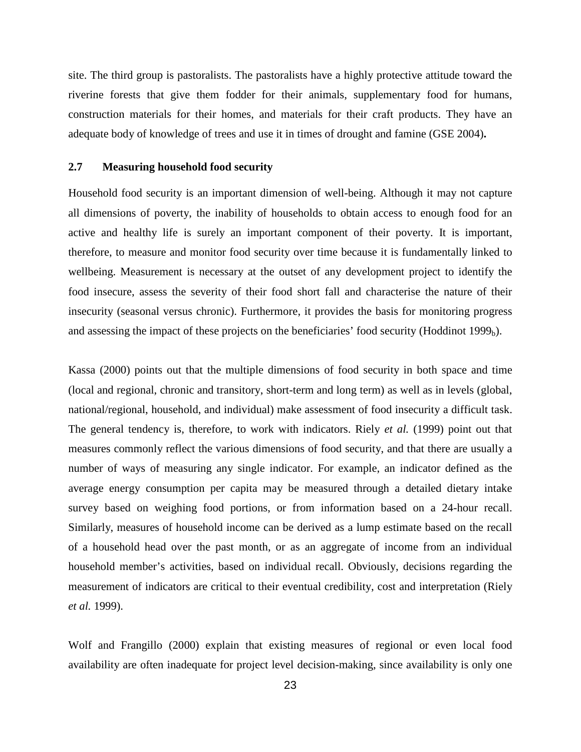site. The third group is pastoralists. The pastoralists have a highly protective attitude toward the riverine forests that give them fodder for their animals, supplementary food for humans, construction materials for their homes, and materials for their craft products. They have an adequate body of knowledge of trees and use it in times of drought and famine (GSE 2004)**.** 

### **2.7 Measuring household food security**

Household food security is an important dimension of well-being. Although it may not capture all dimensions of poverty, the inability of households to obtain access to enough food for an active and healthy life is surely an important component of their poverty. It is important, therefore, to measure and monitor food security over time because it is fundamentally linked to wellbeing. Measurement is necessary at the outset of any development project to identify the food insecure, assess the severity of their food short fall and characterise the nature of their insecurity (seasonal versus chronic). Furthermore, it provides the basis for monitoring progress and assessing the impact of these projects on the beneficiaries' food security (Hoddinot  $1999<sub>b</sub>$ ).

Kassa (2000) points out that the multiple dimensions of food security in both space and time (local and regional, chronic and transitory, short-term and long term) as well as in levels (global, national/regional, household, and individual) make assessment of food insecurity a difficult task. The general tendency is, therefore, to work with indicators. Riely *et al.* (1999) point out that measures commonly reflect the various dimensions of food security, and that there are usually a number of ways of measuring any single indicator. For example, an indicator defined as the average energy consumption per capita may be measured through a detailed dietary intake survey based on weighing food portions, or from information based on a 24-hour recall. Similarly, measures of household income can be derived as a lump estimate based on the recall of a household head over the past month, or as an aggregate of income from an individual household member's activities, based on individual recall. Obviously, decisions regarding the measurement of indicators are critical to their eventual credibility, cost and interpretation (Riely *et al.* 1999).

Wolf and Frangillo (2000) explain that existing measures of regional or even local food availability are often inadequate for project level decision-making, since availability is only one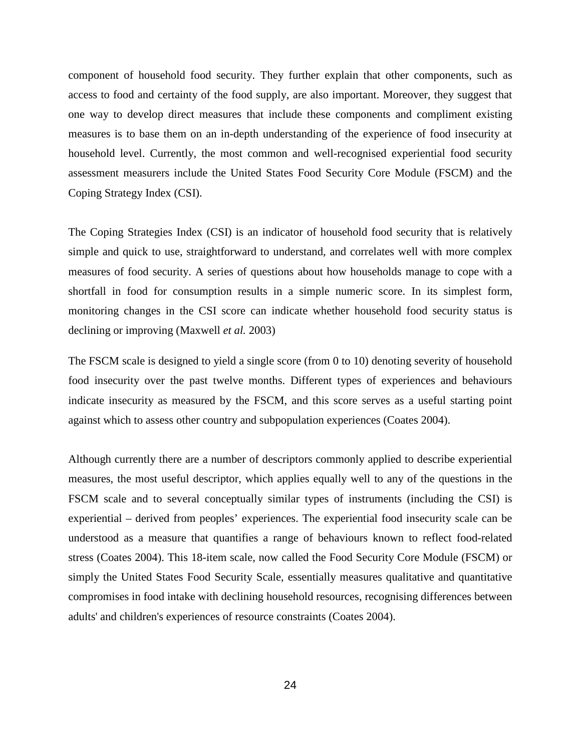component of household food security. They further explain that other components, such as access to food and certainty of the food supply, are also important. Moreover, they suggest that one way to develop direct measures that include these components and compliment existing measures is to base them on an in-depth understanding of the experience of food insecurity at household level. Currently, the most common and well-recognised experiential food security assessment measurers include the United States Food Security Core Module (FSCM) and the Coping Strategy Index (CSI).

The Coping Strategies Index (CSI) is an indicator of household food security that is relatively simple and quick to use, straightforward to understand, and correlates well with more complex measures of food security. A series of questions about how households manage to cope with a shortfall in food for consumption results in a simple numeric score. In its simplest form, monitoring changes in the CSI score can indicate whether household food security status is declining or improving (Maxwell *et al.* 2003)

The FSCM scale is designed to yield a single score (from 0 to 10) denoting severity of household food insecurity over the past twelve months. Different types of experiences and behaviours indicate insecurity as measured by the FSCM, and this score serves as a useful starting point against which to assess other country and subpopulation experiences (Coates 2004).

Although currently there are a number of descriptors commonly applied to describe experiential measures, the most useful descriptor, which applies equally well to any of the questions in the FSCM scale and to several conceptually similar types of instruments (including the CSI) is experiential – derived from peoples' experiences. The experiential food insecurity scale can be understood as a measure that quantifies a range of behaviours known to reflect food-related stress (Coates 2004). This 18-item scale, now called the Food Security Core Module (FSCM) or simply the United States Food Security Scale, essentially measures qualitative and quantitative compromises in food intake with declining household resources, recognising differences between adults' and children's experiences of resource constraints (Coates 2004).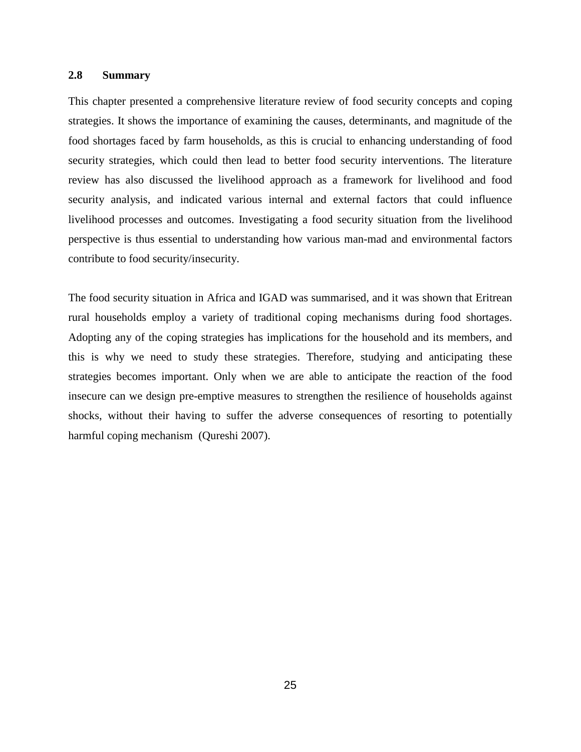## **2.8 Summary**

This chapter presented a comprehensive literature review of food security concepts and coping strategies. It shows the importance of examining the causes, determinants, and magnitude of the food shortages faced by farm households, as this is crucial to enhancing understanding of food security strategies, which could then lead to better food security interventions. The literature review has also discussed the livelihood approach as a framework for livelihood and food security analysis, and indicated various internal and external factors that could influence livelihood processes and outcomes. Investigating a food security situation from the livelihood perspective is thus essential to understanding how various man-mad and environmental factors contribute to food security/insecurity.

The food security situation in Africa and IGAD was summarised, and it was shown that Eritrean rural households employ a variety of traditional coping mechanisms during food shortages. Adopting any of the coping strategies has implications for the household and its members, and this is why we need to study these strategies. Therefore, studying and anticipating these strategies becomes important. Only when we are able to anticipate the reaction of the food insecure can we design pre-emptive measures to strengthen the resilience of households against shocks, without their having to suffer the adverse consequences of resorting to potentially harmful coping mechanism (Qureshi 2007).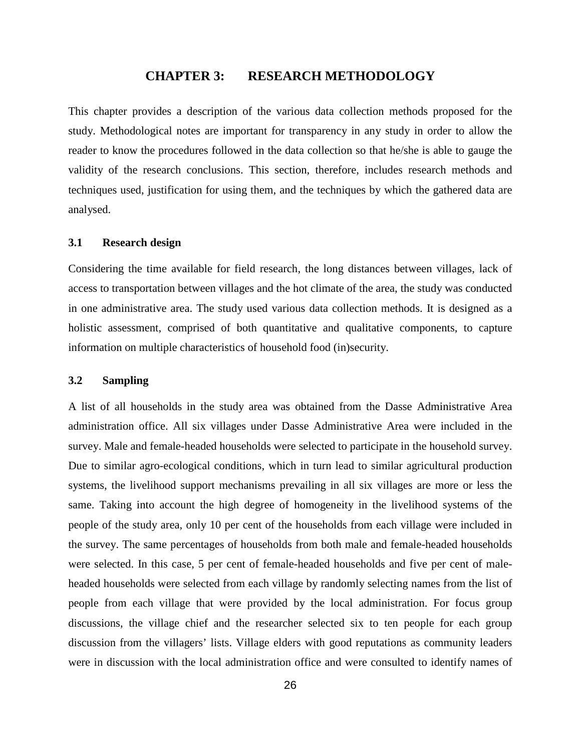### **CHAPTER 3: RESEARCH METHODOLOGY**

This chapter provides a description of the various data collection methods proposed for the study. Methodological notes are important for transparency in any study in order to allow the reader to know the procedures followed in the data collection so that he/she is able to gauge the validity of the research conclusions. This section, therefore, includes research methods and techniques used, justification for using them, and the techniques by which the gathered data are analysed.

#### **3.1 Research design**

Considering the time available for field research, the long distances between villages, lack of access to transportation between villages and the hot climate of the area, the study was conducted in one administrative area. The study used various data collection methods. It is designed as a holistic assessment, comprised of both quantitative and qualitative components, to capture information on multiple characteristics of household food (in)security.

#### **3.2 Sampling**

A list of all households in the study area was obtained from the Dasse Administrative Area administration office. All six villages under Dasse Administrative Area were included in the survey. Male and female-headed households were selected to participate in the household survey. Due to similar agro-ecological conditions, which in turn lead to similar agricultural production systems, the livelihood support mechanisms prevailing in all six villages are more or less the same. Taking into account the high degree of homogeneity in the livelihood systems of the people of the study area, only 10 per cent of the households from each village were included in the survey. The same percentages of households from both male and female-headed households were selected. In this case, 5 per cent of female-headed households and five per cent of maleheaded households were selected from each village by randomly selecting names from the list of people from each village that were provided by the local administration. For focus group discussions, the village chief and the researcher selected six to ten people for each group discussion from the villagers' lists. Village elders with good reputations as community leaders were in discussion with the local administration office and were consulted to identify names of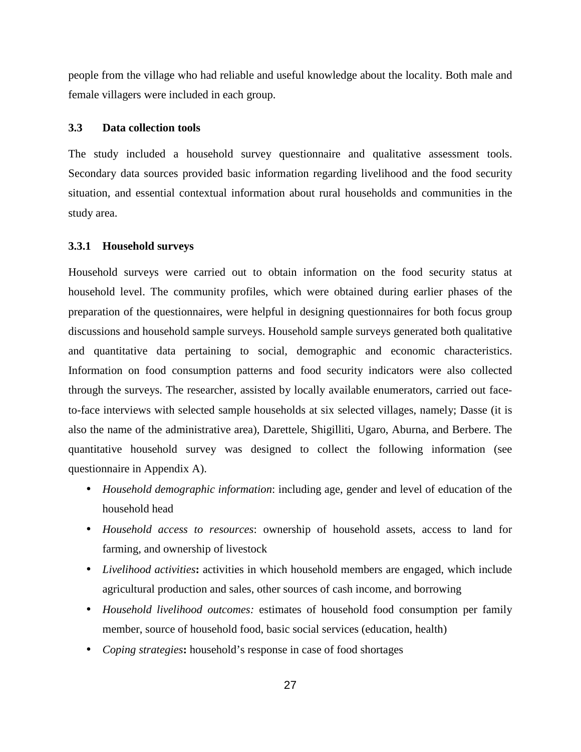people from the village who had reliable and useful knowledge about the locality. Both male and female villagers were included in each group.

## **3.3 Data collection tools**

The study included a household survey questionnaire and qualitative assessment tools. Secondary data sources provided basic information regarding livelihood and the food security situation, and essential contextual information about rural households and communities in the study area.

#### **3.3.1 Household surveys**

Household surveys were carried out to obtain information on the food security status at household level. The community profiles, which were obtained during earlier phases of the preparation of the questionnaires, were helpful in designing questionnaires for both focus group discussions and household sample surveys. Household sample surveys generated both qualitative and quantitative data pertaining to social, demographic and economic characteristics. Information on food consumption patterns and food security indicators were also collected through the surveys. The researcher, assisted by locally available enumerators, carried out faceto-face interviews with selected sample households at six selected villages, namely; Dasse (it is also the name of the administrative area), Darettele, Shigilliti, Ugaro, Aburna, and Berbere. The quantitative household survey was designed to collect the following information (see questionnaire in Appendix A).

- *Household demographic information*: including age, gender and level of education of the household head
- *Household access to resources*: ownership of household assets, access to land for farming, and ownership of livestock
- *Livelihood activities***:** activities in which household members are engaged, which include agricultural production and sales, other sources of cash income, and borrowing
- *Household livelihood outcomes:* estimates of household food consumption per family member, source of household food, basic social services (education, health)
- *Coping strategies***:** household's response in case of food shortages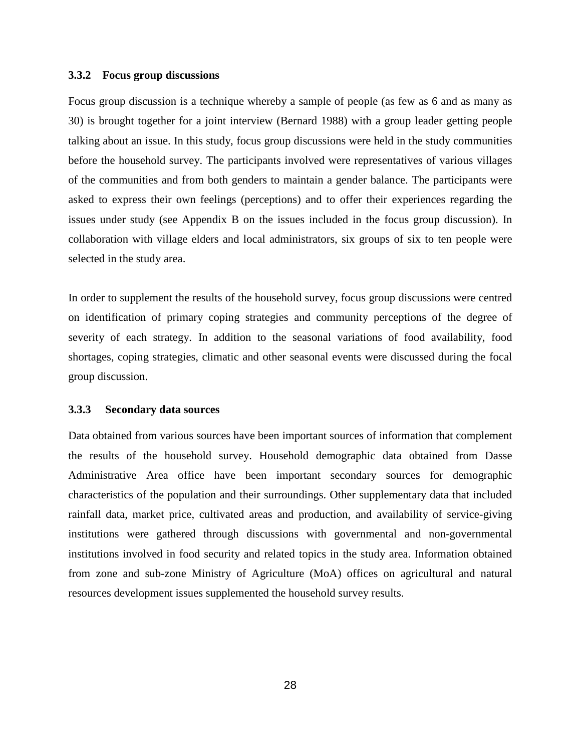## **3.3.2 Focus group discussions**

Focus group discussion is a technique whereby a sample of people (as few as 6 and as many as 30) is brought together for a joint interview (Bernard 1988) with a group leader getting people talking about an issue. In this study, focus group discussions were held in the study communities before the household survey. The participants involved were representatives of various villages of the communities and from both genders to maintain a gender balance. The participants were asked to express their own feelings (perceptions) and to offer their experiences regarding the issues under study (see Appendix B on the issues included in the focus group discussion). In collaboration with village elders and local administrators, six groups of six to ten people were selected in the study area.

In order to supplement the results of the household survey, focus group discussions were centred on identification of primary coping strategies and community perceptions of the degree of severity of each strategy. In addition to the seasonal variations of food availability, food shortages, coping strategies, climatic and other seasonal events were discussed during the focal group discussion.

#### **3.3.3 Secondary data sources**

Data obtained from various sources have been important sources of information that complement the results of the household survey. Household demographic data obtained from Dasse Administrative Area office have been important secondary sources for demographic characteristics of the population and their surroundings. Other supplementary data that included rainfall data, market price, cultivated areas and production, and availability of service-giving institutions were gathered through discussions with governmental and non-governmental institutions involved in food security and related topics in the study area. Information obtained from zone and sub-zone Ministry of Agriculture (MoA) offices on agricultural and natural resources development issues supplemented the household survey results.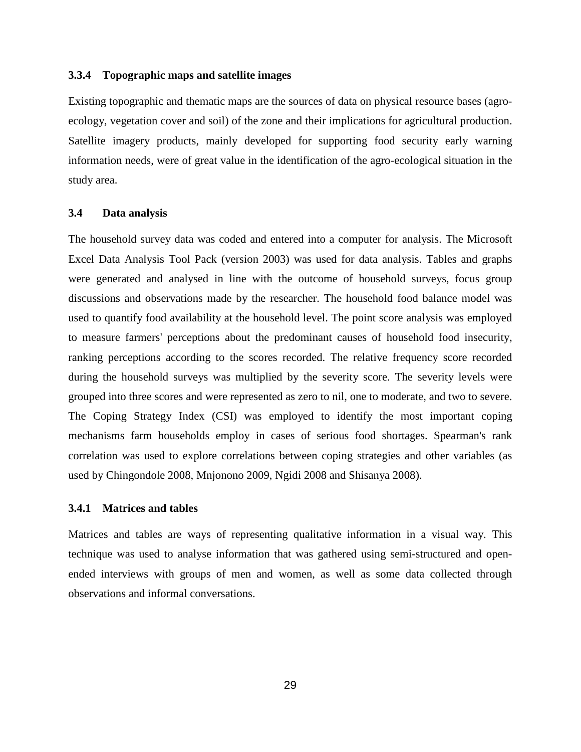#### **3.3.4 Topographic maps and satellite images**

Existing topographic and thematic maps are the sources of data on physical resource bases (agroecology, vegetation cover and soil) of the zone and their implications for agricultural production. Satellite imagery products, mainly developed for supporting food security early warning information needs, were of great value in the identification of the agro-ecological situation in the study area.

#### **3.4 Data analysis**

The household survey data was coded and entered into a computer for analysis. The Microsoft Excel Data Analysis Tool Pack (version 2003) was used for data analysis. Tables and graphs were generated and analysed in line with the outcome of household surveys, focus group discussions and observations made by the researcher. The household food balance model was used to quantify food availability at the household level. The point score analysis was employed to measure farmers' perceptions about the predominant causes of household food insecurity, ranking perceptions according to the scores recorded. The relative frequency score recorded during the household surveys was multiplied by the severity score. The severity levels were grouped into three scores and were represented as zero to nil, one to moderate, and two to severe. The Coping Strategy Index (CSI) was employed to identify the most important coping mechanisms farm households employ in cases of serious food shortages. Spearman's rank correlation was used to explore correlations between coping strategies and other variables (as used by Chingondole 2008, Mnjonono 2009, Ngidi 2008 and Shisanya 2008).

### **3.4.1 Matrices and tables**

Matrices and tables are ways of representing qualitative information in a visual way. This technique was used to analyse information that was gathered using semi-structured and openended interviews with groups of men and women, as well as some data collected through observations and informal conversations.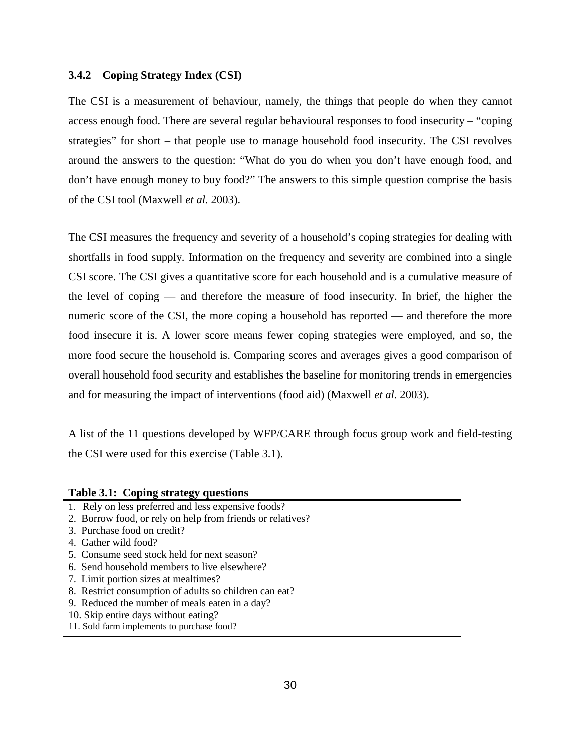### **3.4.2 Coping Strategy Index (CSI)**

The CSI is a measurement of behaviour, namely, the things that people do when they cannot access enough food. There are several regular behavioural responses to food insecurity – "coping strategies" for short – that people use to manage household food insecurity. The CSI revolves around the answers to the question: "What do you do when you don't have enough food, and don't have enough money to buy food?" The answers to this simple question comprise the basis of the CSI tool (Maxwell *et al.* 2003).

The CSI measures the frequency and severity of a household's coping strategies for dealing with shortfalls in food supply. Information on the frequency and severity are combined into a single CSI score. The CSI gives a quantitative score for each household and is a cumulative measure of the level of coping — and therefore the measure of food insecurity. In brief, the higher the numeric score of the CSI, the more coping a household has reported — and therefore the more food insecure it is. A lower score means fewer coping strategies were employed, and so, the more food secure the household is. Comparing scores and averages gives a good comparison of overall household food security and establishes the baseline for monitoring trends in emergencies and for measuring the impact of interventions (food aid) (Maxwell *et al.* 2003).

A list of the 11 questions developed by WFP/CARE through focus group work and field-testing the CSI were used for this exercise (Table 3.1).

#### **Table 3.1: Coping strategy questions**

- 1. Rely on less preferred and less expensive foods?
- 2. Borrow food, or rely on help from friends or relatives?
- 3. Purchase food on credit?
- 4. Gather wild food?
- 5. Consume seed stock held for next season?
- 6. Send household members to live elsewhere?
- 7. Limit portion sizes at mealtimes?
- 8. Restrict consumption of adults so children can eat?
- 9. Reduced the number of meals eaten in a day?
- 10. Skip entire days without eating?
- 11. Sold farm implements to purchase food?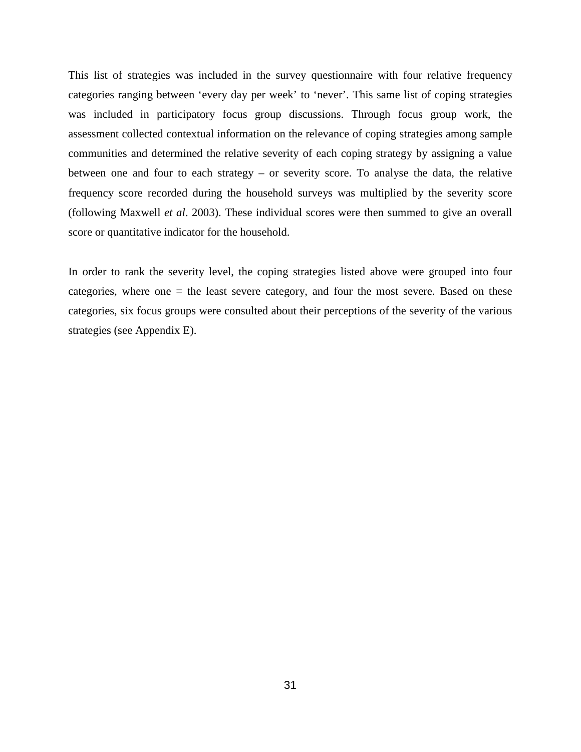This list of strategies was included in the survey questionnaire with four relative frequency categories ranging between 'every day per week' to 'never'. This same list of coping strategies was included in participatory focus group discussions. Through focus group work, the assessment collected contextual information on the relevance of coping strategies among sample communities and determined the relative severity of each coping strategy by assigning a value between one and four to each strategy – or severity score. To analyse the data, the relative frequency score recorded during the household surveys was multiplied by the severity score (following Maxwell *et al*. 2003). These individual scores were then summed to give an overall score or quantitative indicator for the household.

In order to rank the severity level, the coping strategies listed above were grouped into four categories, where one = the least severe category, and four the most severe. Based on these categories, six focus groups were consulted about their perceptions of the severity of the various strategies (see Appendix E).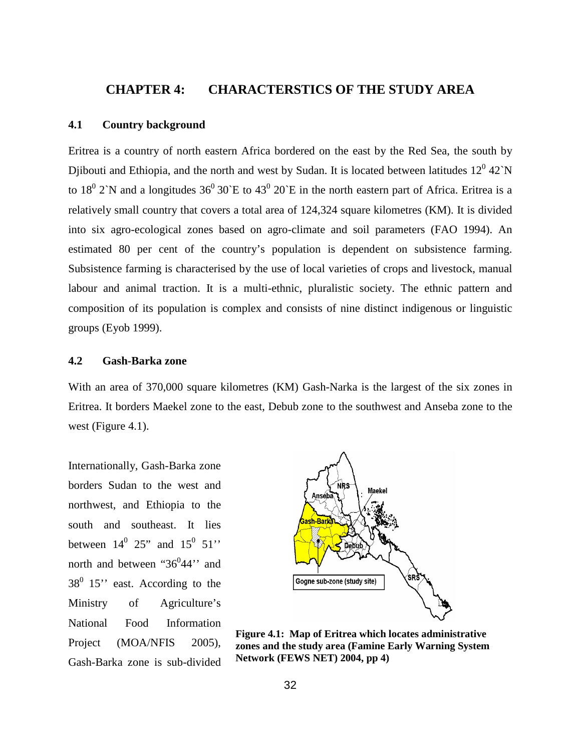# **CHAPTER 4: CHARACTERSTICS OF THE STUDY AREA**

#### **4.1 Country background**

Eritrea is a country of north eastern Africa bordered on the east by the Red Sea, the south by Djibouti and Ethiopia, and the north and west by Sudan. It is located between latitudes  $12^0$  42`N to 18<sup>0</sup> 2`N and a longitudes 36<sup>0</sup> 30`E to 43<sup>0</sup> 20`E in the north eastern part of Africa. Eritrea is a relatively small country that covers a total area of 124,324 square kilometres (KM). It is divided into six agro-ecological zones based on agro-climate and soil parameters (FAO 1994). An estimated 80 per cent of the country's population is dependent on subsistence farming. Subsistence farming is characterised by the use of local varieties of crops and livestock, manual labour and animal traction. It is a multi-ethnic, pluralistic society. The ethnic pattern and composition of its population is complex and consists of nine distinct indigenous or linguistic groups (Eyob 1999).

# **4.2 Gash-Barka zone**

With an area of 370,000 square kilometres (KM) Gash-Narka is the largest of the six zones in Eritrea. It borders Maekel zone to the east, Debub zone to the southwest and Anseba zone to the west (Figure 4.1).

Internationally, Gash-Barka zone borders Sudan to the west and northwest, and Ethiopia to the south and southeast. It lies between  $14^0$  25" and  $15^0$  51" north and between " $36^044$ " and  $38^0$  15" east. According to the Ministry of Agriculture's National Food Information Project (MOA/NFIS 2005), Gash-Barka zone is sub-divided



**Figure 4.1: Map of Eritrea which locates administrative zones and the study area (Famine Early Warning System Network (FEWS NET) 2004, pp 4)**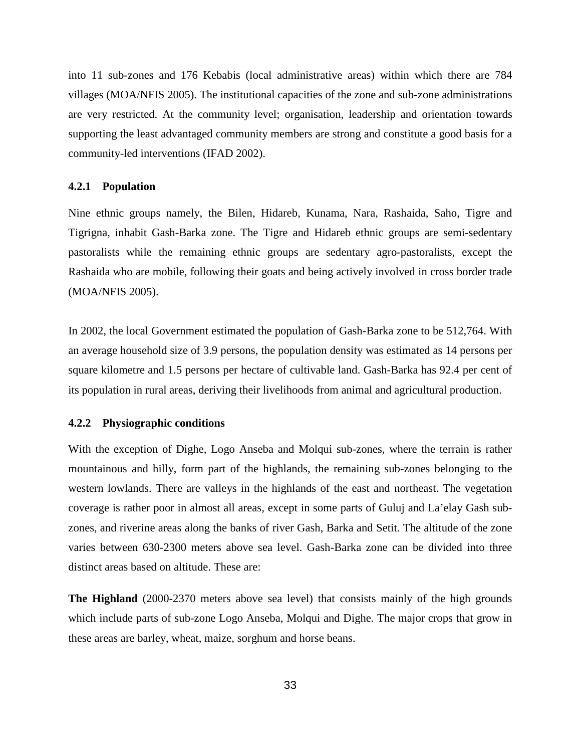into 11 sub-zones and 176 Kebabis (local administrative areas) within which there are 784 villages (MOA/NFIS 2005). The institutional capacities of the zone and sub-zone administrations are very restricted. At the community level; organisation, leadership and orientation towards supporting the least advantaged community members are strong and constitute a good basis for a community-led interventions (IFAD 2002).

#### **4.2.1 Population**

Nine ethnic groups namely, the Bilen, Hidareb, Kunama, Nara, Rashaida, Saho, Tigre and Tigrigna, inhabit Gash-Barka zone. The Tigre and Hidareb ethnic groups are semi-sedentary pastoralists while the remaining ethnic groups are sedentary agro-pastoralists, except the Rashaida who are mobile, following their goats and being actively involved in cross border trade (MOA/NFIS 2005).

In 2002, the local Government estimated the population of Gash-Barka zone to be 512,764. With an average household size of 3.9 persons, the population density was estimated as 14 persons per square kilometre and 1.5 persons per hectare of cultivable land. Gash-Barka has 92.4 per cent of its population in rural areas, deriving their livelihoods from animal and agricultural production.

### **4.2.2 Physiographic conditions**

With the exception of Dighe, Logo Anseba and Molqui sub-zones, where the terrain is rather mountainous and hilly, form part of the highlands, the remaining sub-zones belonging to the western lowlands. There are valleys in the highlands of the east and northeast. The vegetation coverage is rather poor in almost all areas, except in some parts of Guluj and La'elay Gash subzones, and riverine areas along the banks of river Gash, Barka and Setit. The altitude of the zone varies between 630-2300 meters above sea level. Gash-Barka zone can be divided into three distinct areas based on altitude. These are:

**The Highland** (2000-2370 meters above sea level) that consists mainly of the high grounds which include parts of sub-zone Logo Anseba, Molqui and Dighe. The major crops that grow in these areas are barley, wheat, maize, sorghum and horse beans.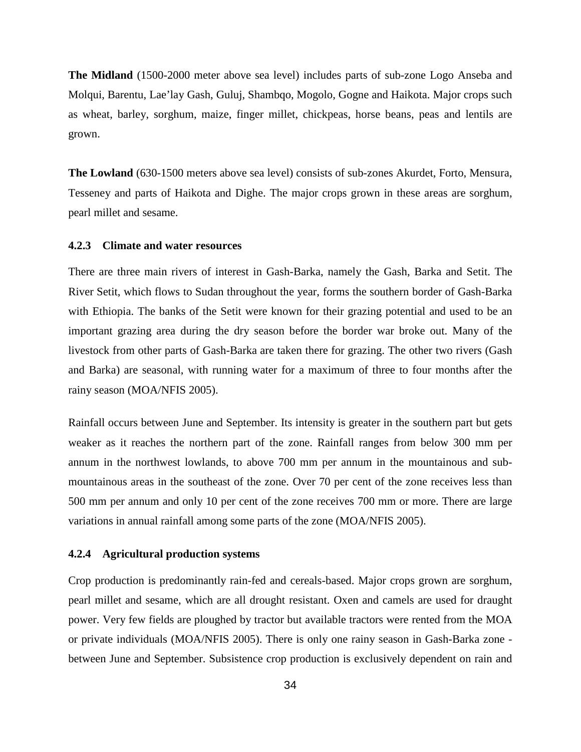**The Midland** (1500-2000 meter above sea level) includes parts of sub-zone Logo Anseba and Molqui, Barentu, Lae'lay Gash, Guluj, Shambqo, Mogolo, Gogne and Haikota. Major crops such as wheat, barley, sorghum, maize, finger millet, chickpeas, horse beans, peas and lentils are grown.

**The Lowland** (630-1500 meters above sea level) consists of sub-zones Akurdet, Forto, Mensura, Tesseney and parts of Haikota and Dighe. The major crops grown in these areas are sorghum, pearl millet and sesame.

### **4.2.3 Climate and water resources**

There are three main rivers of interest in Gash-Barka, namely the Gash, Barka and Setit. The River Setit, which flows to Sudan throughout the year, forms the southern border of Gash-Barka with Ethiopia. The banks of the Setit were known for their grazing potential and used to be an important grazing area during the dry season before the border war broke out. Many of the livestock from other parts of Gash-Barka are taken there for grazing. The other two rivers (Gash and Barka) are seasonal, with running water for a maximum of three to four months after the rainy season (MOA/NFIS 2005).

Rainfall occurs between June and September. Its intensity is greater in the southern part but gets weaker as it reaches the northern part of the zone. Rainfall ranges from below 300 mm per annum in the northwest lowlands, to above 700 mm per annum in the mountainous and submountainous areas in the southeast of the zone. Over 70 per cent of the zone receives less than 500 mm per annum and only 10 per cent of the zone receives 700 mm or more. There are large variations in annual rainfall among some parts of the zone (MOA/NFIS 2005).

### **4.2.4 Agricultural production systems**

Crop production is predominantly rain-fed and cereals-based. Major crops grown are sorghum, pearl millet and sesame, which are all drought resistant. Oxen and camels are used for draught power. Very few fields are ploughed by tractor but available tractors were rented from the MOA or private individuals (MOA/NFIS 2005). There is only one rainy season in Gash-Barka zone between June and September. Subsistence crop production is exclusively dependent on rain and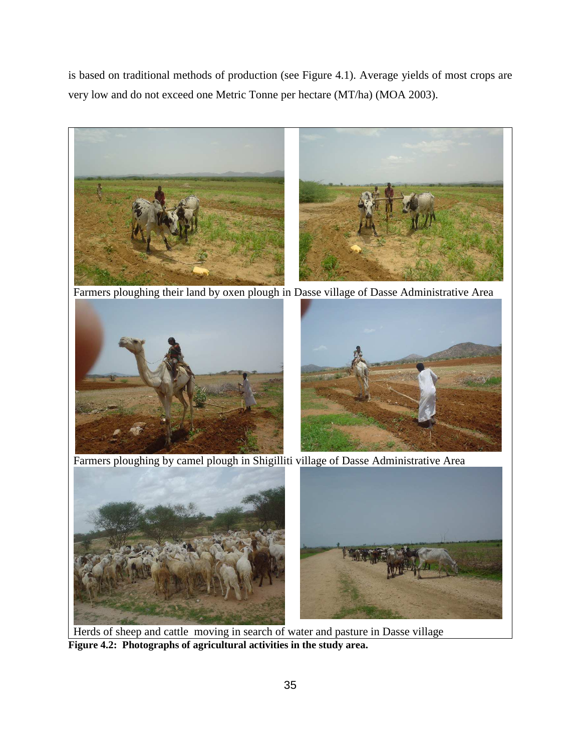is based on traditional methods of production (see Figure 4.1). Average yields of most crops are very low and do not exceed one Metric Tonne per hectare (MT/ha) (MOA 2003).



Farmers ploughing their land by oxen plough in Dasse village of Dasse Administrative Area



Farmers ploughing by camel plough in Shigilliti village of Dasse Administrative Area



Herds of sheep and cattle moving in search of water and pasture in Dasse village **Figure 4.2: Photographs of agricultural activities in the study area.**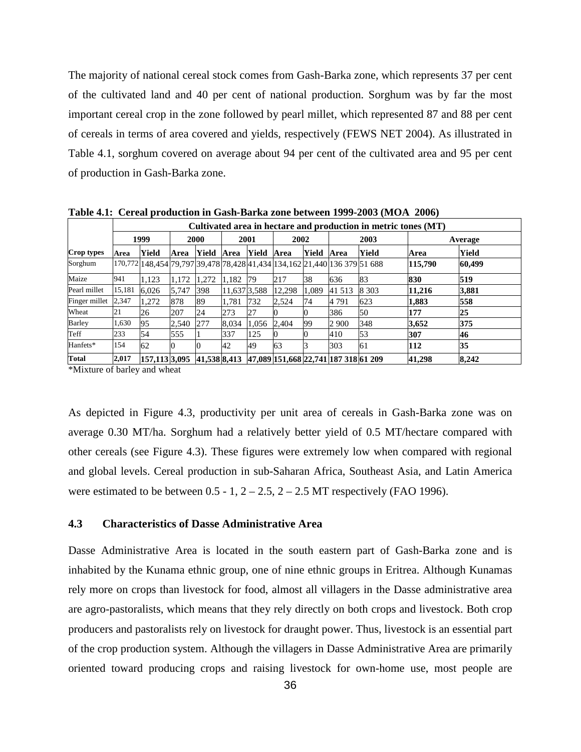The majority of national cereal stock comes from Gash-Barka zone, which represents 37 per cent of the cultivated land and 40 per cent of national production. Sorghum was by far the most important cereal crop in the zone followed by pearl millet, which represented 87 and 88 per cent of cereals in terms of area covered and yields, respectively (FEWS NET 2004). As illustrated in Table 4.1, sorghum covered on average about 94 per cent of the cultivated area and 95 per cent of production in Gash-Barka zone.

|               |        | Cultivated area in hectare and production in metric tones (MT) |          |              |              |       |        |       |                                                                           |         |         |         |  |  |
|---------------|--------|----------------------------------------------------------------|----------|--------------|--------------|-------|--------|-------|---------------------------------------------------------------------------|---------|---------|---------|--|--|
|               |        | 1999                                                           |          | 2000         |              | 2001  | 2002   |       |                                                                           | 2003    |         | Average |  |  |
| Crop types    | Area   | Yield                                                          | Area     | Yield Area   |              | Yield | Area   | Yield | Area                                                                      | Yield   | Area    | Yield   |  |  |
| Sorghum       |        |                                                                |          |              |              |       |        |       | 170,772 148,454 79,797 39,478 78,428 41,434 134,162 21,440 136 379 51 688 |         | 115,790 | 60,499  |  |  |
| Maize         | 941    | 1.123                                                          | 1.172    | 1.272        | 1.182        | 179   | 217    | 38    | 636                                                                       | 83      | 830     | 519     |  |  |
| Pearl millet  | 15,181 | 6.026                                                          | 5,747    | 398          | 11,637 3,588 |       | 12.298 | 1,089 | 41 513                                                                    | 8 3 0 3 | 11,216  | 3,881   |  |  |
| Finger millet | 2,347  | 1,272                                                          | 878      | 89           | 1,781        | 732   | 2,524  | 74    | 4 7 9 1                                                                   | 623     | 1,883   | 558     |  |  |
| Wheat         | 21     | 26                                                             | 207      | 24           | 273          | 27    |        |       | 386                                                                       | 50      | 177     | 25      |  |  |
| Barley        | 1,630  | 95                                                             | 2,540    | 277          | 8,034        | 1.056 | 2.404  | -99   | 2 9 0 0                                                                   | 348     | 3,652   | 375     |  |  |
| Teff          | 233    | 54                                                             | 555      |              | 337          | 125   |        |       | 410                                                                       | 53      | 307     | 46      |  |  |
| Hanfets*      | 154    | 62                                                             | $\Omega$ |              | 42           | 49    | 63     |       | 303                                                                       | 61      | 112     | 35      |  |  |
| <b>Total</b>  | 2,017  | 157, 113 3, 095                                                |          | 41,538 8,413 |              |       |        |       | 47,089 151,668 22,741 187 318 61 209                                      |         | 41,298  | 8,242   |  |  |

**Table 4.1: Cereal production in Gash-Barka zone between 1999-2003 (MOA 2006)** 

\*Mixture of barley and wheat

As depicted in Figure 4.3, productivity per unit area of cereals in Gash-Barka zone was on average 0.30 MT/ha. Sorghum had a relatively better yield of 0.5 MT/hectare compared with other cereals (see Figure 4.3). These figures were extremely low when compared with regional and global levels. Cereal production in sub-Saharan Africa, Southeast Asia, and Latin America were estimated to be between  $0.5 - 1$ ,  $2 - 2.5$ ,  $2 - 2.5$  MT respectively (FAO 1996).

### **4.3 Characteristics of Dasse Administrative Area**

Dasse Administrative Area is located in the south eastern part of Gash-Barka zone and is inhabited by the Kunama ethnic group, one of nine ethnic groups in Eritrea. Although Kunamas rely more on crops than livestock for food, almost all villagers in the Dasse administrative area are agro-pastoralists, which means that they rely directly on both crops and livestock. Both crop producers and pastoralists rely on livestock for draught power. Thus, livestock is an essential part of the crop production system. Although the villagers in Dasse Administrative Area are primarily oriented toward producing crops and raising livestock for own-home use, most people are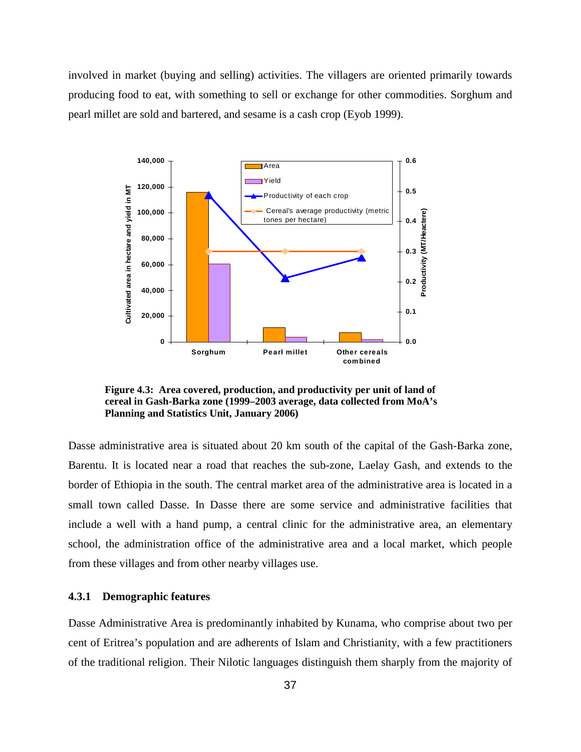involved in market (buying and selling) activities. The villagers are oriented primarily towards producing food to eat, with something to sell or exchange for other commodities. Sorghum and pearl millet are sold and bartered, and sesame is a cash crop (Eyob 1999).



 **Figure 4.3: Area covered, production, and productivity per unit of land of cereal in Gash-Barka zone (1999–2003 average, data collected from MoA's Planning and Statistics Unit, January 2006)**

Dasse administrative area is situated about 20 km south of the capital of the Gash-Barka zone, Barentu. It is located near a road that reaches the sub-zone, Laelay Gash, and extends to the border of Ethiopia in the south. The central market area of the administrative area is located in a small town called Dasse. In Dasse there are some service and administrative facilities that include a well with a hand pump, a central clinic for the administrative area, an elementary school, the administration office of the administrative area and a local market, which people from these villages and from other nearby villages use.

### **4.3.1 Demographic features**

Dasse Administrative Area is predominantly inhabited by Kunama, who comprise about two per cent of Eritrea's population and are adherents of Islam and Christianity, with a few practitioners of the traditional religion. Their Nilotic languages distinguish them sharply from the majority of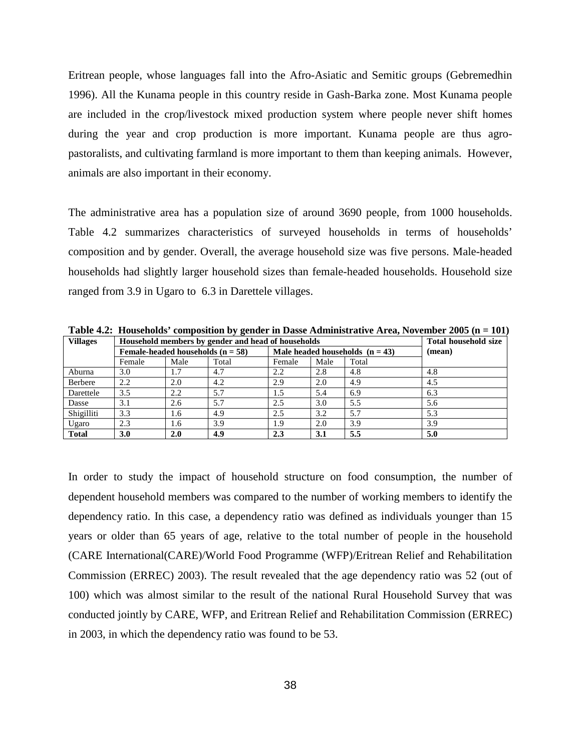Eritrean people, whose languages fall into the Afro-Asiatic and Semitic groups (Gebremedhin 1996). All the Kunama people in this country reside in Gash-Barka zone. Most Kunama people are included in the crop/livestock mixed production system where people never shift homes during the year and crop production is more important. Kunama people are thus agropastoralists, and cultivating farmland is more important to them than keeping animals. However, animals are also important in their economy.

The administrative area has a population size of around 3690 people, from 1000 households. Table 4.2 summarizes characteristics of surveyed households in terms of households' composition and by gender. Overall, the average household size was five persons. Male-headed households had slightly larger household sizes than female-headed households. Household size ranged from 3.9 in Ugaro to 6.3 in Darettele villages.

| <b>Villages</b> |                                     |               | ັ<br>Household members by gender and head of households |                                   |      |        | <b>Total household size</b> |
|-----------------|-------------------------------------|---------------|---------------------------------------------------------|-----------------------------------|------|--------|-----------------------------|
|                 | Female-headed households $(n = 58)$ |               |                                                         | Male headed households $(n = 43)$ |      | (mean) |                             |
|                 | Female                              | Male<br>Total |                                                         |                                   | Male | Total  |                             |
| Aburna          | 3.0                                 | 1.7           | 4.7                                                     | 2.2                               | 2.8  | 4.8    | 4.8                         |
| Berbere         | 2.2                                 | 2.0           | 4.2                                                     | 2.9                               | 2.0  | 4.9    | 4.5                         |
| Darettele       | 3.5                                 | 2.2           | 5.7                                                     | 1.5                               | 5.4  | 6.9    | 6.3                         |
| Dasse           | 3.1                                 | 2.6           | 5.7                                                     | 2.5                               | 3.0  | 5.5    | 5.6                         |
| Shigilliti      | 3.3                                 | 1.6           | 4.9                                                     | 2.5                               | 3.2  | 5.7    | 5.3                         |
| Ugaro           | 2.3                                 | 1.6           | 3.9                                                     | 1.9                               | 2.0  | 3.9    | 3.9                         |
| <b>Total</b>    | 3.0                                 | 2.0           | 4.9                                                     | 2.3                               | 3.1  | 5.5    | 5.0                         |

**Table 4.2: Households' composition by gender in Dasse Administrative Area, November 2005 (n = 101)** 

In order to study the impact of household structure on food consumption, the number of dependent household members was compared to the number of working members to identify the dependency ratio. In this case, a dependency ratio was defined as individuals younger than 15 years or older than 65 years of age, relative to the total number of people in the household (CARE International(CARE)/World Food Programme (WFP)/Eritrean Relief and Rehabilitation Commission (ERREC) 2003). The result revealed that the age dependency ratio was 52 (out of 100) which was almost similar to the result of the national Rural Household Survey that was conducted jointly by CARE, WFP, and Eritrean Relief and Rehabilitation Commission (ERREC) in 2003, in which the dependency ratio was found to be 53.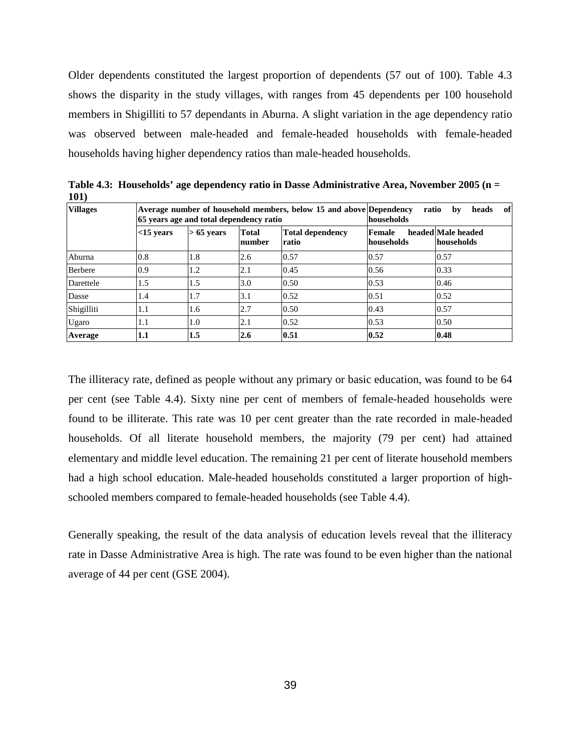Older dependents constituted the largest proportion of dependents (57 out of 100). Table 4.3 shows the disparity in the study villages, with ranges from 45 dependents per 100 household members in Shigilliti to 57 dependants in Aburna. A slight variation in the age dependency ratio was observed between male-headed and female-headed households with female-headed households having higher dependency ratios than male-headed households.

| <b>Villages</b> |              | Average number of household members, below 15 and above Dependency<br>65 years age and total dependency ratio | of<br>ratio<br>heads<br>by<br>households |                                  |                      |                                  |
|-----------------|--------------|---------------------------------------------------------------------------------------------------------------|------------------------------------------|----------------------------------|----------------------|----------------------------------|
|                 | $<$ 15 vears | $> 65$ years                                                                                                  | Total<br>number                          | <b>Total dependency</b><br>ratio | Female<br>households | headed Male headed<br>households |
| Aburna          | 0.8          | 1.8                                                                                                           | 2.6                                      | 0.57                             | 0.57                 | 0.57                             |
| <b>Berbere</b>  | 0.9          | 1.2                                                                                                           | 2.1                                      | 0.45                             | 0.56                 | 0.33                             |
| Darettele       | 1.5          | 1.5                                                                                                           | 3.0                                      | 0.50                             | 0.53                 | 0.46                             |
| Dasse           | 1.4          | 1.7                                                                                                           | 3.1                                      | 0.52                             | 0.51                 | 0.52                             |
| Shigilliti      | 1.1          | 1.6                                                                                                           | 2.7                                      | 0.50                             | 0.43                 | 0.57                             |
| Ugaro           | 1.1          | 1.0                                                                                                           | 2.1                                      | 0.52                             | 0.53                 | 0.50                             |
| Average         | 1.1          | 1.5                                                                                                           | 2.6                                      | 0.51                             | 0.52                 | 0.48                             |

**Table 4.3: Households' age dependency ratio in Dasse Administrative Area, November 2005 (n = 101)** 

The illiteracy rate, defined as people without any primary or basic education, was found to be 64 per cent (see Table 4.4). Sixty nine per cent of members of female-headed households were found to be illiterate. This rate was 10 per cent greater than the rate recorded in male-headed households. Of all literate household members, the majority (79 per cent) had attained elementary and middle level education. The remaining 21 per cent of literate household members had a high school education. Male-headed households constituted a larger proportion of highschooled members compared to female-headed households (see Table 4.4).

Generally speaking, the result of the data analysis of education levels reveal that the illiteracy rate in Dasse Administrative Area is high. The rate was found to be even higher than the national average of 44 per cent (GSE 2004).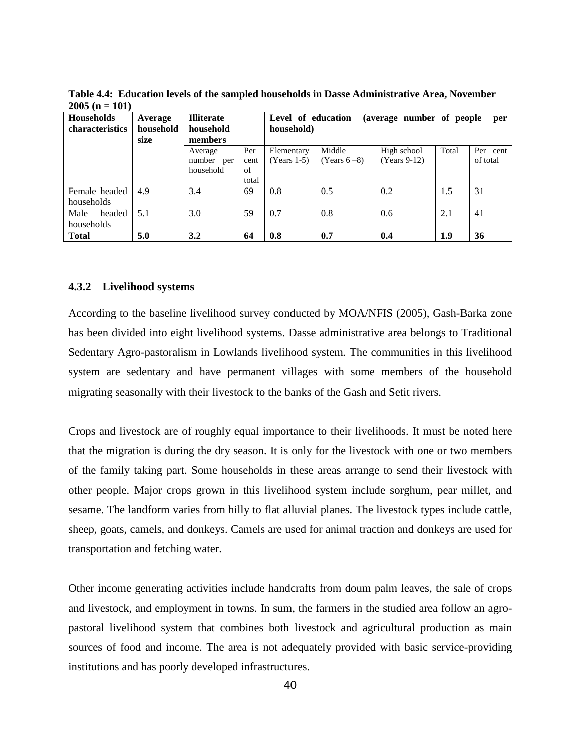| <b>Households</b> | Average   | <b>Illiterate</b> |       | Level of education |                | (average number of people) |       | per      |  |  |  |
|-------------------|-----------|-------------------|-------|--------------------|----------------|----------------------------|-------|----------|--|--|--|
| characteristics   | household | household         |       |                    | household)     |                            |       |          |  |  |  |
|                   | size      | members           |       |                    |                |                            |       |          |  |  |  |
|                   |           | Average           | Per   | Elementary         | Middle         | High school                | Total | Per cent |  |  |  |
|                   |           | number per        | cent  | $(Years 1-5)$      | (Years $6-8$ ) | $(Years 9-12)$             |       | of total |  |  |  |
|                   |           | household         | of    |                    |                |                            |       |          |  |  |  |
|                   |           |                   | total |                    |                |                            |       |          |  |  |  |
| Female headed     | 4.9       | 3.4               | 69    | 0.8                | 0.5            | 0.2                        | 1.5   | 31       |  |  |  |
| households        |           |                   |       |                    |                |                            |       |          |  |  |  |
| Male<br>headed    | 5.1       | 3.0               | 59    | 0.7                | 0.8            | 0.6                        | 2.1   | 41       |  |  |  |
| households        |           |                   |       |                    |                |                            |       |          |  |  |  |
| <b>Total</b>      | 5.0       | 3.2               | 64    | 0.8                | 0.7            | 0.4                        | 1.9   | 36       |  |  |  |

**Table 4.4: Education levels of the sampled households in Dasse Administrative Area, November 2005 (n = 101)** 

### **4.3.2 Livelihood systems**

According to the baseline livelihood survey conducted by MOA/NFIS (2005), Gash-Barka zone has been divided into eight livelihood systems. Dasse administrative area belongs to Traditional Sedentary Agro-pastoralism in Lowlands livelihood system*.* The communities in this livelihood system are sedentary and have permanent villages with some members of the household migrating seasonally with their livestock to the banks of the Gash and Setit rivers.

Crops and livestock are of roughly equal importance to their livelihoods. It must be noted here that the migration is during the dry season. It is only for the livestock with one or two members of the family taking part. Some households in these areas arrange to send their livestock with other people. Major crops grown in this livelihood system include sorghum, pear millet, and sesame. The landform varies from hilly to flat alluvial planes. The livestock types include cattle, sheep, goats, camels, and donkeys. Camels are used for animal traction and donkeys are used for transportation and fetching water.

Other income generating activities include handcrafts from doum palm leaves, the sale of crops and livestock, and employment in towns. In sum, the farmers in the studied area follow an agropastoral livelihood system that combines both livestock and agricultural production as main sources of food and income. The area is not adequately provided with basic service-providing institutions and has poorly developed infrastructures.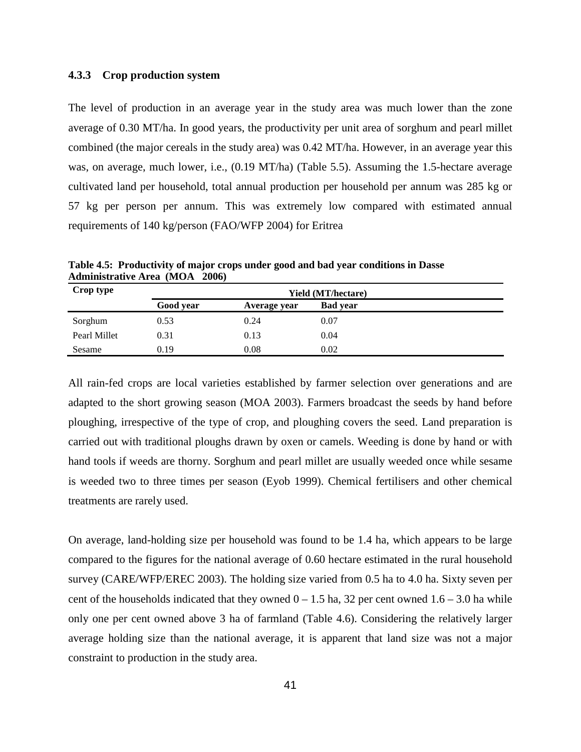#### **4.3.3 Crop production system**

The level of production in an average year in the study area was much lower than the zone average of 0.30 MT/ha. In good years, the productivity per unit area of sorghum and pearl millet combined (the major cereals in the study area) was 0.42 MT/ha. However, in an average year this was, on average, much lower, i.e.,  $(0.19 \text{ MT/ha})$  (Table 5.5). Assuming the 1.5-hectare average cultivated land per household, total annual production per household per annum was 285 kg or 57 kg per person per annum. This was extremely low compared with estimated annual requirements of 140 kg/person (FAO/WFP 2004) for Eritrea

| Crop type    | <b>Yield (MT/hectare)</b> |              |                 |  |  |  |  |  |
|--------------|---------------------------|--------------|-----------------|--|--|--|--|--|
|              | Good year                 | Average year | <b>Bad</b> year |  |  |  |  |  |
| Sorghum      | 0.53                      | 0.24         | 0.07            |  |  |  |  |  |
| Pearl Millet | 0.31                      | 0.13         | 0.04            |  |  |  |  |  |
| Sesame       | 0.19                      | 0.08         | 0.02            |  |  |  |  |  |

**Table 4.5: Productivity of major crops under good and bad year conditions in Dasse Administrative Area (MOA 2006)** 

All rain-fed crops are local varieties established by farmer selection over generations and are adapted to the short growing season (MOA 2003). Farmers broadcast the seeds by hand before ploughing, irrespective of the type of crop, and ploughing covers the seed. Land preparation is carried out with traditional ploughs drawn by oxen or camels. Weeding is done by hand or with hand tools if weeds are thorny. Sorghum and pearl millet are usually weeded once while sesame is weeded two to three times per season (Eyob 1999). Chemical fertilisers and other chemical treatments are rarely used.

On average, land-holding size per household was found to be 1.4 ha, which appears to be large compared to the figures for the national average of 0.60 hectare estimated in the rural household survey (CARE/WFP/EREC 2003). The holding size varied from 0.5 ha to 4.0 ha. Sixty seven per cent of the households indicated that they owned  $0 - 1.5$  ha, 32 per cent owned  $1.6 - 3.0$  ha while only one per cent owned above 3 ha of farmland (Table 4.6). Considering the relatively larger average holding size than the national average, it is apparent that land size was not a major constraint to production in the study area.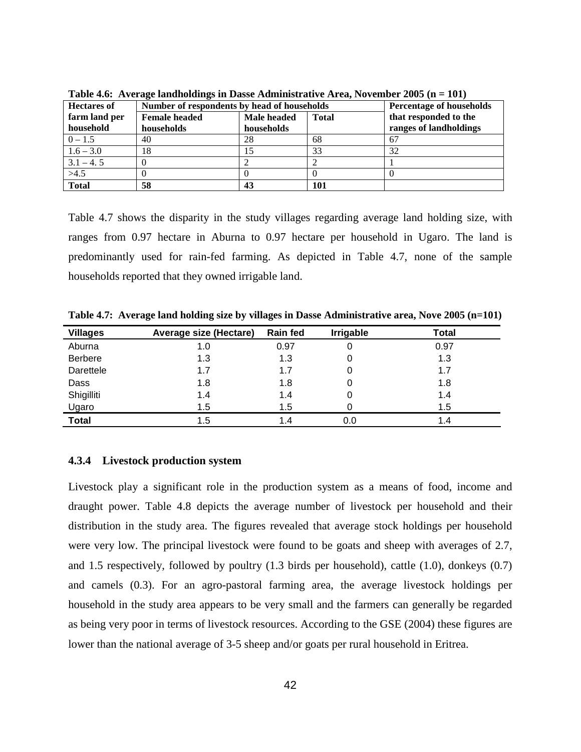| <b>Hectares of</b> |                      | Number of respondents by head of households |              |                        |  |  |  |  |
|--------------------|----------------------|---------------------------------------------|--------------|------------------------|--|--|--|--|
| farm land per      | <b>Female</b> headed | Male headed                                 | <b>Total</b> | that responded to the  |  |  |  |  |
| household          | households           | households                                  |              | ranges of landholdings |  |  |  |  |
| $0 - 1.5$          | 40                   | 28                                          | 68           | 67                     |  |  |  |  |
| $1.6 - 3.0$        | 18                   |                                             | 33           | 32                     |  |  |  |  |
| $3.1 - 4.5$        |                      |                                             |              |                        |  |  |  |  |
| >4.5               |                      |                                             |              |                        |  |  |  |  |
| <b>Total</b>       | 58                   |                                             | 101          |                        |  |  |  |  |

**Table 4.6: Average landholdings in Dasse Administrative Area, November 2005 (n = 101)** 

Table 4.7 shows the disparity in the study villages regarding average land holding size, with ranges from 0.97 hectare in Aburna to 0.97 hectare per household in Ugaro. The land is predominantly used for rain-fed farming. As depicted in Table 4.7, none of the sample households reported that they owned irrigable land.

**Table 4.7: Average land holding size by villages in Dasse Administrative area, Nove 2005 (n=101)** 

| <b>Villages</b> | <b>Average size (Hectare)</b> | <b>Rain fed</b> | Irrigable | <b>Total</b> |
|-----------------|-------------------------------|-----------------|-----------|--------------|
| Aburna          | 1.0                           | 0.97            | 0         | 0.97         |
| <b>Berbere</b>  | 1.3                           | 1.3             | 0         | 1.3          |
| Darettele       | 1.7                           | 1.7             | 0         | 1.7          |
| Dass            | 1.8                           | 1.8             | 0         | 1.8          |
| Shigilliti      | 1.4                           | 1.4             | 0         | 1.4          |
| Ugaro           | 1.5                           | 1.5             | 0         | 1.5          |
| <b>Total</b>    | 1.5                           | 1.4             | 0.0       | 1.4          |

#### **4.3.4 Livestock production system**

Livestock play a significant role in the production system as a means of food, income and draught power. Table 4.8 depicts the average number of livestock per household and their distribution in the study area. The figures revealed that average stock holdings per household were very low. The principal livestock were found to be goats and sheep with averages of 2.7, and 1.5 respectively, followed by poultry (1.3 birds per household), cattle (1.0), donkeys (0.7) and camels (0.3). For an agro-pastoral farming area, the average livestock holdings per household in the study area appears to be very small and the farmers can generally be regarded as being very poor in terms of livestock resources. According to the GSE (2004) these figures are lower than the national average of 3-5 sheep and/or goats per rural household in Eritrea.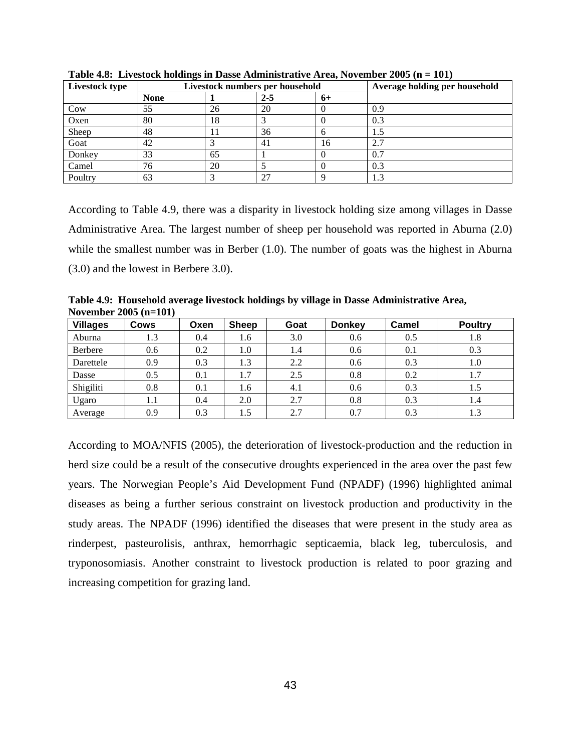| Livestock type |             |     | Livestock numbers per household |      | Average holding per household |
|----------------|-------------|-----|---------------------------------|------|-------------------------------|
|                | <b>None</b> |     | $2 - 5$                         | $6+$ |                               |
| Cow            | 55          | 26  | 20                              |      | 0.9                           |
| Oxen           | 80          | 18  |                                 | v    | 0.3                           |
| Sheep          | 48          | . . | 36                              | O    | 1.5                           |
| Goat           | 42          |     | 41                              | 16   | 2.7                           |
| Donkey         | 33          | 65  |                                 | v    | 0.7                           |
| Camel          | 76          | 20  |                                 |      | 0.3                           |
| Poultry        | 63          |     | 27                              |      | 1.3                           |

**Table 4.8: Livestock holdings in Dasse Administrative Area, November 2005 (n = 101)** 

According to Table 4.9, there was a disparity in livestock holding size among villages in Dasse Administrative Area. The largest number of sheep per household was reported in Aburna (2.0) while the smallest number was in Berber (1.0). The number of goats was the highest in Aburna (3.0) and the lowest in Berbere 3.0).

**Table 4.9: Household average livestock holdings by village in Dasse Administrative Area, November 2005 (n=101)** 

| <b>Villages</b> | <b>Cows</b> | Oxen | <b>Sheep</b> | Goat | <b>Donkey</b> | Camel | <b>Poultry</b> |
|-----------------|-------------|------|--------------|------|---------------|-------|----------------|
| Aburna          | 1.3         | 0.4  | 1.6          | 3.0  | 0.6           | 0.5   | 1.8            |
| Berbere         | 0.6         | 0.2  | 1.0          | 1.4  | 0.6           | 0.1   | 0.3            |
| Darettele       | 0.9         | 0.3  | 1.3          | 2.2  | 0.6           | 0.3   | 1.0            |
| Dasse           | 0.5         | 0.1  | 1.7          | 2.5  | 0.8           | 0.2   | 1.7            |
| Shigiliti       | 0.8         | 0.1  | 1.6          | 4.1  | 0.6           | 0.3   | 1.5            |
| Ugaro           | 1.1         | 0.4  | 2.0          | 2.7  | 0.8           | 0.3   | 1.4            |
| Average         | 0.9         | 0.3  | 1.5          | 2.7  | 0.7           | 0.3   | 1.3            |

According to MOA/NFIS (2005), the deterioration of livestock-production and the reduction in herd size could be a result of the consecutive droughts experienced in the area over the past few years. The Norwegian People's Aid Development Fund (NPADF) (1996) highlighted animal diseases as being a further serious constraint on livestock production and productivity in the study areas. The NPADF (1996) identified the diseases that were present in the study area as rinderpest, pasteurolisis, anthrax, hemorrhagic septicaemia, black leg, tuberculosis, and tryponosomiasis. Another constraint to livestock production is related to poor grazing and increasing competition for grazing land.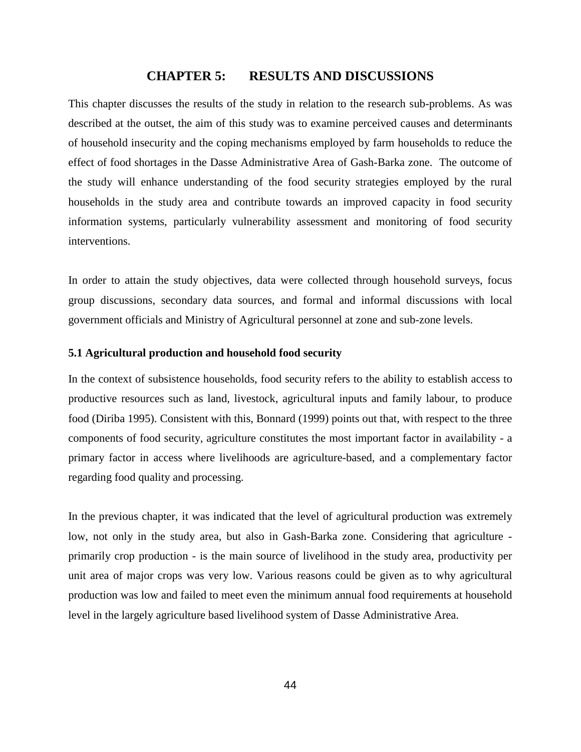### **CHAPTER 5: RESULTS AND DISCUSSIONS**

This chapter discusses the results of the study in relation to the research sub-problems. As was described at the outset, the aim of this study was to examine perceived causes and determinants of household insecurity and the coping mechanisms employed by farm households to reduce the effect of food shortages in the Dasse Administrative Area of Gash-Barka zone. The outcome of the study will enhance understanding of the food security strategies employed by the rural households in the study area and contribute towards an improved capacity in food security information systems, particularly vulnerability assessment and monitoring of food security interventions.

In order to attain the study objectives, data were collected through household surveys, focus group discussions, secondary data sources, and formal and informal discussions with local government officials and Ministry of Agricultural personnel at zone and sub-zone levels.

### **5.1 Agricultural production and household food security**

In the context of subsistence households, food security refers to the ability to establish access to productive resources such as land, livestock, agricultural inputs and family labour, to produce food (Diriba 1995). Consistent with this, Bonnard (1999) points out that, with respect to the three components of food security, agriculture constitutes the most important factor in availability - a primary factor in access where livelihoods are agriculture-based, and a complementary factor regarding food quality and processing.

In the previous chapter, it was indicated that the level of agricultural production was extremely low, not only in the study area, but also in Gash-Barka zone. Considering that agriculture primarily crop production - is the main source of livelihood in the study area, productivity per unit area of major crops was very low. Various reasons could be given as to why agricultural production was low and failed to meet even the minimum annual food requirements at household level in the largely agriculture based livelihood system of Dasse Administrative Area.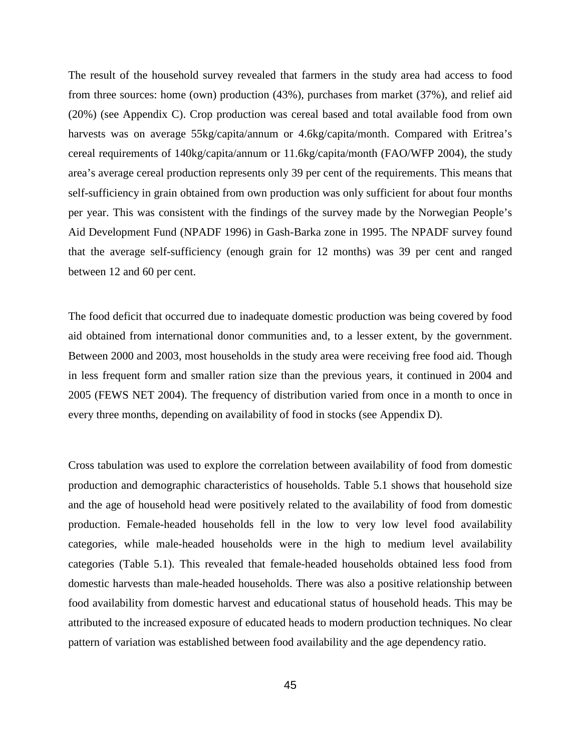The result of the household survey revealed that farmers in the study area had access to food from three sources: home (own) production (43%), purchases from market (37%), and relief aid (20%) (see Appendix C). Crop production was cereal based and total available food from own harvests was on average 55kg/capita/annum or 4.6kg/capita/month. Compared with Eritrea's cereal requirements of 140kg/capita/annum or 11.6kg/capita/month (FAO/WFP 2004), the study area's average cereal production represents only 39 per cent of the requirements. This means that self-sufficiency in grain obtained from own production was only sufficient for about four months per year. This was consistent with the findings of the survey made by the Norwegian People's Aid Development Fund (NPADF 1996) in Gash-Barka zone in 1995. The NPADF survey found that the average self-sufficiency (enough grain for 12 months) was 39 per cent and ranged between 12 and 60 per cent.

The food deficit that occurred due to inadequate domestic production was being covered by food aid obtained from international donor communities and, to a lesser extent, by the government. Between 2000 and 2003, most households in the study area were receiving free food aid. Though in less frequent form and smaller ration size than the previous years, it continued in 2004 and 2005 (FEWS NET 2004). The frequency of distribution varied from once in a month to once in every three months, depending on availability of food in stocks (see Appendix D).

Cross tabulation was used to explore the correlation between availability of food from domestic production and demographic characteristics of households. Table 5.1 shows that household size and the age of household head were positively related to the availability of food from domestic production. Female-headed households fell in the low to very low level food availability categories, while male-headed households were in the high to medium level availability categories (Table 5.1). This revealed that female-headed households obtained less food from domestic harvests than male-headed households. There was also a positive relationship between food availability from domestic harvest and educational status of household heads. This may be attributed to the increased exposure of educated heads to modern production techniques. No clear pattern of variation was established between food availability and the age dependency ratio.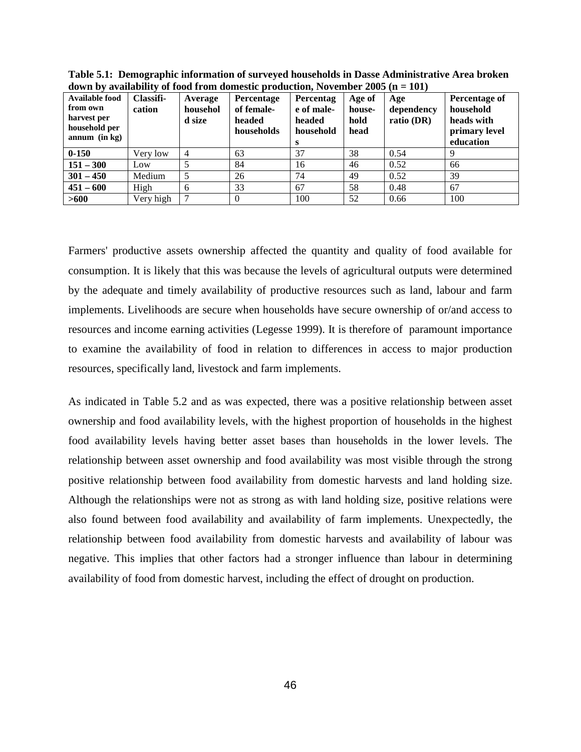| Available food<br>from own<br>harvest per<br>household per<br>$annum$ (in kg) | Classifi-<br>cation | Average<br>househol<br>d size | $\alpha$ and $\alpha$ and $\alpha$ and $\alpha$ and $\alpha$ and $\alpha$ and $\alpha$ and $\alpha$ and $\alpha$ and $\alpha$ and $\alpha$ and $\alpha$ and $\alpha$ and $\alpha$ and $\alpha$ and $\alpha$ and $\alpha$ and $\alpha$ and $\alpha$ and $\alpha$ and $\alpha$ and $\alpha$ and $\alpha$ and $\alpha$ and $\alpha$<br>Percentage<br>of female-<br>headed<br>households | Percentag<br>e of male-<br>headed<br>household<br>s | Age of<br>house-<br>hold<br>head | Age<br>dependency<br>ratio $(DR)$ | Percentage of<br>household<br>heads with<br>primary level<br>education |
|-------------------------------------------------------------------------------|---------------------|-------------------------------|--------------------------------------------------------------------------------------------------------------------------------------------------------------------------------------------------------------------------------------------------------------------------------------------------------------------------------------------------------------------------------------|-----------------------------------------------------|----------------------------------|-----------------------------------|------------------------------------------------------------------------|
| $0 - 150$                                                                     | Very low            | $\overline{4}$                | 63                                                                                                                                                                                                                                                                                                                                                                                   | 37                                                  | 38                               | 0.54                              |                                                                        |
| $151 - 300$                                                                   | Low                 |                               | 84                                                                                                                                                                                                                                                                                                                                                                                   | 16                                                  | 46                               | 0.52                              | 66                                                                     |
| $301 - 450$                                                                   | Medium              | 5                             | 26                                                                                                                                                                                                                                                                                                                                                                                   | 74                                                  | 49                               | 0.52                              | 39                                                                     |
| $451 - 600$                                                                   | High                | 6                             | 33                                                                                                                                                                                                                                                                                                                                                                                   | 67                                                  | 58                               | 0.48                              | 67                                                                     |
| >600                                                                          | Very high           |                               | $\theta$                                                                                                                                                                                                                                                                                                                                                                             | 100                                                 | 52                               | 0.66                              | 100                                                                    |

**Table 5.1: Demographic information of surveyed households in Dasse Administrative Area broken down by availability of food from domestic production, November 2005 (n = 101)** 

Farmers' productive assets ownership affected the quantity and quality of food available for consumption. It is likely that this was because the levels of agricultural outputs were determined by the adequate and timely availability of productive resources such as land, labour and farm implements. Livelihoods are secure when households have secure ownership of or/and access to resources and income earning activities (Legesse 1999). It is therefore of paramount importance to examine the availability of food in relation to differences in access to major production resources, specifically land, livestock and farm implements.

As indicated in Table 5.2 and as was expected, there was a positive relationship between asset ownership and food availability levels, with the highest proportion of households in the highest food availability levels having better asset bases than households in the lower levels. The relationship between asset ownership and food availability was most visible through the strong positive relationship between food availability from domestic harvests and land holding size. Although the relationships were not as strong as with land holding size, positive relations were also found between food availability and availability of farm implements. Unexpectedly, the relationship between food availability from domestic harvests and availability of labour was negative. This implies that other factors had a stronger influence than labour in determining availability of food from domestic harvest, including the effect of drought on production.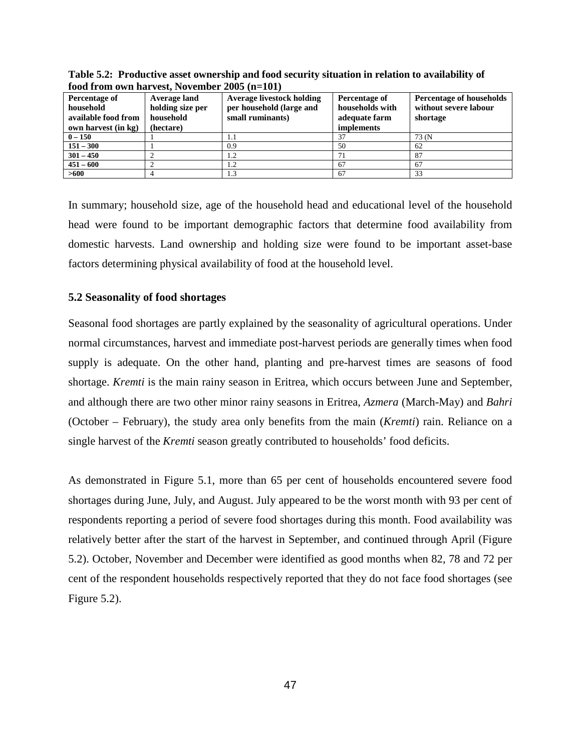| $1000$ if $001$ own hat vest, two emperations ( $1 - 101$ ) |                                  |                   |                                 |  |  |  |  |  |  |  |  |  |
|-------------------------------------------------------------|----------------------------------|-------------------|---------------------------------|--|--|--|--|--|--|--|--|--|
| Average land                                                | <b>Average livestock holding</b> | Percentage of     | <b>Percentage of households</b> |  |  |  |  |  |  |  |  |  |
| holding size per                                            | per household (large and         | households with   | without severe labour           |  |  |  |  |  |  |  |  |  |
| household                                                   | small ruminants)                 | adequate farm     | shortage                        |  |  |  |  |  |  |  |  |  |
| (hectare)                                                   |                                  | <i>implements</i> |                                 |  |  |  |  |  |  |  |  |  |
|                                                             |                                  |                   | 73 (N                           |  |  |  |  |  |  |  |  |  |
|                                                             | 0.9                              | 50                | 62                              |  |  |  |  |  |  |  |  |  |
|                                                             | 1.2                              | 71                | 87                              |  |  |  |  |  |  |  |  |  |
|                                                             | 1.2                              | 67                | 67                              |  |  |  |  |  |  |  |  |  |
|                                                             | 1.3                              | 67                | 33                              |  |  |  |  |  |  |  |  |  |
|                                                             |                                  |                   |                                 |  |  |  |  |  |  |  |  |  |

**Table 5.2: Productive asset ownership and food security situation in relation to availability of food from own harvest, November 2005 (n=101)**

In summary; household size, age of the household head and educational level of the household head were found to be important demographic factors that determine food availability from domestic harvests. Land ownership and holding size were found to be important asset-base factors determining physical availability of food at the household level.

### **5.2 Seasonality of food shortages**

Seasonal food shortages are partly explained by the seasonality of agricultural operations. Under normal circumstances, harvest and immediate post-harvest periods are generally times when food supply is adequate. On the other hand, planting and pre-harvest times are seasons of food shortage. *Kremti* is the main rainy season in Eritrea, which occurs between June and September, and although there are two other minor rainy seasons in Eritrea, *Azmera* (March-May) and *Bahri* (October – February), the study area only benefits from the main (*Kremti*) rain. Reliance on a single harvest of the *Kremti* season greatly contributed to households' food deficits.

As demonstrated in Figure 5.1, more than 65 per cent of households encountered severe food shortages during June, July, and August. July appeared to be the worst month with 93 per cent of respondents reporting a period of severe food shortages during this month. Food availability was relatively better after the start of the harvest in September, and continued through April (Figure 5.2). October, November and December were identified as good months when 82, 78 and 72 per cent of the respondent households respectively reported that they do not face food shortages (see Figure 5.2).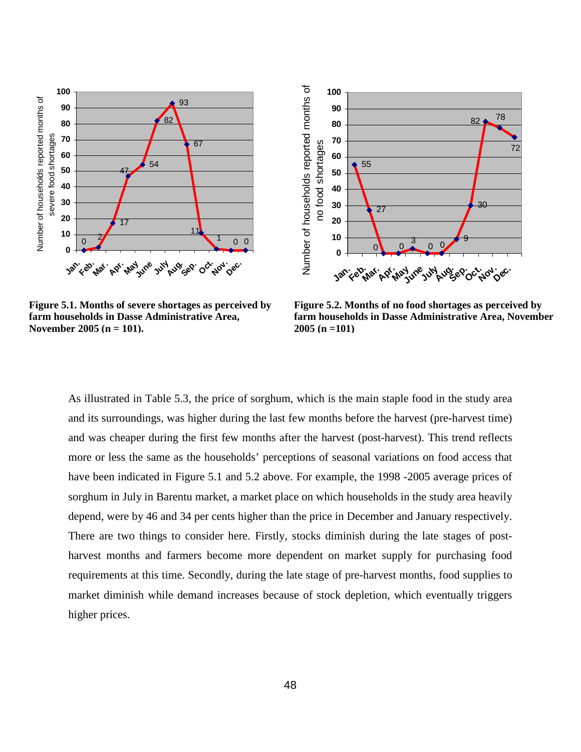

**Figure 5.1. Months of severe shortages as perceived by farm households in Dasse Administrative Area, November 2005 (n = 101).**



**Figure 5.2. Months of no food shortages as perceived by farm households in Dasse Administrative Area, November 2005 (n =101)**

As illustrated in Table 5.3, the price of sorghum, which is the main staple food in the study area and its surroundings, was higher during the last few months before the harvest (pre-harvest time) and was cheaper during the first few months after the harvest (post-harvest). This trend reflects more or less the same as the households' perceptions of seasonal variations on food access that have been indicated in Figure 5.1 and 5.2 above. For example, the 1998 -2005 average prices of sorghum in July in Barentu market, a market place on which households in the study area heavily depend, were by 46 and 34 per cents higher than the price in December and January respectively. There are two things to consider here. Firstly, stocks diminish during the late stages of postharvest months and farmers become more dependent on market supply for purchasing food requirements at this time. Secondly, during the late stage of pre-harvest months, food supplies to market diminish while demand increases because of stock depletion, which eventually triggers higher prices.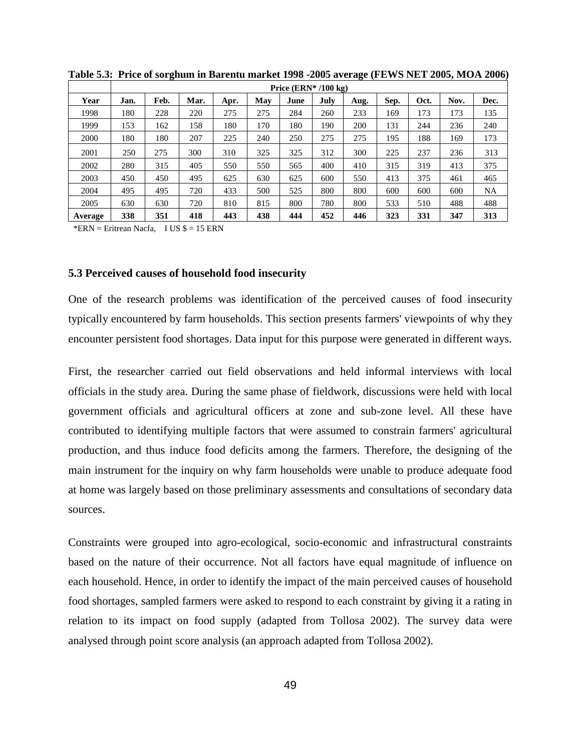|         | Price $(ERN* / 100 kg)$ |      |      |      |     |      |      |      |      |      |      |           |
|---------|-------------------------|------|------|------|-----|------|------|------|------|------|------|-----------|
| Year    | Jan.                    | Feb. | Mar. | Apr. | May | June | July | Aug. | Sep. | Oct. | Nov. | Dec.      |
| 1998    | 180                     | 228  | 220  | 275  | 275 | 284  | 260  | 233  | 169  | 173  | 173  | 135       |
| 1999    | 153                     | 162  | 158  | 180  | 170 | 180  | 190  | 200  | 131  | 244  | 236  | 240       |
| 2000    | 180                     | 180  | 207  | 225  | 240 | 250  | 275  | 275  | 195  | 188  | 169  | 173       |
| 2001    | 250                     | 275  | 300  | 310  | 325 | 325  | 312  | 300  | 225  | 237  | 236  | 313       |
| 2002    | 280                     | 315  | 405  | 550  | 550 | 565  | 400  | 410  | 315  | 319  | 413  | 375       |
| 2003    | 450                     | 450  | 495  | 625  | 630 | 625  | 600  | 550  | 413  | 375  | 461  | 465       |
| 2004    | 495                     | 495  | 720  | 433  | 500 | 525  | 800  | 800  | 600  | 600  | 600  | <b>NA</b> |
| 2005    | 630                     | 630  | 720  | 810  | 815 | 800  | 780  | 800  | 533  | 510  | 488  | 488       |
| Average | 338                     | 351  | 418  | 443  | 438 | 444  | 452  | 446  | 323  | 331  | 347  | 313       |

**Table 5.3: Price of sorghum in Barentu market 1998 -2005 average (FEWS NET 2005, MOA 2006)** 

 $*ERN = Eritrean Nacfa$ , I US  $$ = 15$  ERN

#### **5.3 Perceived causes of household food insecurity**

One of the research problems was identification of the perceived causes of food insecurity typically encountered by farm households. This section presents farmers' viewpoints of why they encounter persistent food shortages. Data input for this purpose were generated in different ways.

First, the researcher carried out field observations and held informal interviews with local officials in the study area. During the same phase of fieldwork, discussions were held with local government officials and agricultural officers at zone and sub-zone level. All these have contributed to identifying multiple factors that were assumed to constrain farmers' agricultural production, and thus induce food deficits among the farmers. Therefore, the designing of the main instrument for the inquiry on why farm households were unable to produce adequate food at home was largely based on those preliminary assessments and consultations of secondary data sources.

Constraints were grouped into agro-ecological, socio-economic and infrastructural constraints based on the nature of their occurrence. Not all factors have equal magnitude of influence on each household. Hence, in order to identify the impact of the main perceived causes of household food shortages, sampled farmers were asked to respond to each constraint by giving it a rating in relation to its impact on food supply (adapted from Tollosa 2002). The survey data were analysed through point score analysis (an approach adapted from Tollosa 2002).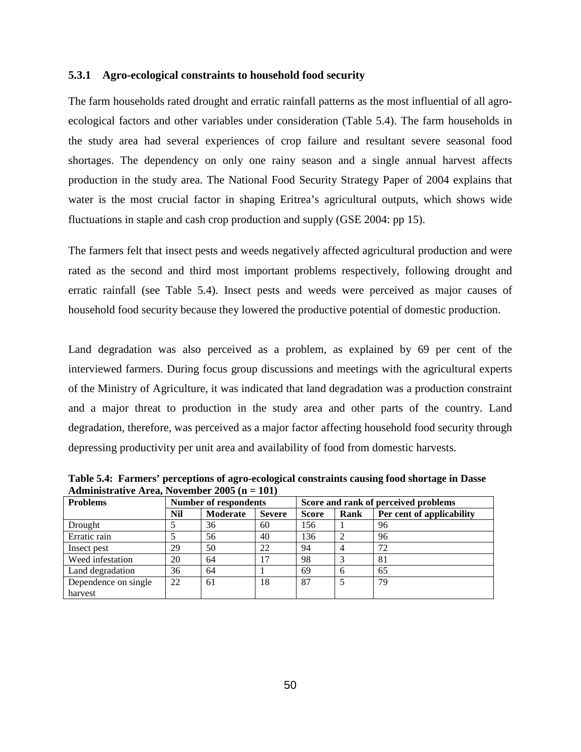### **5.3.1 Agro-ecological constraints to household food security**

The farm households rated drought and erratic rainfall patterns as the most influential of all agroecological factors and other variables under consideration (Table 5.4). The farm households in the study area had several experiences of crop failure and resultant severe seasonal food shortages. The dependency on only one rainy season and a single annual harvest affects production in the study area. The National Food Security Strategy Paper of 2004 explains that water is the most crucial factor in shaping Eritrea's agricultural outputs, which shows wide fluctuations in staple and cash crop production and supply (GSE 2004: pp 15).

The farmers felt that insect pests and weeds negatively affected agricultural production and were rated as the second and third most important problems respectively, following drought and erratic rainfall (see Table 5.4). Insect pests and weeds were perceived as major causes of household food security because they lowered the productive potential of domestic production.

Land degradation was also perceived as a problem, as explained by 69 per cent of the interviewed farmers. During focus group discussions and meetings with the agricultural experts of the Ministry of Agriculture, it was indicated that land degradation was a production constraint and a major threat to production in the study area and other parts of the country. Land degradation, therefore, was perceived as a major factor affecting household food security through depressing productivity per unit area and availability of food from domestic harvests.

| <b>Problems</b>      | Number of respondents |          |               | Score and rank of perceived problems |      |                           |  |  |
|----------------------|-----------------------|----------|---------------|--------------------------------------|------|---------------------------|--|--|
|                      | Nil                   | Moderate | <b>Severe</b> | <b>Score</b>                         | Rank | Per cent of applicability |  |  |
| Drought              |                       | 36       | 60            | 156                                  |      | 96                        |  |  |
| Erratic rain         |                       | 56       | 40            | 136                                  |      | 96                        |  |  |
| Insect pest          | 29                    | 50       | 22            | 94                                   |      | 72                        |  |  |
| Weed infestation     | 20                    | 64       | 17            | 98                                   | 3    | 81                        |  |  |
| Land degradation     | 36                    | 64       |               | 69                                   | 6    | 65                        |  |  |
| Dependence on single | 22                    | 61       | 18            | 87                                   | 5    | 79                        |  |  |
| harvest              |                       |          |               |                                      |      |                           |  |  |

**Table 5.4: Farmers' perceptions of agro-ecological constraints causing food shortage in Dasse Administrative Area, November 2005 (n = 101)**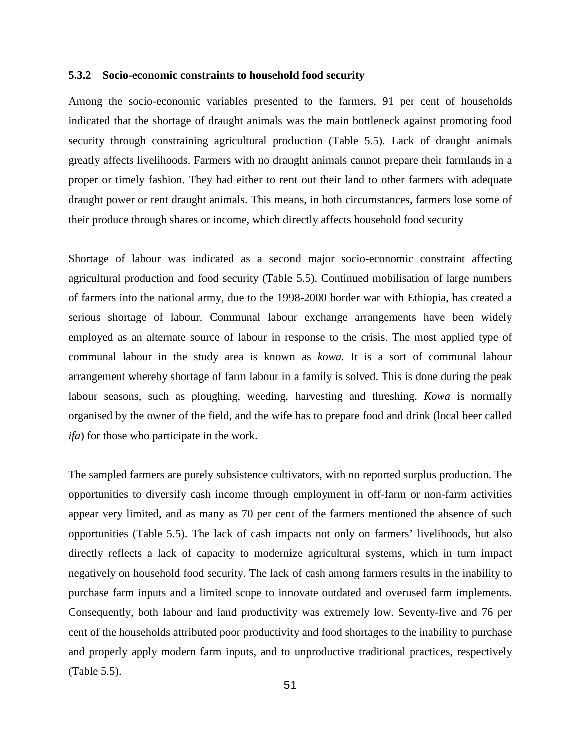### **5.3.2 Socio-economic constraints to household food security**

Among the socio-economic variables presented to the farmers, 91 per cent of households indicated that the shortage of draught animals was the main bottleneck against promoting food security through constraining agricultural production (Table 5.5). Lack of draught animals greatly affects livelihoods. Farmers with no draught animals cannot prepare their farmlands in a proper or timely fashion. They had either to rent out their land to other farmers with adequate draught power or rent draught animals. This means, in both circumstances, farmers lose some of their produce through shares or income, which directly affects household food security

Shortage of labour was indicated as a second major socio-economic constraint affecting agricultural production and food security (Table 5.5). Continued mobilisation of large numbers of farmers into the national army, due to the 1998-2000 border war with Ethiopia, has created a serious shortage of labour. Communal labour exchange arrangements have been widely employed as an alternate source of labour in response to the crisis. The most applied type of communal labour in the study area is known as *kowa.* It is a sort of communal labour arrangement whereby shortage of farm labour in a family is solved. This is done during the peak labour seasons, such as ploughing, weeding, harvesting and threshing. *Kowa* is normally organised by the owner of the field, and the wife has to prepare food and drink (local beer called *ifa*) for those who participate in the work.

The sampled farmers are purely subsistence cultivators, with no reported surplus production. The opportunities to diversify cash income through employment in off-farm or non-farm activities appear very limited, and as many as 70 per cent of the farmers mentioned the absence of such opportunities (Table 5.5). The lack of cash impacts not only on farmers' livelihoods, but also directly reflects a lack of capacity to modernize agricultural systems, which in turn impact negatively on household food security. The lack of cash among farmers results in the inability to purchase farm inputs and a limited scope to innovate outdated and overused farm implements. Consequently, both labour and land productivity was extremely low. Seventy-five and 76 per cent of the households attributed poor productivity and food shortages to the inability to purchase and properly apply modern farm inputs, and to unproductive traditional practices, respectively (Table 5.5).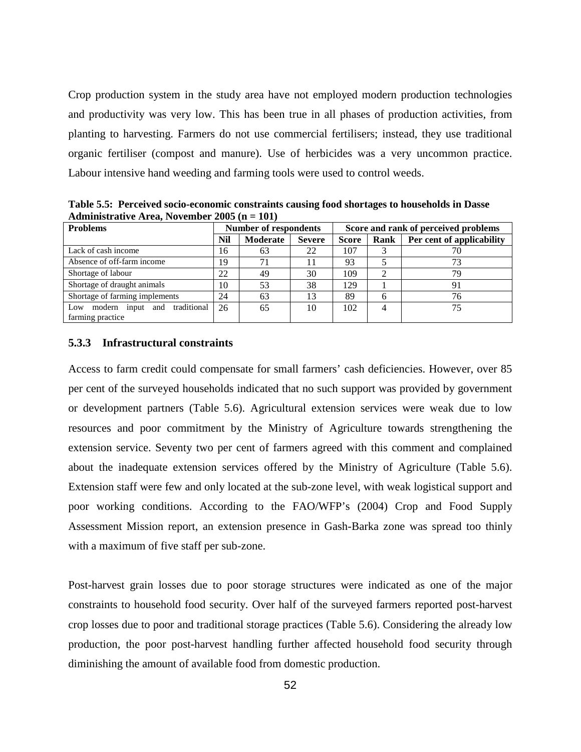Crop production system in the study area have not employed modern production technologies and productivity was very low. This has been true in all phases of production activities, from planting to harvesting. Farmers do not use commercial fertilisers; instead, they use traditional organic fertiliser (compost and manure). Use of herbicides was a very uncommon practice. Labour intensive hand weeding and farming tools were used to control weeds.

**Problems** Number of respondents Score and rank of perceived problems Nil | Moderate | Severe | Score | Rank | Per cent of applicability Lack of cash income  $16 \mid 63 \mid 22 \mid 107 \mid 3 \mid 70$ Absence of off-farm income 19 71 11 93 5 73 Shortage of labour 22 49 30 109 2 79 Shortage of draught animals 10 53 38 129 1 91 Shortage of farming implements  $\begin{array}{|c|c|c|c|c|c|c|c|c|} \hline 24 & 63 & 13 & 89 & 6 & 76 \ \hline \end{array}$ Low modern input and traditional farming practice 26 65 10 102 4 75

**Table 5.5: Perceived socio-economic constraints causing food shortages to households in Dasse Administrative Area, November 2005 (n = 101)** 

#### **5.3.3 Infrastructural constraints**

Access to farm credit could compensate for small farmers' cash deficiencies. However, over 85 per cent of the surveyed households indicated that no such support was provided by government or development partners (Table 5.6). Agricultural extension services were weak due to low resources and poor commitment by the Ministry of Agriculture towards strengthening the extension service. Seventy two per cent of farmers agreed with this comment and complained about the inadequate extension services offered by the Ministry of Agriculture (Table 5.6). Extension staff were few and only located at the sub-zone level, with weak logistical support and poor working conditions. According to the FAO/WFP's (2004) Crop and Food Supply Assessment Mission report, an extension presence in Gash-Barka zone was spread too thinly with a maximum of five staff per sub-zone.

Post-harvest grain losses due to poor storage structures were indicated as one of the major constraints to household food security. Over half of the surveyed farmers reported post-harvest crop losses due to poor and traditional storage practices (Table 5.6). Considering the already low production, the poor post-harvest handling further affected household food security through diminishing the amount of available food from domestic production.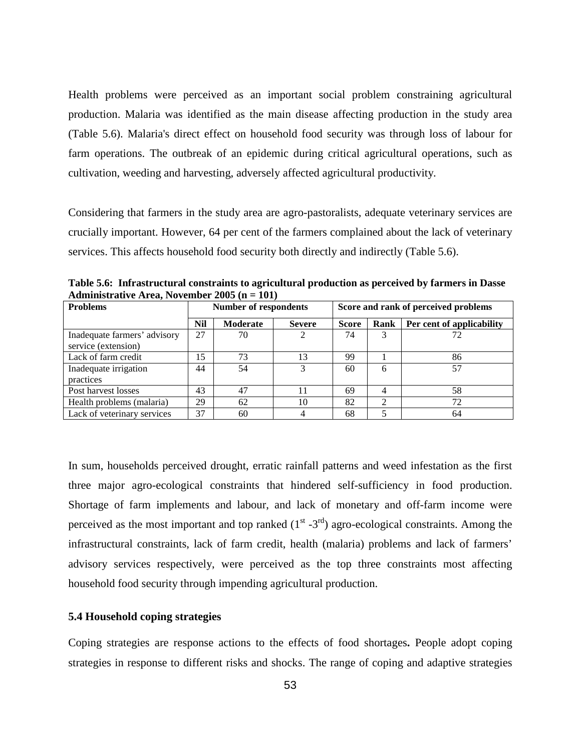Health problems were perceived as an important social problem constraining agricultural production. Malaria was identified as the main disease affecting production in the study area (Table 5.6). Malaria's direct effect on household food security was through loss of labour for farm operations. The outbreak of an epidemic during critical agricultural operations, such as cultivation, weeding and harvesting, adversely affected agricultural productivity.

Considering that farmers in the study area are agro-pastoralists, adequate veterinary services are crucially important. However, 64 per cent of the farmers complained about the lack of veterinary services. This affects household food security both directly and indirectly (Table 5.6).

**Table 5.6: Infrastructural constraints to agricultural production as perceived by farmers in Dasse Administrative Area, November 2005 (n = 101)** 

| <b>Problems</b>              | <b>Number of respondents</b> |                 |               | Score and rank of perceived problems |      |                           |  |
|------------------------------|------------------------------|-----------------|---------------|--------------------------------------|------|---------------------------|--|
|                              | <b>Nil</b>                   | <b>Moderate</b> | <b>Severe</b> | <b>Score</b>                         | Rank | Per cent of applicability |  |
| Inadequate farmers' advisory | 27                           | 70              |               | 74                                   | 3    |                           |  |
| service (extension)          |                              |                 |               |                                      |      |                           |  |
| Lack of farm credit          | 15                           | 73              | 13            | 99                                   |      | 86                        |  |
| Inadequate irrigation        | 44                           | 54              |               | 60                                   | 6    | 57                        |  |
| practices                    |                              |                 |               |                                      |      |                           |  |
| Post harvest losses          | 43                           | 47              |               | 69                                   |      | 58                        |  |
| Health problems (malaria)    | 29                           | 62              | 10            | 82                                   | ◠    | 72                        |  |
| Lack of veterinary services  | 37                           | 60              |               | 68                                   |      | 64                        |  |

In sum, households perceived drought, erratic rainfall patterns and weed infestation as the first three major agro-ecological constraints that hindered self-sufficiency in food production. Shortage of farm implements and labour, and lack of monetary and off-farm income were perceived as the most important and top ranked  $(1<sup>st</sup> -3<sup>rd</sup>)$  agro-ecological constraints. Among the infrastructural constraints, lack of farm credit, health (malaria) problems and lack of farmers' advisory services respectively, were perceived as the top three constraints most affecting household food security through impending agricultural production.

### **5.4 Household coping strategies**

Coping strategies are response actions to the effects of food shortages**.** People adopt coping strategies in response to different risks and shocks. The range of coping and adaptive strategies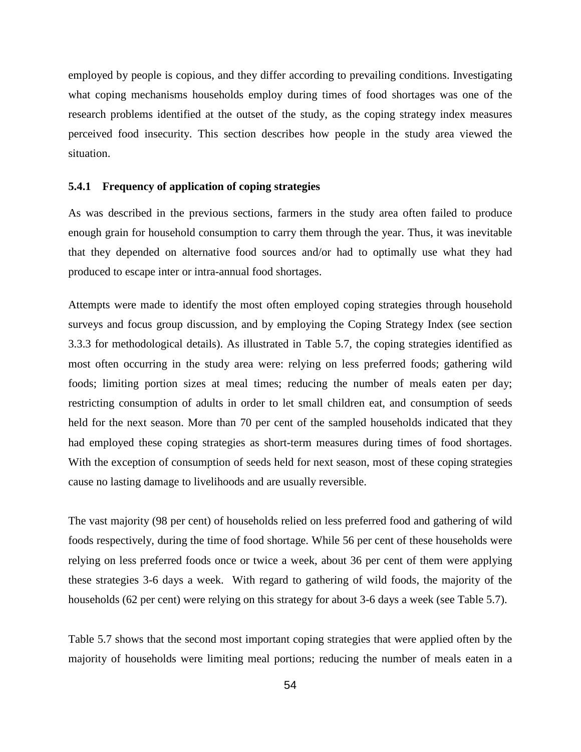employed by people is copious, and they differ according to prevailing conditions. Investigating what coping mechanisms households employ during times of food shortages was one of the research problems identified at the outset of the study, as the coping strategy index measures perceived food insecurity. This section describes how people in the study area viewed the situation.

### **5.4.1 Frequency of application of coping strategies**

As was described in the previous sections, farmers in the study area often failed to produce enough grain for household consumption to carry them through the year. Thus, it was inevitable that they depended on alternative food sources and/or had to optimally use what they had produced to escape inter or intra-annual food shortages.

Attempts were made to identify the most often employed coping strategies through household surveys and focus group discussion, and by employing the Coping Strategy Index (see section 3.3.3 for methodological details). As illustrated in Table 5.7, the coping strategies identified as most often occurring in the study area were: relying on less preferred foods; gathering wild foods; limiting portion sizes at meal times; reducing the number of meals eaten per day; restricting consumption of adults in order to let small children eat, and consumption of seeds held for the next season. More than 70 per cent of the sampled households indicated that they had employed these coping strategies as short-term measures during times of food shortages. With the exception of consumption of seeds held for next season, most of these coping strategies cause no lasting damage to livelihoods and are usually reversible.

The vast majority (98 per cent) of households relied on less preferred food and gathering of wild foods respectively, during the time of food shortage. While 56 per cent of these households were relying on less preferred foods once or twice a week, about 36 per cent of them were applying these strategies 3-6 days a week. With regard to gathering of wild foods, the majority of the households (62 per cent) were relying on this strategy for about 3-6 days a week (see Table 5.7).

Table 5.7 shows that the second most important coping strategies that were applied often by the majority of households were limiting meal portions; reducing the number of meals eaten in a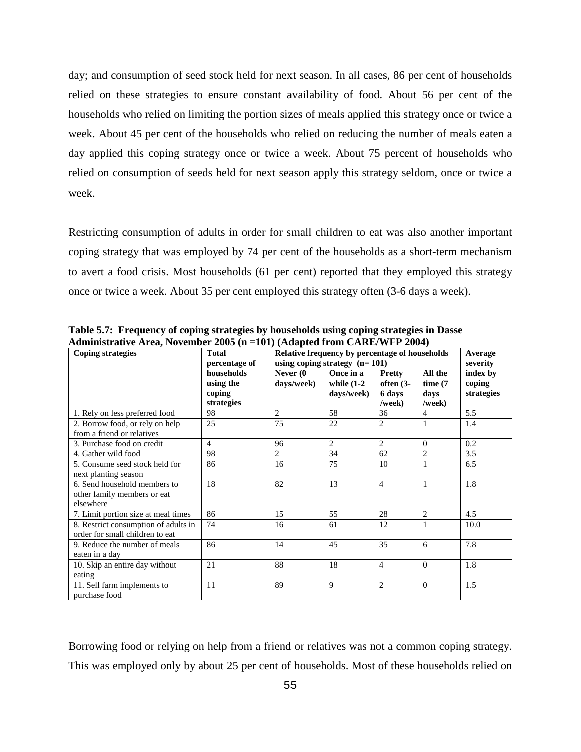day; and consumption of seed stock held for next season. In all cases, 86 per cent of households relied on these strategies to ensure constant availability of food. About 56 per cent of the households who relied on limiting the portion sizes of meals applied this strategy once or twice a week. About 45 per cent of the households who relied on reducing the number of meals eaten a day applied this coping strategy once or twice a week. About 75 percent of households who relied on consumption of seeds held for next season apply this strategy seldom, once or twice a week.

Restricting consumption of adults in order for small children to eat was also another important coping strategy that was employed by 74 per cent of the households as a short-term mechanism to avert a food crisis. Most households (61 per cent) reported that they employed this strategy once or twice a week. About 35 per cent employed this strategy often (3-6 days a week).

| <b>Coping strategies</b>                                                 | <b>Total</b><br>percentage of                   | Relative frequency by percentage of households<br>using coping strategy $(n=101)$ | Average<br>severity                      |                                                  |                                            |                                  |
|--------------------------------------------------------------------------|-------------------------------------------------|-----------------------------------------------------------------------------------|------------------------------------------|--------------------------------------------------|--------------------------------------------|----------------------------------|
|                                                                          | households<br>using the<br>coping<br>strategies | Never $(0)$<br>days/week)                                                         | Once in a<br>while $(1-2)$<br>days/week) | <b>Pretty</b><br>often $(3-$<br>6 days<br>/week) | All the<br>time(7)<br>days<br>$/$ week $)$ | index by<br>coping<br>strategies |
| 1. Rely on less preferred food                                           | 98                                              | $\overline{2}$                                                                    | 58                                       | 36                                               | $\overline{4}$                             | 5.5                              |
| 2. Borrow food, or rely on help<br>from a friend or relatives            | 25                                              | 75                                                                                | 22                                       | $\overline{2}$                                   | 1                                          | 1.4                              |
| 3. Purchase food on credit                                               | $\overline{4}$                                  | 96                                                                                | $\overline{2}$                           | $\overline{2}$                                   | $\theta$                                   | 0.2                              |
| 4. Gather wild food                                                      | 98                                              | $\overline{c}$                                                                    | 34                                       | 62                                               | $\overline{c}$                             | 3.5                              |
| 5. Consume seed stock held for<br>next planting season                   | 86                                              | 16                                                                                | 75                                       | 10                                               | 1                                          | 6.5                              |
| 6. Send household members to<br>other family members or eat<br>elsewhere | 18                                              | 82                                                                                | 13                                       | $\overline{4}$                                   | $\mathbf{1}$                               | 1.8                              |
| 7. Limit portion size at meal times                                      | 86                                              | 15                                                                                | 55                                       | 28                                               | 2                                          | 4.5                              |
| 8. Restrict consumption of adults in<br>order for small children to eat  | 74                                              | 16                                                                                | 61                                       | 12                                               | 1                                          | 10.0                             |
| 9. Reduce the number of meals<br>eaten in a day                          | 86                                              | 14                                                                                | 45                                       | 35                                               | 6                                          | 7.8                              |
| 10. Skip an entire day without<br>eating                                 | 21                                              | 88                                                                                | 18                                       | $\overline{4}$                                   | $\Omega$                                   | 1.8                              |
| 11. Sell farm implements to<br>purchase food                             | 11                                              | 89                                                                                | 9                                        | 2                                                | $\Omega$                                   | 1.5                              |

**Table 5.7: Frequency of coping strategies by households using coping strategies in Dasse Administrative Area, November 2005 (n =101) (Adapted from CARE/WFP 2004)** 

Borrowing food or relying on help from a friend or relatives was not a common coping strategy. This was employed only by about 25 per cent of households. Most of these households relied on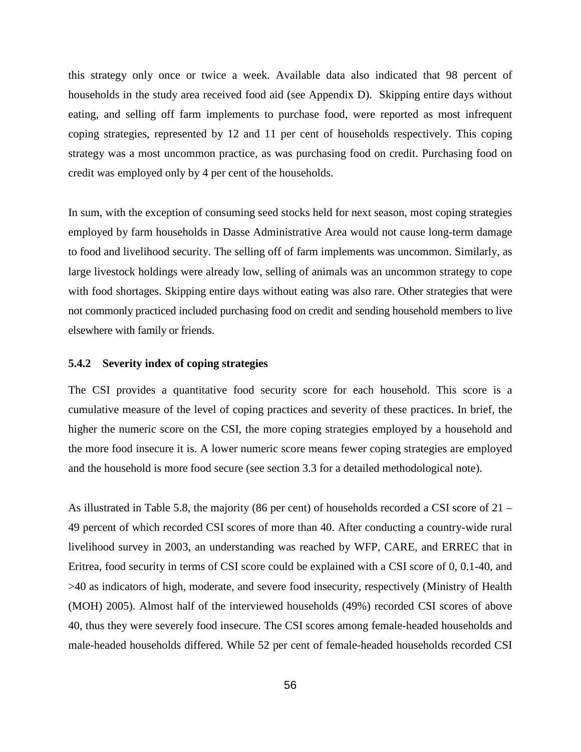this strategy only once or twice a week. Available data also indicated that 98 percent of households in the study area received food aid (see Appendix D). Skipping entire days without eating, and selling off farm implements to purchase food, were reported as most infrequent coping strategies, represented by 12 and 11 per cent of households respectively. This coping strategy was a most uncommon practice, as was purchasing food on credit. Purchasing food on credit was employed only by 4 per cent of the households.

In sum, with the exception of consuming seed stocks held for next season, most coping strategies employed by farm households in Dasse Administrative Area would not cause long-term damage to food and livelihood security. The selling off of farm implements was uncommon. Similarly, as large livestock holdings were already low, selling of animals was an uncommon strategy to cope with food shortages. Skipping entire days without eating was also rare. Other strategies that were not commonly practiced included purchasing food on credit and sending household members to live elsewhere with family or friends.

#### **5.4.2 Severity index of coping strategies**

The CSI provides a quantitative food security score for each household. This score is a cumulative measure of the level of coping practices and severity of these practices. In brief, the higher the numeric score on the CSI, the more coping strategies employed by a household and the more food insecure it is. A lower numeric score means fewer coping strategies are employed and the household is more food secure (see section 3.3 for a detailed methodological note).

As illustrated in Table 5.8, the majority (86 per cent) of households recorded a CSI score of 21 – 49 percent of which recorded CSI scores of more than 40. After conducting a country-wide rural livelihood survey in 2003, an understanding was reached by WFP, CARE, and ERREC that in Eritrea, food security in terms of CSI score could be explained with a CSI score of 0, 0.1-40, and >40 as indicators of high, moderate, and severe food insecurity, respectively (Ministry of Health (MOH) 2005). Almost half of the interviewed households (49%) recorded CSI scores of above 40, thus they were severely food insecure. The CSI scores among female-headed households and male-headed households differed. While 52 per cent of female-headed households recorded CSI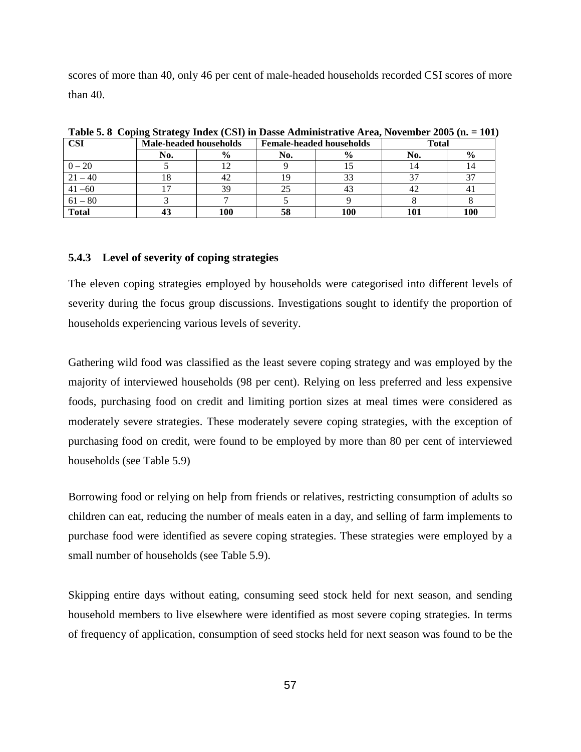scores of more than 40, only 46 per cent of male-headed households recorded CSI scores of more than 40.

| Table 5.0 Coping betaining through the Dask Training theory in case of 2000 (iii) = 101 |                        |               |     |                                 |       |               |  |  |
|-----------------------------------------------------------------------------------------|------------------------|---------------|-----|---------------------------------|-------|---------------|--|--|
| <b>CSI</b>                                                                              | Male-headed households |               |     | <b>Female-headed households</b> | Total |               |  |  |
|                                                                                         | No.                    | $\frac{6}{9}$ | No. | $\frac{6}{9}$                   | No.   | $\frac{0}{0}$ |  |  |
| $0 - 20$                                                                                |                        |               |     |                                 |       |               |  |  |
| $21 - 40$                                                                               |                        | 42            |     |                                 |       |               |  |  |
| $41 - 60$                                                                               |                        | 39            |     |                                 |       |               |  |  |
| $61 - 80$                                                                               |                        |               |     |                                 |       |               |  |  |
| <b>Total</b>                                                                            |                        | 100           | 58  | 100                             |       | 100           |  |  |

**Table 5. 8 Coping Strategy Index (CSI) in Dasse Administrative Area, November 2005 (n. = 101)** 

### **5.4.3 Level of severity of coping strategies**

The eleven coping strategies employed by households were categorised into different levels of severity during the focus group discussions. Investigations sought to identify the proportion of households experiencing various levels of severity.

Gathering wild food was classified as the least severe coping strategy and was employed by the majority of interviewed households (98 per cent). Relying on less preferred and less expensive foods, purchasing food on credit and limiting portion sizes at meal times were considered as moderately severe strategies. These moderately severe coping strategies, with the exception of purchasing food on credit, were found to be employed by more than 80 per cent of interviewed households (see Table 5.9)

Borrowing food or relying on help from friends or relatives, restricting consumption of adults so children can eat, reducing the number of meals eaten in a day, and selling of farm implements to purchase food were identified as severe coping strategies. These strategies were employed by a small number of households (see Table 5.9).

Skipping entire days without eating, consuming seed stock held for next season, and sending household members to live elsewhere were identified as most severe coping strategies. In terms of frequency of application, consumption of seed stocks held for next season was found to be the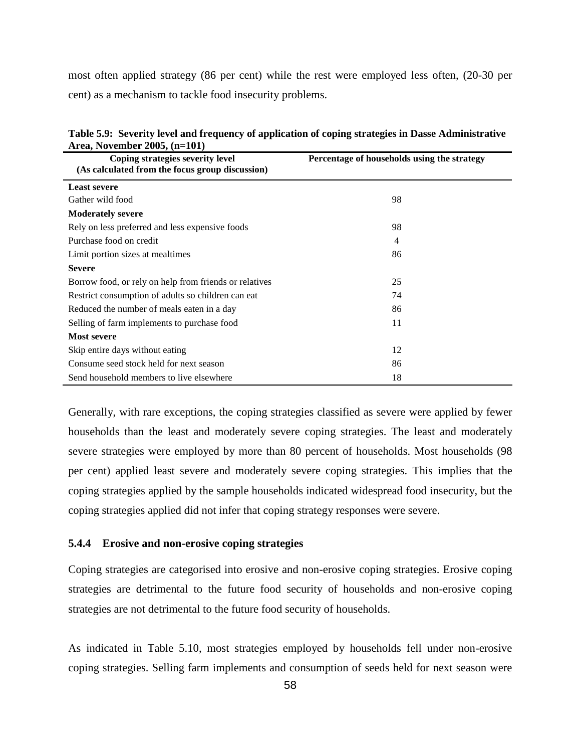most often applied strategy (86 per cent) while the rest were employed less often, (20-30 per cent) as a mechanism to tackle food insecurity problems.

| $\ldots$ , $\ldots$ , $\ldots$<br>Coping strategies severity level<br>(As calculated from the focus group discussion) | Percentage of households using the strategy |
|-----------------------------------------------------------------------------------------------------------------------|---------------------------------------------|
| <b>Least severe</b>                                                                                                   |                                             |
| Gather wild food                                                                                                      | 98                                          |
| <b>Moderately severe</b>                                                                                              |                                             |
| Rely on less preferred and less expensive foods                                                                       | 98                                          |
| Purchase food on credit                                                                                               | $\overline{4}$                              |
| Limit portion sizes at mealtimes                                                                                      | 86                                          |
| <b>Severe</b>                                                                                                         |                                             |
| Borrow food, or rely on help from friends or relatives                                                                | 25                                          |
| Restrict consumption of adults so children can eat                                                                    | 74                                          |
| Reduced the number of meals eaten in a day                                                                            | 86                                          |
| Selling of farm implements to purchase food                                                                           | 11                                          |
| <b>Most severe</b>                                                                                                    |                                             |
| Skip entire days without eating                                                                                       | 12                                          |
| Consume seed stock held for next season                                                                               | 86                                          |
| Send household members to live elsewhere                                                                              | 18                                          |

| Table 5.9: Severity level and frequency of application of coping strategies in Dasse Administrative |  |  |
|-----------------------------------------------------------------------------------------------------|--|--|
| Area, November 2005, (n=101)                                                                        |  |  |

Generally, with rare exceptions, the coping strategies classified as severe were applied by fewer households than the least and moderately severe coping strategies. The least and moderately severe strategies were employed by more than 80 percent of households. Most households (98 per cent) applied least severe and moderately severe coping strategies. This implies that the coping strategies applied by the sample households indicated widespread food insecurity, but the coping strategies applied did not infer that coping strategy responses were severe.

### **5.4.4 Erosive and non-erosive coping strategies**

Coping strategies are categorised into erosive and non-erosive coping strategies. Erosive coping strategies are detrimental to the future food security of households and non-erosive coping strategies are not detrimental to the future food security of households.

As indicated in Table 5.10, most strategies employed by households fell under non-erosive coping strategies. Selling farm implements and consumption of seeds held for next season were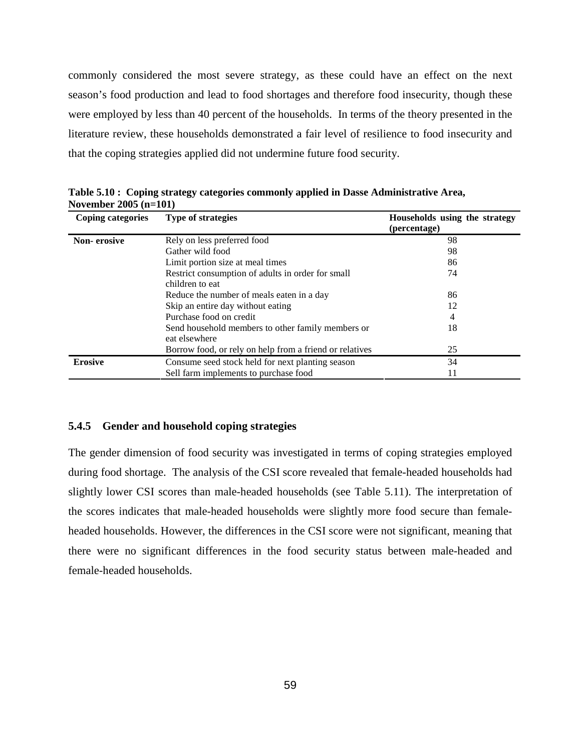commonly considered the most severe strategy, as these could have an effect on the next season's food production and lead to food shortages and therefore food insecurity, though these were employed by less than 40 percent of the households. In terms of the theory presented in the literature review, these households demonstrated a fair level of resilience to food insecurity and that the coping strategies applied did not undermine future food security.

| <b>Coping categories</b> | <b>Type of strategies</b>                               | Households using the strategy<br>(percentage) |
|--------------------------|---------------------------------------------------------|-----------------------------------------------|
| <b>Non-</b> erosive      | Rely on less preferred food                             | 98                                            |
|                          | Gather wild food                                        | 98                                            |
|                          | Limit portion size at meal times                        | 86                                            |
|                          | Restrict consumption of adults in order for small       | 74                                            |
|                          | children to eat                                         |                                               |
|                          | Reduce the number of meals eaten in a day               | 86                                            |
|                          | Skip an entire day without eating                       | 12                                            |
|                          | Purchase food on credit                                 | 4                                             |
|                          | Send household members to other family members or       | 18                                            |
|                          | eat elsewhere                                           |                                               |
|                          | Borrow food, or rely on help from a friend or relatives | 25                                            |
| <b>Erosive</b>           | Consume seed stock held for next planting season        | 34                                            |
|                          | Sell farm implements to purchase food                   | 11                                            |

**Table 5.10 : Coping strategy categories commonly applied in Dasse Administrative Area, November 2005 (n=101)** 

#### **5.4.5 Gender and household coping strategies**

The gender dimension of food security was investigated in terms of coping strategies employed during food shortage. The analysis of the CSI score revealed that female-headed households had slightly lower CSI scores than male-headed households (see Table 5.11). The interpretation of the scores indicates that male-headed households were slightly more food secure than femaleheaded households. However, the differences in the CSI score were not significant, meaning that there were no significant differences in the food security status between male-headed and female-headed households.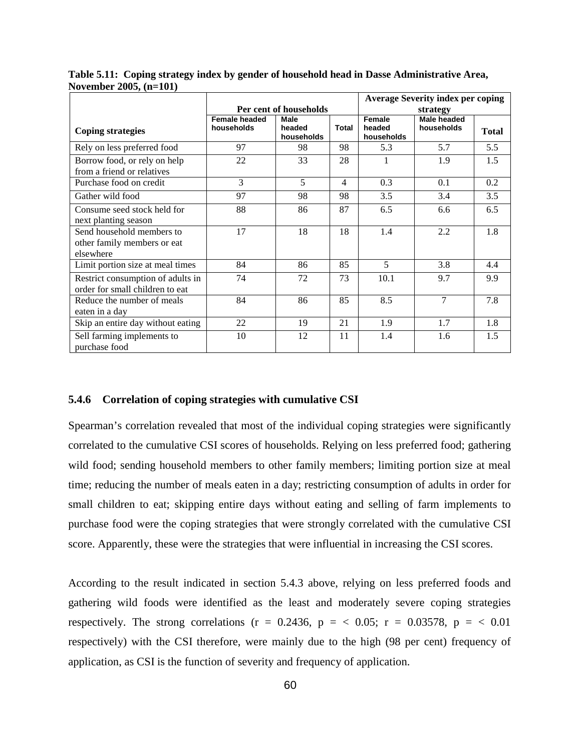|                                                                       | Per cent of households             |                                     |                | <b>Average Severity index per coping</b><br>strategy |                           |              |  |
|-----------------------------------------------------------------------|------------------------------------|-------------------------------------|----------------|------------------------------------------------------|---------------------------|--------------|--|
| <b>Coping strategies</b>                                              | <b>Female headed</b><br>households | <b>Male</b><br>headed<br>households | <b>Total</b>   | Female<br>headed<br>households                       | Male headed<br>households | <b>Total</b> |  |
| Rely on less preferred food                                           | 97                                 | 98                                  | 98             | 5.3                                                  | 5.7                       | 5.5          |  |
| Borrow food, or rely on help<br>from a friend or relatives            | 22                                 | 33                                  | 28             | 1                                                    | 1.9                       | 1.5          |  |
| Purchase food on credit                                               | 3                                  | 5                                   | $\overline{4}$ | 0.3                                                  | 0.1                       | 0.2          |  |
| Gather wild food                                                      | 97                                 | 98                                  | 98             | 3.5                                                  | 3.4                       | 3.5          |  |
| Consume seed stock held for<br>next planting season                   | 88                                 | 86                                  | 87             | 6.5                                                  | 6.6                       | 6.5          |  |
| Send household members to<br>other family members or eat<br>elsewhere | 17                                 | 18                                  | 18             | 1.4                                                  | 2.2                       | 1.8          |  |
| Limit portion size at meal times                                      | 84                                 | 86                                  | 85             | 5                                                    | 3.8                       | 4.4          |  |
| Restrict consumption of adults in<br>order for small children to eat  | 74                                 | 72                                  | 73             | 10.1                                                 | 9.7                       | 9.9          |  |
| Reduce the number of meals<br>eaten in a day                          | 84                                 | 86                                  | 85             | 8.5                                                  | $\tau$                    | 7.8          |  |
| Skip an entire day without eating                                     | 22                                 | 19                                  | 21             | 1.9                                                  | 1.7                       | 1.8          |  |
| Sell farming implements to<br>purchase food                           | 10                                 | 12                                  | 11             | 1.4                                                  | 1.6                       | 1.5          |  |

**Table 5.11: Coping strategy index by gender of household head in Dasse Administrative Area, November 2005, (n=101)** 

### **5.4.6 Correlation of coping strategies with cumulative CSI**

Spearman's correlation revealed that most of the individual coping strategies were significantly correlated to the cumulative CSI scores of households. Relying on less preferred food; gathering wild food; sending household members to other family members; limiting portion size at meal time; reducing the number of meals eaten in a day; restricting consumption of adults in order for small children to eat; skipping entire days without eating and selling of farm implements to purchase food were the coping strategies that were strongly correlated with the cumulative CSI score. Apparently, these were the strategies that were influential in increasing the CSI scores.

According to the result indicated in section 5.4.3 above, relying on less preferred foods and gathering wild foods were identified as the least and moderately severe coping strategies respectively. The strong correlations (r = 0.2436, p =  $<$  0.05; r = 0.03578, p =  $<$  0.01 respectively) with the CSI therefore, were mainly due to the high (98 per cent) frequency of application, as CSI is the function of severity and frequency of application.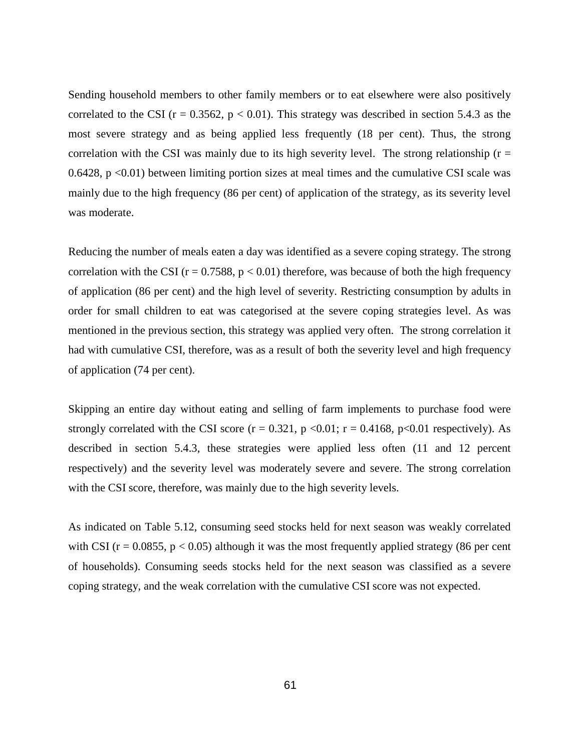Sending household members to other family members or to eat elsewhere were also positively correlated to the CSI ( $r = 0.3562$ ,  $p < 0.01$ ). This strategy was described in section 5.4.3 as the most severe strategy and as being applied less frequently (18 per cent). Thus, the strong correlation with the CSI was mainly due to its high severity level. The strong relationship ( $r =$ 0.6428,  $p \le 0.01$ ) between limiting portion sizes at meal times and the cumulative CSI scale was mainly due to the high frequency (86 per cent) of application of the strategy, as its severity level was moderate.

Reducing the number of meals eaten a day was identified as a severe coping strategy. The strong correlation with the CSI ( $r = 0.7588$ ,  $p < 0.01$ ) therefore, was because of both the high frequency of application (86 per cent) and the high level of severity. Restricting consumption by adults in order for small children to eat was categorised at the severe coping strategies level. As was mentioned in the previous section, this strategy was applied very often. The strong correlation it had with cumulative CSI, therefore, was as a result of both the severity level and high frequency of application (74 per cent).

Skipping an entire day without eating and selling of farm implements to purchase food were strongly correlated with the CSI score ( $r = 0.321$ ,  $p \le 0.01$ ;  $r = 0.4168$ ,  $p \le 0.01$  respectively). As described in section 5.4.3, these strategies were applied less often (11 and 12 percent respectively) and the severity level was moderately severe and severe. The strong correlation with the CSI score, therefore, was mainly due to the high severity levels.

As indicated on Table 5.12, consuming seed stocks held for next season was weakly correlated with CSI ( $r = 0.0855$ ,  $p < 0.05$ ) although it was the most frequently applied strategy (86 per cent of households). Consuming seeds stocks held for the next season was classified as a severe coping strategy, and the weak correlation with the cumulative CSI score was not expected.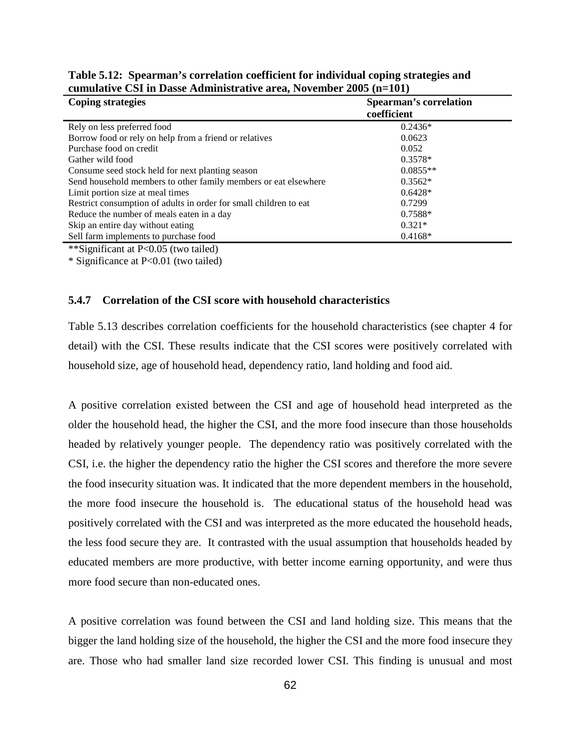| <b>Coping strategies</b>                                          | <b>Spearman's correlation</b><br>coefficient |
|-------------------------------------------------------------------|----------------------------------------------|
| Rely on less preferred food                                       | $0.2436*$                                    |
| Borrow food or rely on help from a friend or relatives            | 0.0623                                       |
| Purchase food on credit                                           | 0.052                                        |
| Gather wild food                                                  | $0.3578*$                                    |
| Consume seed stock held for next planting season                  | $0.0855**$                                   |
| Send household members to other family members or eat elsewhere   | $0.3562*$                                    |
| Limit portion size at meal times                                  | $0.6428*$                                    |
| Restrict consumption of adults in order for small children to eat | 0.7299                                       |
| Reduce the number of meals eaten in a day                         | 0.7588*                                      |
| Skip an entire day without eating                                 | $0.321*$                                     |
| Sell farm implements to purchase food                             | $0.4168*$                                    |

**Table 5.12: Spearman's correlation coefficient for individual coping strategies and cumulative CSI in Dasse Administrative area, November 2005 (n=101)** 

\*\*Significant at P<0.05 (two tailed)

\* Significance at P<0.01 (two tailed)

#### **5.4.7 Correlation of the CSI score with household characteristics**

Table 5.13 describes correlation coefficients for the household characteristics (see chapter 4 for detail) with the CSI. These results indicate that the CSI scores were positively correlated with household size, age of household head, dependency ratio, land holding and food aid.

A positive correlation existed between the CSI and age of household head interpreted as the older the household head, the higher the CSI, and the more food insecure than those households headed by relatively younger people. The dependency ratio was positively correlated with the CSI, i.e. the higher the dependency ratio the higher the CSI scores and therefore the more severe the food insecurity situation was. It indicated that the more dependent members in the household, the more food insecure the household is. The educational status of the household head was positively correlated with the CSI and was interpreted as the more educated the household heads, the less food secure they are. It contrasted with the usual assumption that households headed by educated members are more productive, with better income earning opportunity, and were thus more food secure than non-educated ones.

A positive correlation was found between the CSI and land holding size. This means that the bigger the land holding size of the household, the higher the CSI and the more food insecure they are. Those who had smaller land size recorded lower CSI. This finding is unusual and most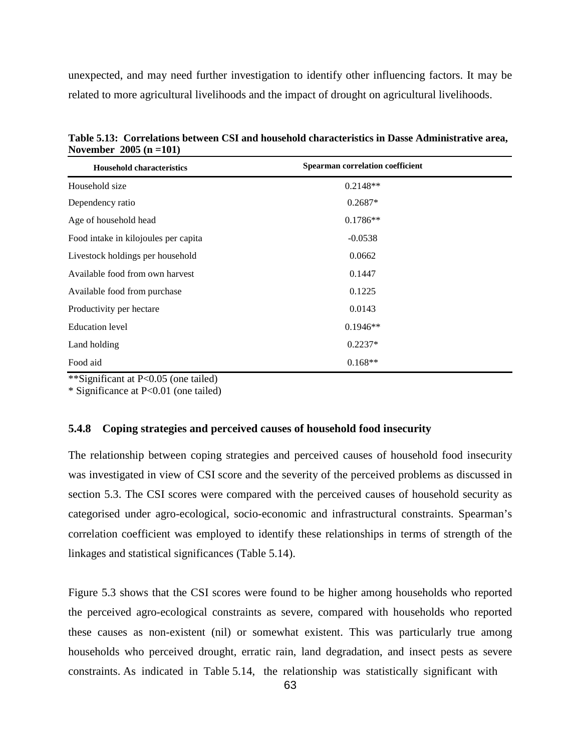unexpected, and may need further investigation to identify other influencing factors. It may be related to more agricultural livelihoods and the impact of drought on agricultural livelihoods.

| <b>Household characteristics</b>     | Spearman correlation coefficient |  |
|--------------------------------------|----------------------------------|--|
| Household size                       | $0.2148**$                       |  |
| Dependency ratio                     | $0.2687*$                        |  |
| Age of household head                | $0.1786**$                       |  |
| Food intake in kilojoules per capita | $-0.0538$                        |  |
| Livestock holdings per household     | 0.0662                           |  |
| Available food from own harvest      | 0.1447                           |  |
| Available food from purchase         | 0.1225                           |  |
| Productivity per hectare             | 0.0143                           |  |
| <b>Education</b> level               | $0.1946**$                       |  |
| Land holding                         | $0.2237*$                        |  |
| Food aid                             | $0.168**$                        |  |

**Table 5.13: Correlations between CSI and household characteristics in Dasse Administrative area, November 2005 (n =101)**

\*\*Significant at P<0.05 (one tailed)

\* Significance at P<0.01 (one tailed)

### **5.4.8 Coping strategies and perceived causes of household food insecurity**

The relationship between coping strategies and perceived causes of household food insecurity was investigated in view of CSI score and the severity of the perceived problems as discussed in section 5.3. The CSI scores were compared with the perceived causes of household security as categorised under agro-ecological, socio-economic and infrastructural constraints. Spearman's correlation coefficient was employed to identify these relationships in terms of strength of the linkages and statistical significances (Table 5.14).

Figure 5.3 shows that the CSI scores were found to be higher among households who reported the perceived agro-ecological constraints as severe, compared with households who reported these causes as non-existent (nil) or somewhat existent. This was particularly true among households who perceived drought, erratic rain, land degradation, and insect pests as severe constraints. As indicated in Table 5.14, the relationship was statistically significant with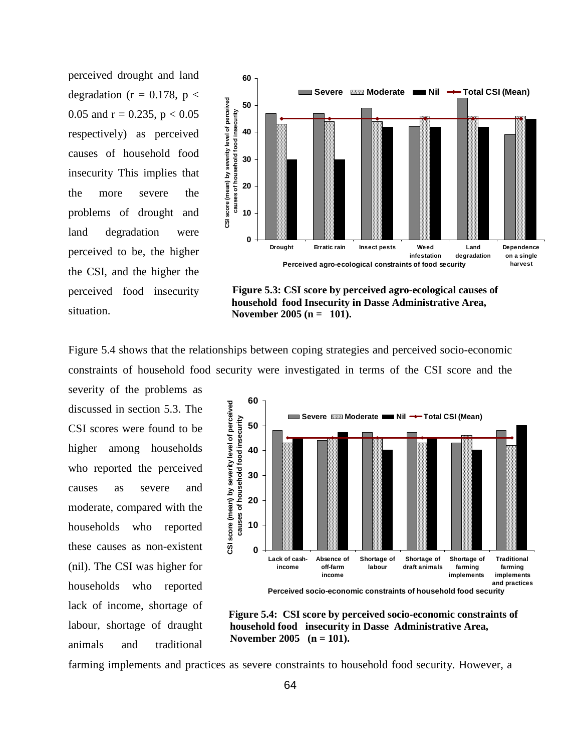perceived drought and land degradation ( $r = 0.178$ ,  $p <$ 0.05 and  $r = 0.235$ ,  $p < 0.05$ respectively) as perceived causes of household food insecurity This implies that the more severe the problems of drought and land degradation were perceived to be, the higher the CSI, and the higher the perceived food insecurity situation.



 **Figure 5.3: CSI score by perceived agro-ecological causes of household food Insecurity in Dasse Administrative Area, November 2005 (n = 101).**

Figure 5.4 shows that the relationships between coping strategies and perceived socio-economic constraints of household food security were investigated in terms of the CSI score and the

severity of the problems as discussed in section 5.3. The CSI scores were found to be higher among households who reported the perceived causes as severe and moderate, compared with the households who reported these causes as non-existent (nil). The CSI was higher for households who reported lack of income, shortage of labour, shortage of draught animals and traditional



 **Figure 5.4: CSI score by perceived socio-economic constraints of household food insecurity in Dasse Administrative Area, November 2005 (n = 101).** 

farming implements and practices as severe constraints to household food security. However, a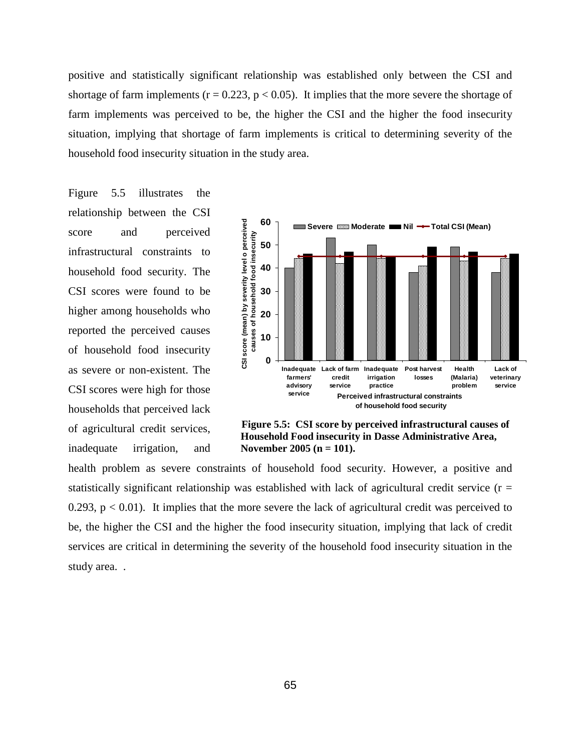positive and statistically significant relationship was established only between the CSI and shortage of farm implements ( $r = 0.223$ ,  $p < 0.05$ ). It implies that the more severe the shortage of farm implements was perceived to be, the higher the CSI and the higher the food insecurity situation, implying that shortage of farm implements is critical to determining severity of the household food insecurity situation in the study area.

Figure 5.5 illustrates the relationship between the CSI score and perceived infrastructural constraints to household food security. The CSI scores were found to be higher among households who reported the perceived causes of household food insecurity as severe or non-existent. The CSI scores were high for those households that perceived lack of agricultural credit services, inadequate irrigation, and



 **Figure 5.5: CSI score by perceived infrastructural causes of Household Food insecurity in Dasse Administrative Area, November 2005 (n = 101).**

health problem as severe constraints of household food security. However, a positive and statistically significant relationship was established with lack of agricultural credit service ( $r =$ 0.293,  $p < 0.01$ ). It implies that the more severe the lack of agricultural credit was perceived to be, the higher the CSI and the higher the food insecurity situation, implying that lack of credit services are critical in determining the severity of the household food insecurity situation in the study area. .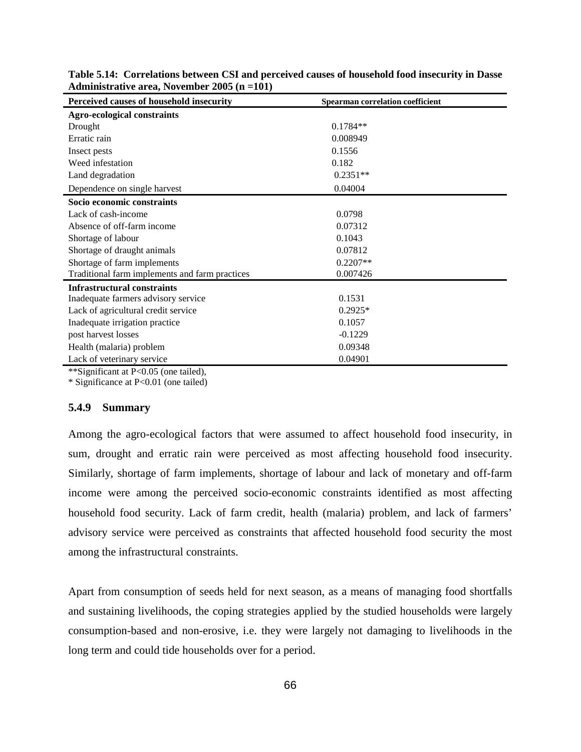| Perceived causes of household insecurity          | <b>Spearman correlation coefficient</b> |
|---------------------------------------------------|-----------------------------------------|
| <b>Agro-ecological constraints</b>                |                                         |
| Drought                                           | $0.1784**$                              |
| Erratic rain                                      | 0.008949                                |
| Insect pests                                      | 0.1556                                  |
| Weed infestation                                  | 0.182                                   |
| Land degradation                                  | $0.2351**$                              |
| Dependence on single harvest                      | 0.04004                                 |
| Socio economic constraints                        |                                         |
| Lack of cash-income                               | 0.0798                                  |
| Absence of off-farm income                        | 0.07312                                 |
| Shortage of labour                                | 0.1043                                  |
| Shortage of draught animals                       | 0.07812                                 |
| Shortage of farm implements                       | $0.2207**$                              |
| Traditional farm implements and farm practices    | 0.007426                                |
| <b>Infrastructural constraints</b>                |                                         |
| Inadequate farmers advisory service               | 0.1531                                  |
| Lack of agricultural credit service               | $0.2925*$                               |
| Inadequate irrigation practice                    | 0.1057                                  |
| post harvest losses                               | $-0.1229$                               |
| Health (malaria) problem                          | 0.09348                                 |
| Lack of veterinary service                        | 0.04901                                 |
| $\bullet$ $\bullet$ $\bullet$ $\bullet$ $\bullet$ |                                         |

**Table 5.14: Correlations between CSI and perceived causes of household food insecurity in Dasse Administrative area, November 2005 (n =101)** 

\*\*Significant at P<0.05 (one tailed),

\* Significance at P<0.01 (one tailed)

### **5.4.9 Summary**

Among the agro-ecological factors that were assumed to affect household food insecurity, in sum, drought and erratic rain were perceived as most affecting household food insecurity. Similarly, shortage of farm implements, shortage of labour and lack of monetary and off-farm income were among the perceived socio-economic constraints identified as most affecting household food security. Lack of farm credit, health (malaria) problem, and lack of farmers' advisory service were perceived as constraints that affected household food security the most among the infrastructural constraints.

Apart from consumption of seeds held for next season, as a means of managing food shortfalls and sustaining livelihoods, the coping strategies applied by the studied households were largely consumption-based and non-erosive, i.e. they were largely not damaging to livelihoods in the long term and could tide households over for a period.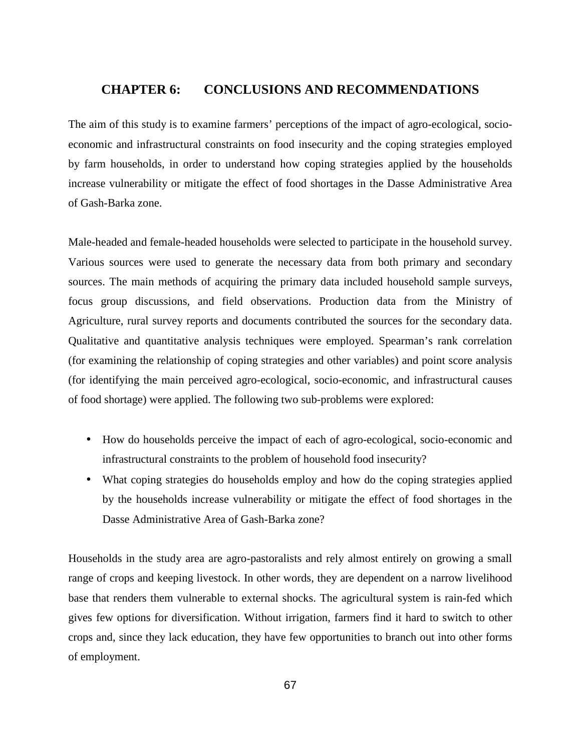### **CHAPTER 6: CONCLUSIONS AND RECOMMENDATIONS**

The aim of this study is to examine farmers' perceptions of the impact of agro-ecological, socioeconomic and infrastructural constraints on food insecurity and the coping strategies employed by farm households, in order to understand how coping strategies applied by the households increase vulnerability or mitigate the effect of food shortages in the Dasse Administrative Area of Gash-Barka zone.

Male-headed and female-headed households were selected to participate in the household survey. Various sources were used to generate the necessary data from both primary and secondary sources. The main methods of acquiring the primary data included household sample surveys, focus group discussions, and field observations. Production data from the Ministry of Agriculture, rural survey reports and documents contributed the sources for the secondary data. Qualitative and quantitative analysis techniques were employed. Spearman's rank correlation (for examining the relationship of coping strategies and other variables) and point score analysis (for identifying the main perceived agro-ecological, socio-economic, and infrastructural causes of food shortage) were applied. The following two sub-problems were explored:

- How do households perceive the impact of each of agro-ecological, socio-economic and infrastructural constraints to the problem of household food insecurity?
- What coping strategies do households employ and how do the coping strategies applied by the households increase vulnerability or mitigate the effect of food shortages in the Dasse Administrative Area of Gash-Barka zone?

Households in the study area are agro-pastoralists and rely almost entirely on growing a small range of crops and keeping livestock. In other words, they are dependent on a narrow livelihood base that renders them vulnerable to external shocks. The agricultural system is rain-fed which gives few options for diversification. Without irrigation, farmers find it hard to switch to other crops and, since they lack education, they have few opportunities to branch out into other forms of employment.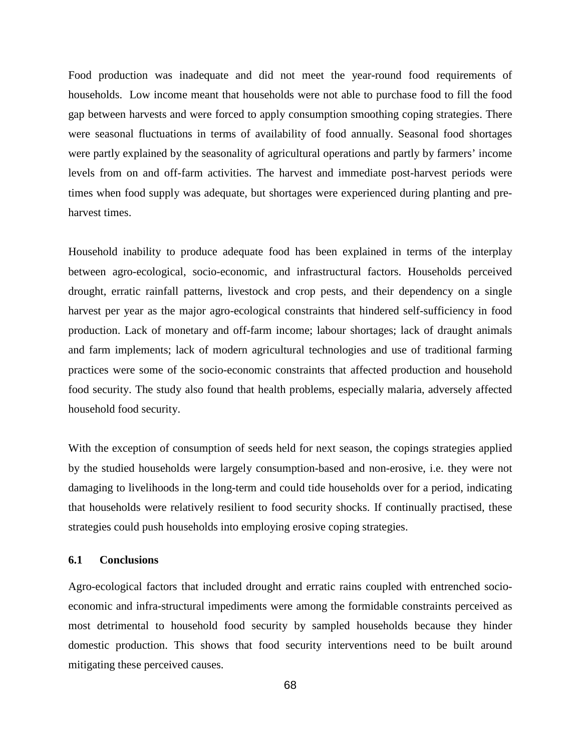Food production was inadequate and did not meet the year-round food requirements of households. Low income meant that households were not able to purchase food to fill the food gap between harvests and were forced to apply consumption smoothing coping strategies. There were seasonal fluctuations in terms of availability of food annually. Seasonal food shortages were partly explained by the seasonality of agricultural operations and partly by farmers' income levels from on and off-farm activities. The harvest and immediate post-harvest periods were times when food supply was adequate, but shortages were experienced during planting and preharvest times.

Household inability to produce adequate food has been explained in terms of the interplay between agro-ecological, socio-economic, and infrastructural factors. Households perceived drought, erratic rainfall patterns, livestock and crop pests, and their dependency on a single harvest per year as the major agro-ecological constraints that hindered self-sufficiency in food production. Lack of monetary and off-farm income; labour shortages; lack of draught animals and farm implements; lack of modern agricultural technologies and use of traditional farming practices were some of the socio-economic constraints that affected production and household food security. The study also found that health problems, especially malaria, adversely affected household food security.

With the exception of consumption of seeds held for next season, the copings strategies applied by the studied households were largely consumption-based and non-erosive, i.e. they were not damaging to livelihoods in the long-term and could tide households over for a period, indicating that households were relatively resilient to food security shocks. If continually practised, these strategies could push households into employing erosive coping strategies.

### **6.1 Conclusions**

Agro-ecological factors that included drought and erratic rains coupled with entrenched socioeconomic and infra-structural impediments were among the formidable constraints perceived as most detrimental to household food security by sampled households because they hinder domestic production. This shows that food security interventions need to be built around mitigating these perceived causes.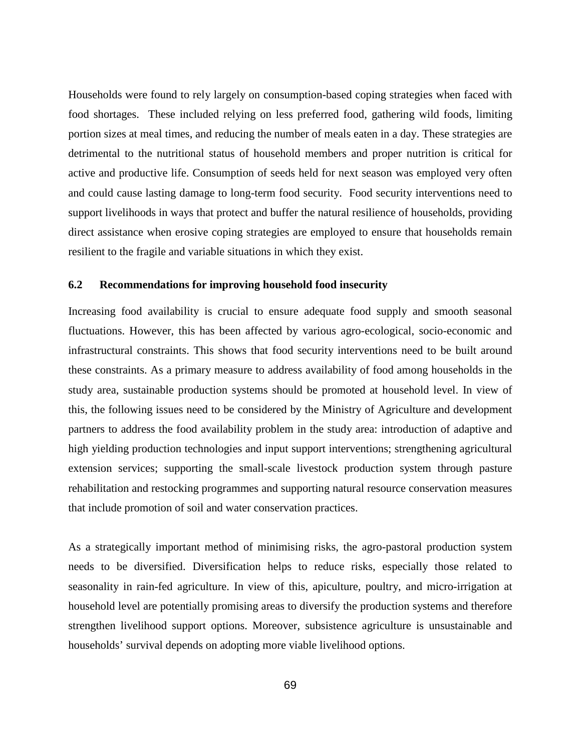Households were found to rely largely on consumption-based coping strategies when faced with food shortages. These included relying on less preferred food, gathering wild foods, limiting portion sizes at meal times, and reducing the number of meals eaten in a day. These strategies are detrimental to the nutritional status of household members and proper nutrition is critical for active and productive life. Consumption of seeds held for next season was employed very often and could cause lasting damage to long-term food security. Food security interventions need to support livelihoods in ways that protect and buffer the natural resilience of households, providing direct assistance when erosive coping strategies are employed to ensure that households remain resilient to the fragile and variable situations in which they exist.

### **6.2 Recommendations for improving household food insecurity**

Increasing food availability is crucial to ensure adequate food supply and smooth seasonal fluctuations. However, this has been affected by various agro-ecological, socio-economic and infrastructural constraints. This shows that food security interventions need to be built around these constraints. As a primary measure to address availability of food among households in the study area, sustainable production systems should be promoted at household level. In view of this, the following issues need to be considered by the Ministry of Agriculture and development partners to address the food availability problem in the study area: introduction of adaptive and high yielding production technologies and input support interventions; strengthening agricultural extension services; supporting the small-scale livestock production system through pasture rehabilitation and restocking programmes and supporting natural resource conservation measures that include promotion of soil and water conservation practices.

As a strategically important method of minimising risks, the agro-pastoral production system needs to be diversified. Diversification helps to reduce risks, especially those related to seasonality in rain-fed agriculture. In view of this, apiculture, poultry, and micro-irrigation at household level are potentially promising areas to diversify the production systems and therefore strengthen livelihood support options. Moreover, subsistence agriculture is unsustainable and households' survival depends on adopting more viable livelihood options.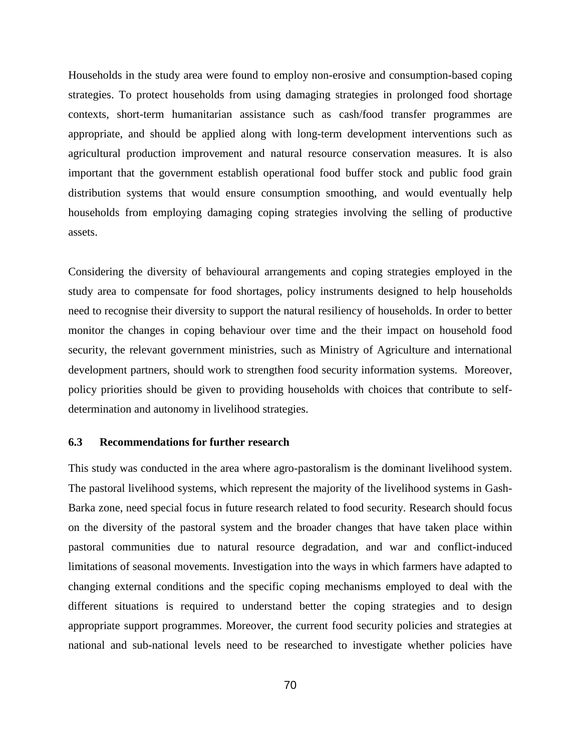Households in the study area were found to employ non-erosive and consumption-based coping strategies. To protect households from using damaging strategies in prolonged food shortage contexts, short-term humanitarian assistance such as cash/food transfer programmes are appropriate, and should be applied along with long-term development interventions such as agricultural production improvement and natural resource conservation measures. It is also important that the government establish operational food buffer stock and public food grain distribution systems that would ensure consumption smoothing, and would eventually help households from employing damaging coping strategies involving the selling of productive assets.

Considering the diversity of behavioural arrangements and coping strategies employed in the study area to compensate for food shortages, policy instruments designed to help households need to recognise their diversity to support the natural resiliency of households. In order to better monitor the changes in coping behaviour over time and the their impact on household food security, the relevant government ministries, such as Ministry of Agriculture and international development partners, should work to strengthen food security information systems. Moreover, policy priorities should be given to providing households with choices that contribute to selfdetermination and autonomy in livelihood strategies.

### **6.3 Recommendations for further research**

This study was conducted in the area where agro-pastoralism is the dominant livelihood system. The pastoral livelihood systems, which represent the majority of the livelihood systems in Gash-Barka zone, need special focus in future research related to food security. Research should focus on the diversity of the pastoral system and the broader changes that have taken place within pastoral communities due to natural resource degradation, and war and conflict-induced limitations of seasonal movements. Investigation into the ways in which farmers have adapted to changing external conditions and the specific coping mechanisms employed to deal with the different situations is required to understand better the coping strategies and to design appropriate support programmes. Moreover, the current food security policies and strategies at national and sub-national levels need to be researched to investigate whether policies have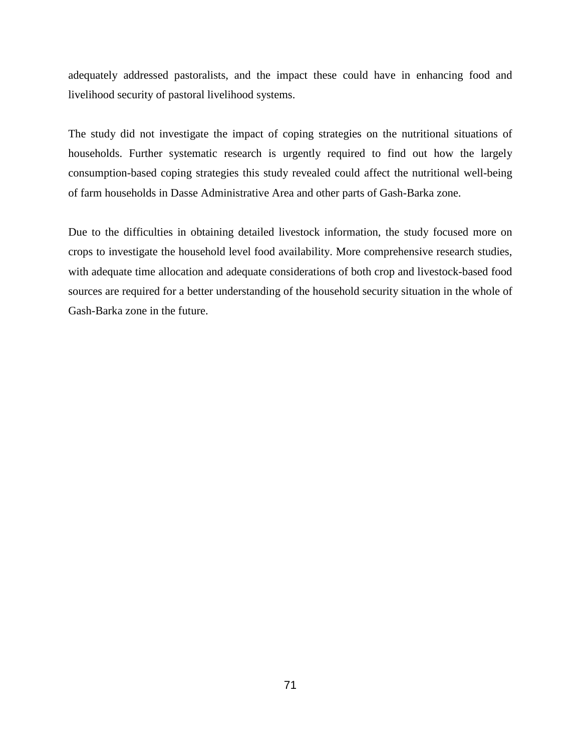adequately addressed pastoralists, and the impact these could have in enhancing food and livelihood security of pastoral livelihood systems.

The study did not investigate the impact of coping strategies on the nutritional situations of households. Further systematic research is urgently required to find out how the largely consumption-based coping strategies this study revealed could affect the nutritional well-being of farm households in Dasse Administrative Area and other parts of Gash-Barka zone.

Due to the difficulties in obtaining detailed livestock information, the study focused more on crops to investigate the household level food availability. More comprehensive research studies, with adequate time allocation and adequate considerations of both crop and livestock-based food sources are required for a better understanding of the household security situation in the whole of Gash-Barka zone in the future.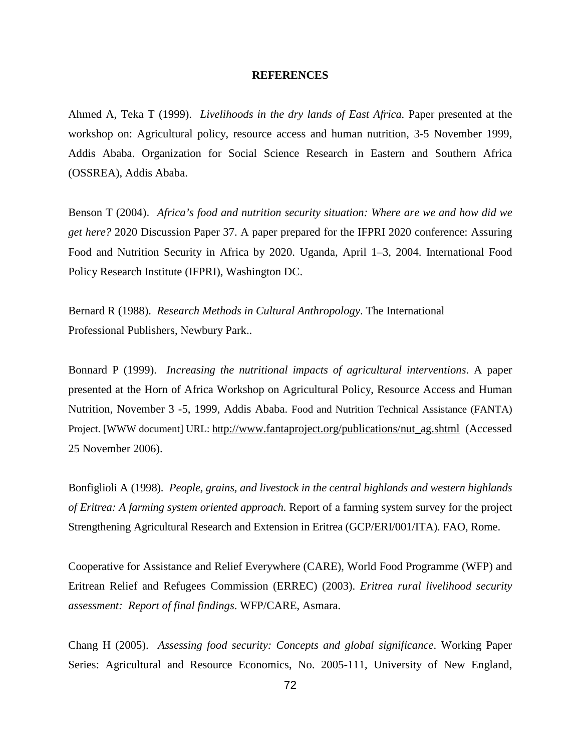### **REFERENCES**

Ahmed A, Teka T (1999). *Livelihoods in the dry lands of East Africa.* Paper presented at the workshop on: Agricultural policy, resource access and human nutrition, 3-5 November 1999, Addis Ababa. Organization for Social Science Research in Eastern and Southern Africa (OSSREA), Addis Ababa.

Benson T (2004).*Africa's food and nutrition security situation: Where are we and how did we get here?* 2020 Discussion Paper 37. A paper prepared for the IFPRI 2020 conference: Assuring Food and Nutrition Security in Africa by 2020. Uganda, April 1–3, 2004. International Food Policy Research Institute (IFPRI), Washington DC.

Bernard R (1988). *Research Methods in Cultural Anthropology*. The International Professional Publishers, Newbury Park..

Bonnard P (1999). *Increasing the nutritional impacts of agricultural interventions*. A paper presented at the Horn of Africa Workshop on Agricultural Policy, Resource Access and Human Nutrition, November 3 -5, 1999, Addis Ababa. Food and Nutrition Technical Assistance (FANTA) Project. [WWW document] URL: http://www.fantaproject.org/publications/nut\_ag.shtml (Accessed 25 November 2006).

Bonfiglioli A (1998). *People, grains, and livestock in the central highlands and western highlands of Eritrea: A farming system oriented approach*. Report of a farming system survey for the project Strengthening Agricultural Research and Extension in Eritrea (GCP/ERI/001/ITA). FAO, Rome.

Cooperative for Assistance and Relief Everywhere (CARE), World Food Programme (WFP) and Eritrean Relief and Refugees Commission (ERREC) (2003). *Eritrea rural livelihood security assessment: Report of final findings*. WFP/CARE, Asmara.

Chang H (2005). *Assessing food security: Concepts and global significance*. Working Paper Series: Agricultural and Resource Economics, No. 2005-111, University of New England,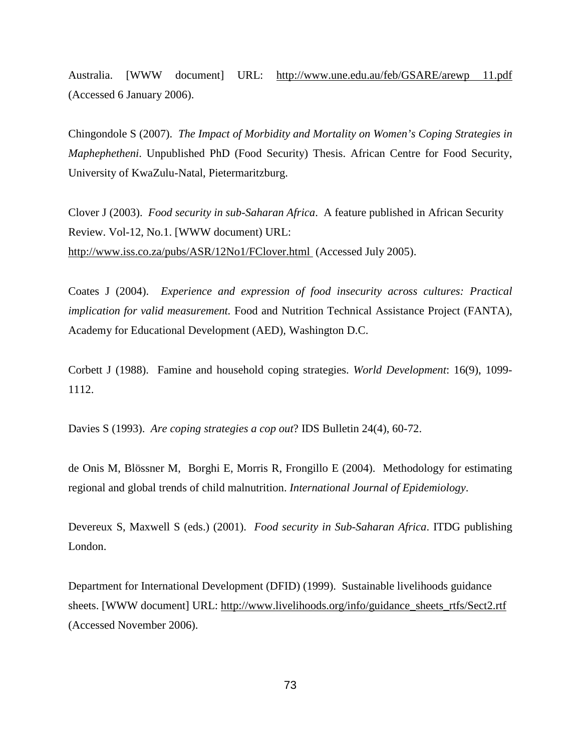Australia. [WWW document] URL: http://www.une.edu.au/feb/GSARE/arewp 11.pdf (Accessed 6 January 2006).

Chingondole S (2007). *The Impact of Morbidity and Mortality on Women's Coping Strategies in Maphephetheni*. Unpublished PhD (Food Security) Thesis. African Centre for Food Security, University of KwaZulu-Natal, Pietermaritzburg.

Clover J (2003). *Food security in sub-Saharan Africa*. A feature published in African Security Review. Vol-12, No.1. [WWW document) URL: http://www.iss.co.za/pubs/ASR/12No1/FClover.html (Accessed July 2005).

Coates J (2004). *Experience and expression of food insecurity across cultures: Practical implication for valid measurement.* Food and Nutrition Technical Assistance Project (FANTA), Academy for Educational Development (AED)*,* Washington D.C.

Corbett J (1988). Famine and household coping strategies. *World Development*: 16(9), 1099- 1112.

Davies S (1993). *Are coping strategies a cop out*? IDS Bulletin 24(4), 60-72.

de Onis M, Blössner M, Borghi E, Morris R, Frongillo E (2004). Methodology for estimating regional and global trends of child malnutrition. *International Journal of Epidemiology*.

Devereux S, Maxwell S (eds.) (2001). *Food security in Sub-Saharan Africa*. ITDG publishing London.

Department for International Development (DFID) (1999). Sustainable livelihoods guidance sheets. [WWW document] URL: http://www.livelihoods.org/info/guidance\_sheets\_rtfs/Sect2.rtf (Accessed November 2006).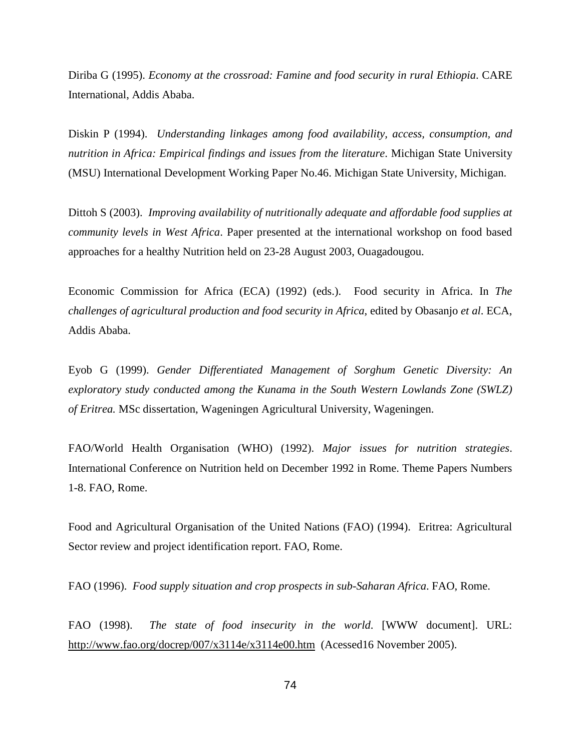Diriba G (1995). *Economy at the crossroad: Famine and food security in rural Ethiopia*. CARE International, Addis Ababa.

Diskin P (1994). *Understanding linkages among food availability, access, consumption, and nutrition in Africa: Empirical findings and issues from the literature*. Michigan State University (MSU) International Development Working Paper No.46. Michigan State University, Michigan.

Dittoh S (2003). *Improving availability of nutritionally adequate and affordable food supplies at community levels in West Africa*. Paper presented at the international workshop on food based approaches for a healthy Nutrition held on 23-28 August 2003, Ouagadougou.

Economic Commission for Africa (ECA) (1992) (eds.). Food security in Africa. In *The challenges of agricultural production and food security in Africa*, edited by Obasanjo *et al*. ECA, Addis Ababa.

Eyob G (1999). *Gender Differentiated Management of Sorghum Genetic Diversity: An exploratory study conducted among the Kunama in the South Western Lowlands Zone (SWLZ) of Eritrea.* MSc dissertation, Wageningen Agricultural University, Wageningen.

FAO/World Health Organisation (WHO) (1992). *Major issues for nutrition strategies*. International Conference on Nutrition held on December 1992 in Rome. Theme Papers Numbers 1-8. FAO, Rome.

Food and Agricultural Organisation of the United Nations (FAO) (1994). Eritrea: Agricultural Sector review and project identification report. FAO, Rome.

FAO (1996). *Food supply situation and crop prospects in sub-Saharan Africa*. FAO, Rome.

FAO (1998). *The state of food insecurity in the world*. [WWW document]. URL: http://www.fao.org/docrep/007/x3114e/x3114e00.htm (Acessed16 November 2005).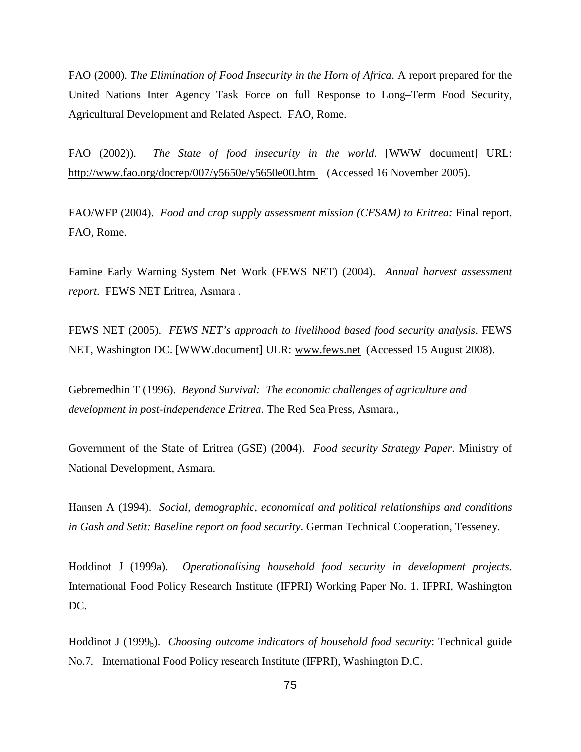FAO (2000). *The Elimination of Food Insecurity in the Horn of Africa.* A report prepared for the United Nations Inter Agency Task Force on full Response to Long–Term Food Security, Agricultural Development and Related Aspect. FAO, Rome.

FAO (2002)). *The State of food insecurity in the world*. [WWW document] URL: http://www.fao.org/docrep/007/y5650e/y5650e00.htm (Accessed 16 November 2005).

FAO/WFP (2004). *Food and crop supply assessment mission (CFSAM) to Eritrea:* Final report. FAO, Rome.

Famine Early Warning System Net Work (FEWS NET) (2004). *Annual harvest assessment report*. FEWS NET Eritrea, Asmara .

FEWS NET (2005). *FEWS NET's approach to livelihood based food security analysis*. FEWS NET, Washington DC. [WWW.document] ULR: www.fews.net (Accessed 15 August 2008).

Gebremedhin T (1996). *Beyond Survival: The economic challenges of agriculture and development in post-independence Eritrea*. The Red Sea Press, Asmara.,

Government of the State of Eritrea (GSE) (2004). *Food security Strategy Paper*. Ministry of National Development, Asmara.

Hansen A (1994). *Social, demographic, economical and political relationships and conditions in Gash and Setit: Baseline report on food security*. German Technical Cooperation, Tesseney.

Hoddinot J (1999a). *Operationalising household food security in development projects*. International Food Policy Research Institute (IFPRI) Working Paper No. 1. IFPRI, Washington DC.

Hoddinot J (1999<sub>b</sub>). *Choosing outcome indicators of household food security*: Technical guide No.7*.* International Food Policy research Institute (IFPRI), Washington D.C.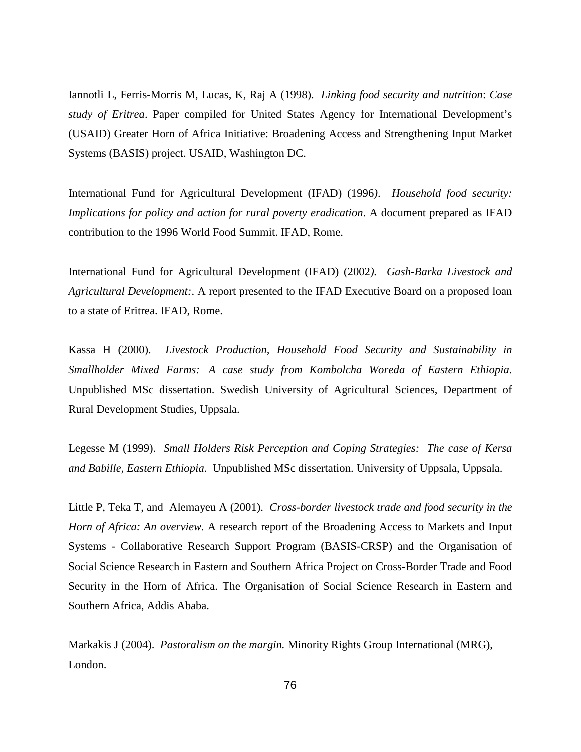Iannotli L, Ferris-Morris M, Lucas, K, Raj A (1998). *Linking food security and nutrition*: *Case study of Eritrea*. Paper compiled for United States Agency for International Development's (USAID) Greater Horn of Africa Initiative: Broadening Access and Strengthening Input Market Systems (BASIS) project. USAID, Washington DC.

International Fund for Agricultural Development (IFAD) (1996*)*. *Household food security: Implications for policy and action for rural poverty eradication*. A document prepared as IFAD contribution to the 1996 World Food Summit. IFAD, Rome.

International Fund for Agricultural Development (IFAD) (2002*). Gash-Barka Livestock and Agricultural Development:*. A report presented to the IFAD Executive Board on a proposed loan to a state of Eritrea. IFAD, Rome.

Kassa H (2000). *Livestock Production, Household Food Security and Sustainability in Smallholder Mixed Farms: A case study from Kombolcha Woreda of Eastern Ethiopia.* Unpublished MSc dissertation. Swedish University of Agricultural Sciences, Department of Rural Development Studies, Uppsala.

Legesse M (1999). *Small Holders Risk Perception and Coping Strategies: The case of Kersa and Babille, Eastern Ethiopia*. Unpublished MSc dissertation. University of Uppsala, Uppsala.

Little P, Teka T, and Alemayeu A (2001). *Cross-border livestock trade and food security in the Horn of Africa: An overview.* A research report of the Broadening Access to Markets and Input Systems - Collaborative Research Support Program (BASIS-CRSP) and the Organisation of Social Science Research in Eastern and Southern Africa Project on Cross-Border Trade and Food Security in the Horn of Africa. The Organisation of Social Science Research in Eastern and Southern Africa, Addis Ababa.

Markakis J (2004). *Pastoralism on the margin.* Minority Rights Group International (MRG), London.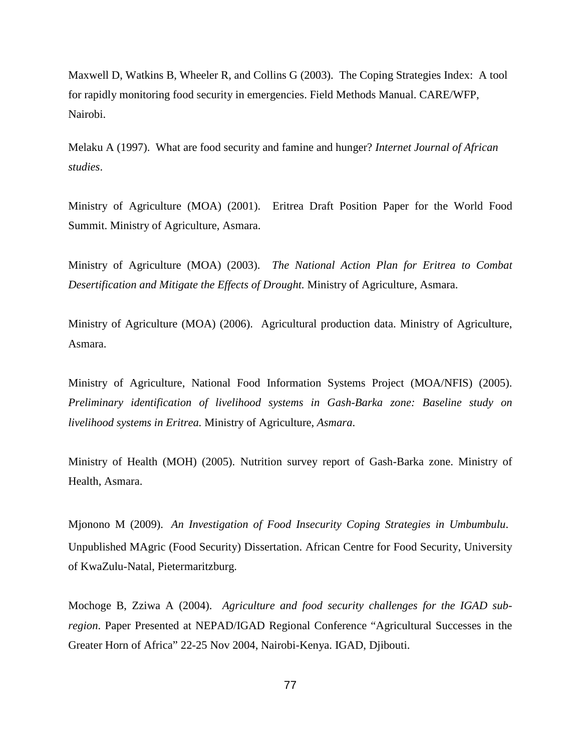Maxwell D, Watkins B, Wheeler R, and Collins G (2003). The Coping Strategies Index: A tool for rapidly monitoring food security in emergencies. Field Methods Manual. CARE/WFP, Nairobi.

Melaku A (1997). What are food security and famine and hunger? *Internet Journal of African studies*.

Ministry of Agriculture (MOA) (2001). Eritrea Draft Position Paper for the World Food Summit. Ministry of Agriculture, Asmara.

Ministry of Agriculture (MOA) (2003). *The National Action Plan for Eritrea to Combat Desertification and Mitigate the Effects of Drought.* Ministry of Agriculture, Asmara.

Ministry of Agriculture (MOA) (2006). Agricultural production data. Ministry of Agriculture, Asmara.

Ministry of Agriculture, National Food Information Systems Project (MOA/NFIS) (2005). *Preliminary identification of livelihood systems in Gash-Barka zone: Baseline study on livelihood systems in Eritrea.* Ministry of Agriculture, *Asmara*.

Ministry of Health (MOH) (2005). Nutrition survey report of Gash-Barka zone. Ministry of Health, Asmara.

Mjonono M (2009). *An Investigation of Food Insecurity Coping Strategies in Umbumbulu*. Unpublished MAgric (Food Security) Dissertation. African Centre for Food Security, University of KwaZulu-Natal, Pietermaritzburg.

Mochoge B, Zziwa A (2004). *Agriculture and food security challenges for the IGAD subregion*. Paper Presented at NEPAD/IGAD Regional Conference "Agricultural Successes in the Greater Horn of Africa" 22-25 Nov 2004, Nairobi-Kenya. IGAD, Djibouti.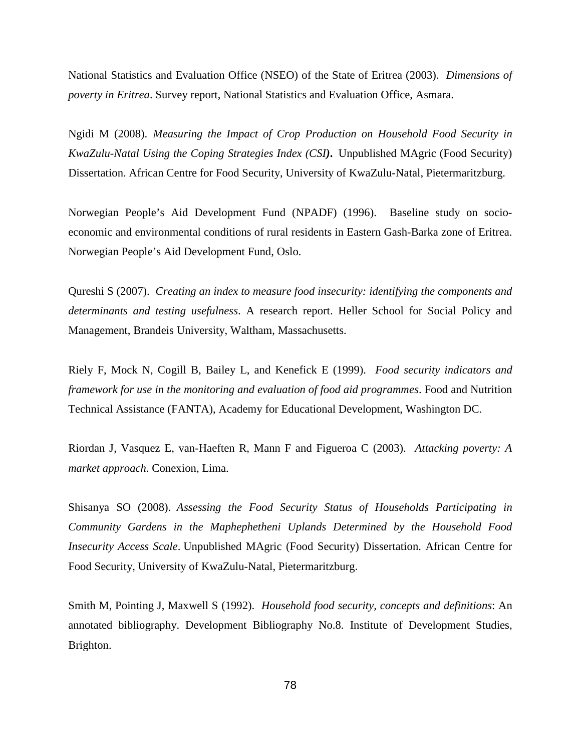National Statistics and Evaluation Office (NSEO) of the State of Eritrea (2003). *Dimensions of poverty in Eritrea*. Survey report, National Statistics and Evaluation Office, Asmara.

Ngidi M (2008). *Measuring the Impact of Crop Production on Household Food Security in KwaZulu-Natal Using the Coping Strategies Index (CSI)***.** Unpublished MAgric (Food Security) Dissertation. African Centre for Food Security, University of KwaZulu-Natal, Pietermaritzburg.

Norwegian People's Aid Development Fund (NPADF) (1996). Baseline study on socioeconomic and environmental conditions of rural residents in Eastern Gash-Barka zone of Eritrea. Norwegian People's Aid Development Fund, Oslo.

Qureshi S (2007). *Creating an index to measure food insecurity: identifying the components and determinants and testing usefulness*. A research report. Heller School for Social Policy and Management, Brandeis University, Waltham, Massachusetts.

Riely F, Mock N, Cogill B, Bailey L, and Kenefick E (1999). *Food security indicators and framework for use in the monitoring and evaluation of food aid programmes*. Food and Nutrition Technical Assistance (FANTA), Academy for Educational Development, Washington DC.

Riordan J, Vasquez E, van-Haeften R, Mann F and Figueroa C (2003). *Attacking poverty: A market approach.* Conexion, Lima.

Shisanya SO (2008). *Assessing the Food Security Status of Households Participating in Community Gardens in the Maphephetheni Uplands Determined by the Household Food Insecurity Access Scale*. Unpublished MAgric (Food Security) Dissertation. African Centre for Food Security, University of KwaZulu-Natal, Pietermaritzburg.

Smith M, Pointing J, Maxwell S (1992). *Household food security, concepts and definitions*: An annotated bibliography. Development Bibliography No.8. Institute of Development Studies, Brighton.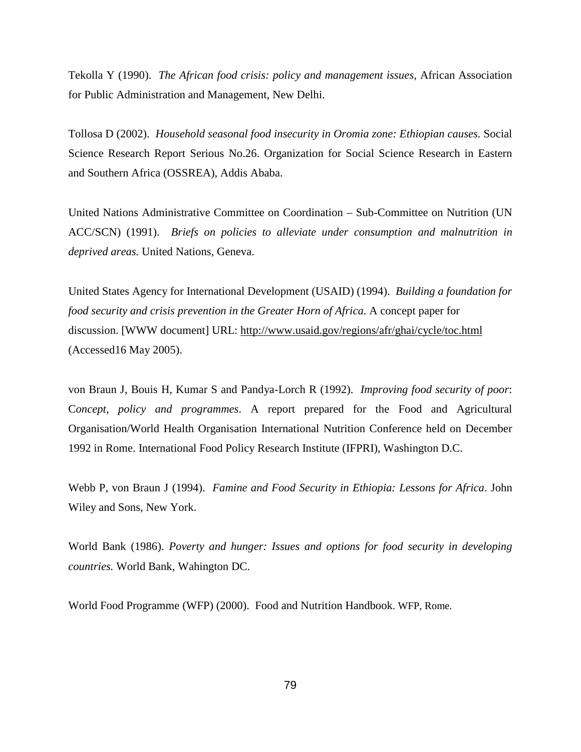Tekolla Y (1990). *The African food crisis: policy and management issues,* African Association for Public Administration and Management, New Delhi.

Tollosa D (2002). *Household seasonal food insecurity in Oromia zone: Ethiopian causes.* Social Science Research Report Serious No.26. Organization for Social Science Research in Eastern and Southern Africa (OSSREA), Addis Ababa.

United Nations Administrative Committee on Coordination – Sub-Committee on Nutrition (UN ACC/SCN) (1991). *Briefs on policies to alleviate under consumption and malnutrition in deprived areas.* United Nations, Geneva.

United States Agency for International Development (USAID) (1994). *Building a foundation for food security and crisis prevention in the Greater Horn of Africa*. A concept paper for discussion. [WWW document] URL: http://www.usaid.gov/regions/afr/ghai/cycle/toc.html (Accessed16 May 2005).

von Braun J, Bouis H, Kumar S and Pandya-Lorch R (1992). *Improving food security of poor*: C*oncept, policy and programmes*. A report prepared for the Food and Agricultural Organisation/World Health Organisation International Nutrition Conference held on December 1992 in Rome. International Food Policy Research Institute (IFPRI), Washington D.C.

Webb P, von Braun J (1994). *Famine and Food Security in Ethiopia: Lessons for Africa*. John Wiley and Sons, New York.

World Bank (1986). *Poverty and hunger: Issues and options for food security in developing countries.* World Bank, Wahington DC.

World Food Programme (WFP) (2000). Food and Nutrition Handbook. WFP, Rome.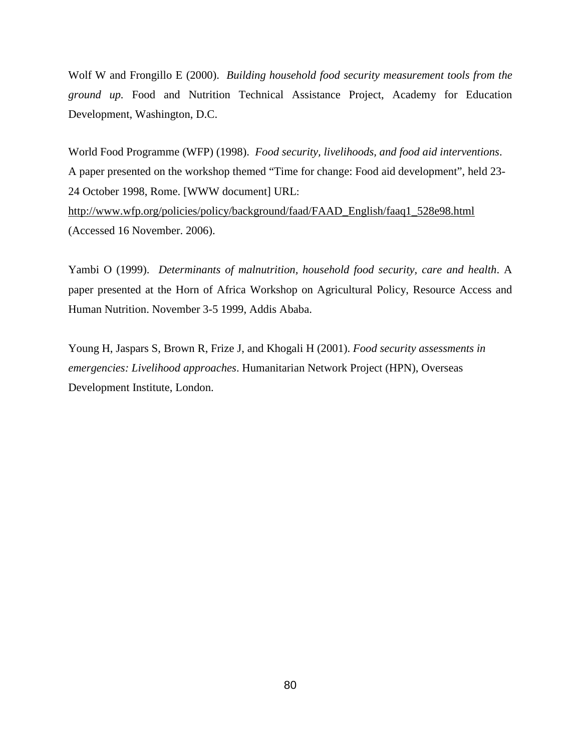Wolf W and Frongillo E (2000). *Building household food security measurement tools from the ground up.* Food and Nutrition Technical Assistance Project, Academy for Education Development, Washington, D.C.

World Food Programme (WFP) (1998). *Food security, livelihoods, and food aid interventions*. A paper presented on the workshop themed "Time for change: Food aid development", held 23- 24 October 1998, Rome. [WWW document] URL: http://www.wfp.org/policies/policy/background/faad/FAAD\_English/faaq1\_528e98.html (Accessed 16 November. 2006).

Yambi O (1999). *Determinants of malnutrition, household food security, care and health*. A paper presented at the Horn of Africa Workshop on Agricultural Policy, Resource Access and Human Nutrition. November 3-5 1999, Addis Ababa.

Young H, Jaspars S, Brown R, Frize J, and Khogali H (2001). *Food security assessments in emergencies: Livelihood approaches*. Humanitarian Network Project (HPN), Overseas Development Institute, London.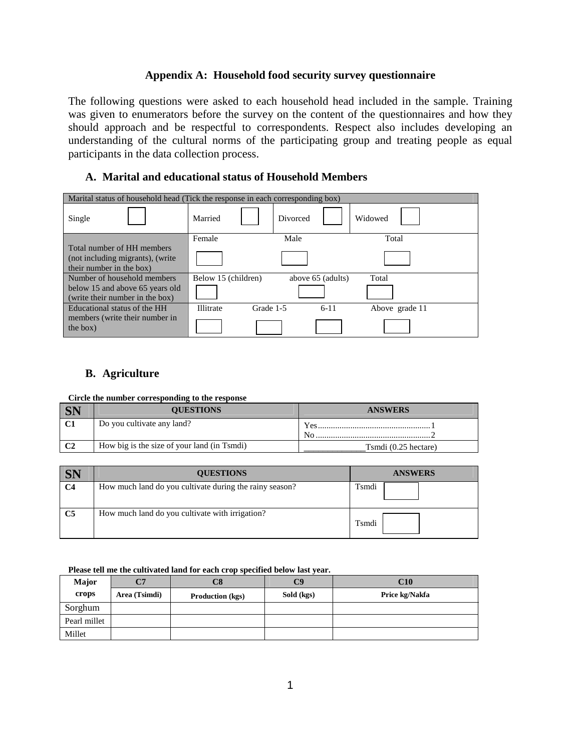### **Appendix A: Household food security survey questionnaire**

The following questions were asked to each household head included in the sample. Training was given to enumerators before the survey on the content of the questionnaires and how they should approach and be respectful to correspondents. Respect also includes developing an understanding of the cultural norms of the participating group and treating people as equal participants in the data collection process.

### **A. Marital and educational status of Household Members**

| Marital status of household head (Tick the response in each corresponding box)             |                               |                   |                |  |  |
|--------------------------------------------------------------------------------------------|-------------------------------|-------------------|----------------|--|--|
| Single                                                                                     | Married                       | Divorced          | Widowed        |  |  |
|                                                                                            | Female                        | Male              | Total          |  |  |
| Total number of HH members<br>(not including migrants), (write<br>their number in the box) |                               |                   |                |  |  |
| Number of household members                                                                | Below 15 (children)           | above 65 (adults) | Total          |  |  |
| below 15 and above 65 years old<br>(write their number in the box)                         |                               |                   |                |  |  |
| Educational status of the HH                                                               | <b>Illitrate</b><br>Grade 1-5 | $6-11$            | Above grade 11 |  |  |
| members (write their number in<br>the box)                                                 |                               |                   |                |  |  |

### **B. Agriculture**

### **Circle the number corresponding to the response**

| SN             | <b>OUESTIONS</b>                            | <b>ANSWERS</b>       |
|----------------|---------------------------------------------|----------------------|
| C1             | Do you cultivate any land?                  | Yes<br>Nο            |
| C <sub>2</sub> | How big is the size of your land (in Tsmdi) | Tsmdi (0.25 hectare) |

| <b>SN</b>      | <b>OUESTIONS</b>                                        | <b>ANSWERS</b> |  |  |
|----------------|---------------------------------------------------------|----------------|--|--|
| C <sub>4</sub> | How much land do you cultivate during the rainy season? | Tsmdi          |  |  |
| <b>C5</b>      | How much land do you cultivate with irrigation?         | Tsmdi          |  |  |

### **Please tell me the cultivated land for each crop specified below last year.**

| Major        | C7            | C8                      | C9         | $\bf C10$      |
|--------------|---------------|-------------------------|------------|----------------|
| crops        | Area (Tsimdi) | <b>Production (kgs)</b> | Sold (kgs) | Price kg/Nakfa |
| Sorghum      |               |                         |            |                |
| Pearl millet |               |                         |            |                |
| Millet       |               |                         |            |                |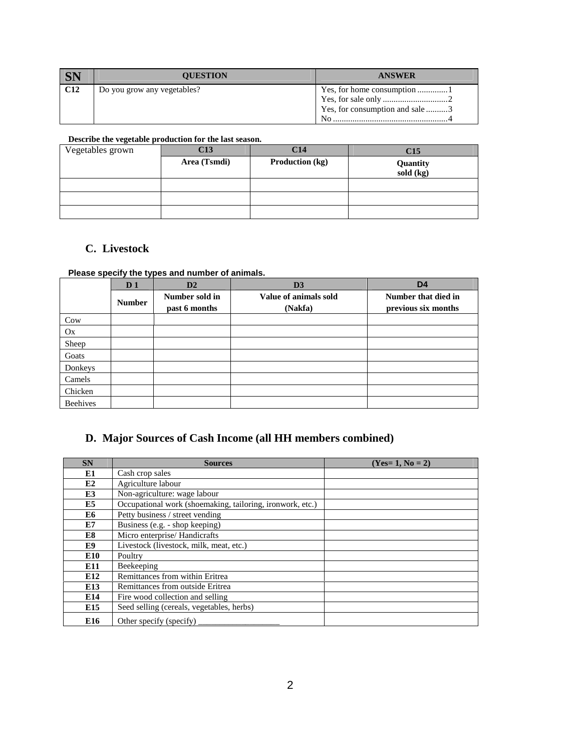|                 | <b>OUESTION</b>             | <b>ANSWER</b>                  |
|-----------------|-----------------------------|--------------------------------|
| C <sub>12</sub> | Do you grow any vegetables? | Yes, for consumption and sale3 |

### **Describe the vegetable production for the last season.**

| Vegetables grown | C13          | C14             | C15       |
|------------------|--------------|-----------------|-----------|
|                  | Area (Tsmdi) | Production (kg) | Quantity  |
|                  |              |                 | sold (kg) |
|                  |              |                 |           |
|                  |              |                 |           |
|                  |              |                 |           |

### **C. Livestock**

### **Please specify the types and number of animals.**

|                 | D <sub>1</sub> | D2                              | D3                               | D <sub>4</sub>                             |
|-----------------|----------------|---------------------------------|----------------------------------|--------------------------------------------|
|                 | <b>Number</b>  | Number sold in<br>past 6 months | Value of animals sold<br>(Nakfa) | Number that died in<br>previous six months |
| Cow             |                |                                 |                                  |                                            |
| Ox              |                |                                 |                                  |                                            |
| Sheep           |                |                                 |                                  |                                            |
| Goats           |                |                                 |                                  |                                            |
| Donkeys         |                |                                 |                                  |                                            |
| Camels          |                |                                 |                                  |                                            |
| Chicken         |                |                                 |                                  |                                            |
| <b>Beehives</b> |                |                                 |                                  |                                            |

### **D. Major Sources of Cash Income (all HH members combined)**

| <b>SN</b>       | <b>Sources</b>                                            | $(Yes=1, No=2)$ |
|-----------------|-----------------------------------------------------------|-----------------|
| E1              | Cash crop sales                                           |                 |
| E2              | Agriculture labour                                        |                 |
| E3              | Non-agriculture: wage labour                              |                 |
| E5              | Occupational work (shoemaking, tailoring, ironwork, etc.) |                 |
| E6              | Petty business / street vending                           |                 |
| E7              | Business (e.g. - shop keeping)                            |                 |
| E8              | Micro enterprise/ Handicrafts                             |                 |
| E9              | Livestock (livestock, milk, meat, etc.)                   |                 |
| E <sub>10</sub> | Poultry                                                   |                 |
| E11             | Beekeeping                                                |                 |
| E <sub>12</sub> | Remittances from within Eritrea                           |                 |
| E13             | Remittances from outside Eritrea                          |                 |
| E14             | Fire wood collection and selling                          |                 |
| E <sub>15</sub> | Seed selling (cereals, vegetables, herbs)                 |                 |
| E16             | Other specify (specify)                                   |                 |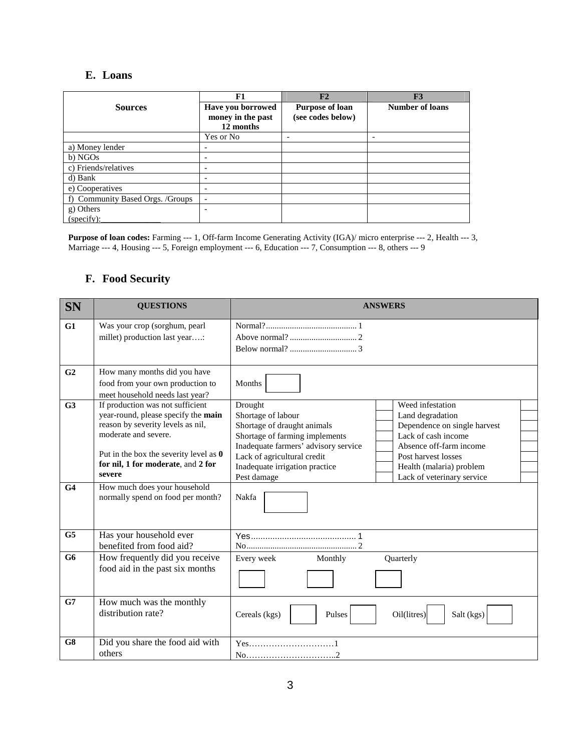### **E. Loans**

|                                  | F1                       | F2                     | F3              |
|----------------------------------|--------------------------|------------------------|-----------------|
| <b>Sources</b>                   | Have you borrowed        | <b>Purpose of loan</b> | Number of loans |
|                                  | money in the past        | (see codes below)      |                 |
|                                  | 12 months                |                        |                 |
|                                  | Yes or No                | ۰                      |                 |
| a) Money lender                  | $\overline{\phantom{0}}$ |                        |                 |
| b) NGOs                          | $\overline{\phantom{0}}$ |                        |                 |
| c) Friends/relatives             | $\overline{\phantom{0}}$ |                        |                 |
| d) Bank                          | $\overline{\phantom{0}}$ |                        |                 |
| e) Cooperatives                  | -                        |                        |                 |
| f) Community Based Orgs. /Groups | $\overline{\phantom{a}}$ |                        |                 |
| g) Others                        |                          |                        |                 |
| (specify):                       |                          |                        |                 |

**Purpose of loan codes:** Farming --- 1, Off-farm Income Generating Activity (IGA)/ micro enterprise --- 2, Health --- 3, Marriage --- 4, Housing --- 5, Foreign employment --- 6, Education --- 7, Consumption --- 8, others --- 9

### **F. Food Security**

| <b>SN</b>      | <b>QUESTIONS</b>                                                                                                                                                                                                                      | <b>ANSWERS</b>                                                                                                                                                                                                                                                                                                                                                                                                                    |  |  |  |
|----------------|---------------------------------------------------------------------------------------------------------------------------------------------------------------------------------------------------------------------------------------|-----------------------------------------------------------------------------------------------------------------------------------------------------------------------------------------------------------------------------------------------------------------------------------------------------------------------------------------------------------------------------------------------------------------------------------|--|--|--|
| G1             | Was your crop (sorghum, pearl<br>millet) production last year:                                                                                                                                                                        |                                                                                                                                                                                                                                                                                                                                                                                                                                   |  |  |  |
| G <sub>2</sub> | How many months did you have<br>food from your own production to<br>meet household needs last year?                                                                                                                                   | Months                                                                                                                                                                                                                                                                                                                                                                                                                            |  |  |  |
| G <sub>3</sub> | If production was not sufficient<br>year-round, please specify the main<br>reason by severity levels as nil,<br>moderate and severe.<br>Put in the box the severity level as $\theta$<br>for nil, 1 for moderate, and 2 for<br>severe | Drought<br>Weed infestation<br>Shortage of labour<br>Land degradation<br>Shortage of draught animals<br>Dependence on single harvest<br>Shortage of farming implements<br>Lack of cash income<br>Inadequate farmers' advisory service<br>Absence off-farm income<br>Lack of agricultural credit<br>Post harvest losses<br>Inadequate irrigation practice<br>Health (malaria) problem<br>Pest damage<br>Lack of veterinary service |  |  |  |
| G <sub>4</sub> | How much does your household<br>normally spend on food per month?                                                                                                                                                                     | Nakfa                                                                                                                                                                                                                                                                                                                                                                                                                             |  |  |  |
| G <sub>5</sub> | Has your household ever<br>benefited from food aid?                                                                                                                                                                                   |                                                                                                                                                                                                                                                                                                                                                                                                                                   |  |  |  |
| G6             | How frequently did you receive<br>food aid in the past six months                                                                                                                                                                     | Quarterly<br>Every week<br>Monthly                                                                                                                                                                                                                                                                                                                                                                                                |  |  |  |
| G7             | How much was the monthly<br>distribution rate?                                                                                                                                                                                        | Oil(litres)<br>Cereals (kgs)<br>Pulses<br>Salt (kgs)                                                                                                                                                                                                                                                                                                                                                                              |  |  |  |
| G8             | Did you share the food aid with<br>others                                                                                                                                                                                             |                                                                                                                                                                                                                                                                                                                                                                                                                                   |  |  |  |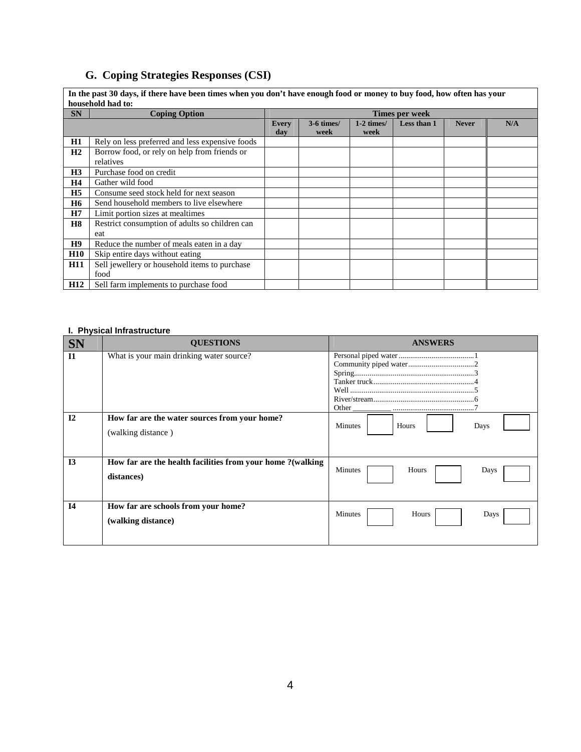## **G. Coping Strategies Responses (CSI)**

|                   | In the past 30 days, if there have been times when you don't have enough food or money to buy food, how often has your |                     |                      |                      |                |              |     |
|-------------------|------------------------------------------------------------------------------------------------------------------------|---------------------|----------------------|----------------------|----------------|--------------|-----|
| household had to: |                                                                                                                        |                     |                      |                      |                |              |     |
| <b>SN</b>         | <b>Coping Option</b>                                                                                                   |                     |                      |                      | Times per week |              |     |
|                   |                                                                                                                        | <b>Every</b><br>day | $3-6$ times/<br>week | $1-2$ times/<br>week | Less than 1    | <b>Never</b> | N/A |
| H1                | Rely on less preferred and less expensive foods                                                                        |                     |                      |                      |                |              |     |
| H <sub>2</sub>    | Borrow food, or rely on help from friends or                                                                           |                     |                      |                      |                |              |     |
|                   | relatives                                                                                                              |                     |                      |                      |                |              |     |
| H <sub>3</sub>    | Purchase food on credit                                                                                                |                     |                      |                      |                |              |     |
| <b>H4</b>         | Gather wild food                                                                                                       |                     |                      |                      |                |              |     |
| H <sub>5</sub>    | Consume seed stock held for next season                                                                                |                     |                      |                      |                |              |     |
| <b>H6</b>         | Send household members to live elsewhere                                                                               |                     |                      |                      |                |              |     |
| H7                | Limit portion sizes at mealtimes                                                                                       |                     |                      |                      |                |              |     |
| <b>H8</b>         | Restrict consumption of adults so children can                                                                         |                     |                      |                      |                |              |     |
|                   | eat                                                                                                                    |                     |                      |                      |                |              |     |
| H <sub>9</sub>    | Reduce the number of meals eaten in a day                                                                              |                     |                      |                      |                |              |     |
| <b>H10</b>        | Skip entire days without eating                                                                                        |                     |                      |                      |                |              |     |
| H <sub>11</sub>   | Sell jewellery or household items to purchase                                                                          |                     |                      |                      |                |              |     |
|                   | food                                                                                                                   |                     |                      |                      |                |              |     |
| H <sub>12</sub>   | Sell farm implements to purchase food                                                                                  |                     |                      |                      |                |              |     |

# **In the past 30 days, if there have been times when you don't have enough food or money to buy food, how often has you**

### **I. Physical Infrastructure**

| .<br><b>SN</b>     | <b>OUESTIONS</b>                                                                                                | <b>ANSWERS</b>           |
|--------------------|-----------------------------------------------------------------------------------------------------------------|--------------------------|
| $\mathbf{I}$<br>12 | What is your main drinking water source?<br>How far are the water sources from your home?<br>(walking distance) | Minutes<br>Hours<br>Days |
| I3                 | How far are the health facilities from your home ?(walking<br>distances)                                        | Minutes<br>Hours<br>Days |
| I <sub>4</sub>     | How far are schools from your home?<br>(walking distance)                                                       | Minutes<br>Hours<br>Days |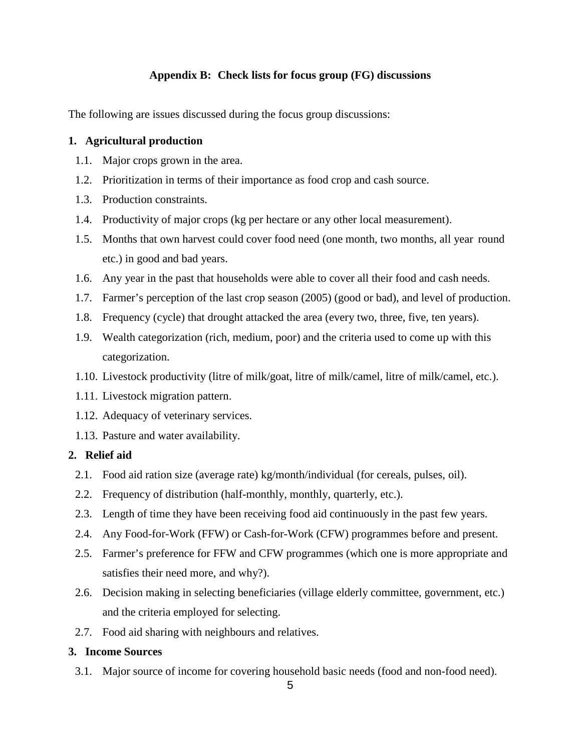### **Appendix B: Check lists for focus group (FG) discussions**

The following are issues discussed during the focus group discussions:

### **1. Agricultural production**

- 1.1. Major crops grown in the area.
- 1.2. Prioritization in terms of their importance as food crop and cash source.
- 1.3. Production constraints.
- 1.4. Productivity of major crops (kg per hectare or any other local measurement).
- 1.5. Months that own harvest could cover food need (one month, two months, all year round etc.) in good and bad years.
- 1.6. Any year in the past that households were able to cover all their food and cash needs.
- 1.7. Farmer's perception of the last crop season (2005) (good or bad), and level of production.
- 1.8. Frequency (cycle) that drought attacked the area (every two, three, five, ten years).
- 1.9. Wealth categorization (rich, medium, poor) and the criteria used to come up with this categorization.
- 1.10. Livestock productivity (litre of milk/goat, litre of milk/camel, litre of milk/camel, etc.).
- 1.11. Livestock migration pattern.
- 1.12. Adequacy of veterinary services.
- 1.13. Pasture and water availability.

### **2. Relief aid**

- 2.1. Food aid ration size (average rate) kg/month/individual (for cereals, pulses, oil).
- 2.2. Frequency of distribution (half-monthly, monthly, quarterly, etc.).
- 2.3. Length of time they have been receiving food aid continuously in the past few years.
- 2.4. Any Food-for-Work (FFW) or Cash-for-Work (CFW) programmes before and present.
- 2.5. Farmer's preference for FFW and CFW programmes (which one is more appropriate and satisfies their need more, and why?).
- 2.6. Decision making in selecting beneficiaries (village elderly committee, government, etc.) and the criteria employed for selecting.
- 2.7. Food aid sharing with neighbours and relatives.

### **3. Income Sources**

3.1. Major source of income for covering household basic needs (food and non-food need).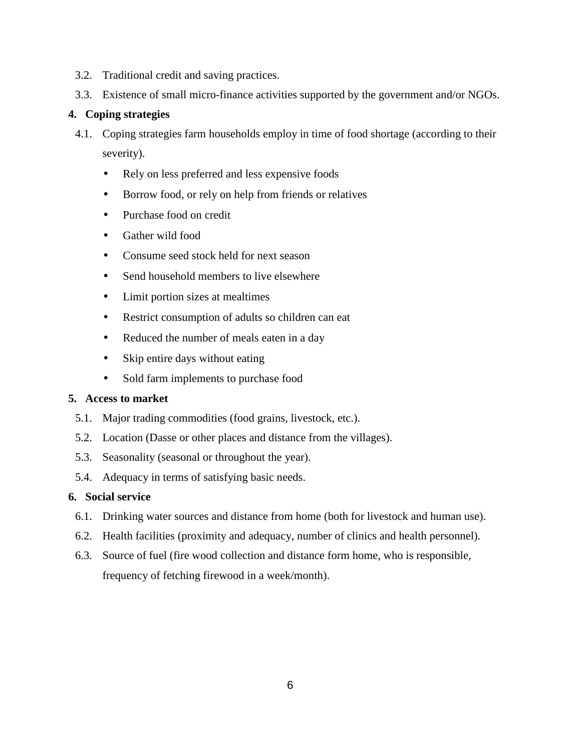- 3.2. Traditional credit and saving practices.
- 3.3. Existence of small micro-finance activities supported by the government and/or NGOs.

### **4. Coping strategies**

- 4.1. Coping strategies farm households employ in time of food shortage (according to their severity).
	- Rely on less preferred and less expensive foods
	- Borrow food, or rely on help from friends or relatives
	- Purchase food on credit
	- Gather wild food
	- Consume seed stock held for next season
	- Send household members to live elsewhere
	- Limit portion sizes at mealtimes
	- Restrict consumption of adults so children can eat
	- Reduced the number of meals eaten in a day
	- Skip entire days without eating
	- Sold farm implements to purchase food

### **5. Access to market**

- 5.1. Major trading commodities (food grains, livestock, etc.).
- 5.2. Location (Dasse or other places and distance from the villages).
- 5.3. Seasonality (seasonal or throughout the year).
- 5.4. Adequacy in terms of satisfying basic needs.

### **6. Social service**

- 6.1. Drinking water sources and distance from home (both for livestock and human use).
- 6.2. Health facilities (proximity and adequacy, number of clinics and health personnel).
- 6.3. Source of fuel (fire wood collection and distance form home, who is responsible, frequency of fetching firewood in a week/month).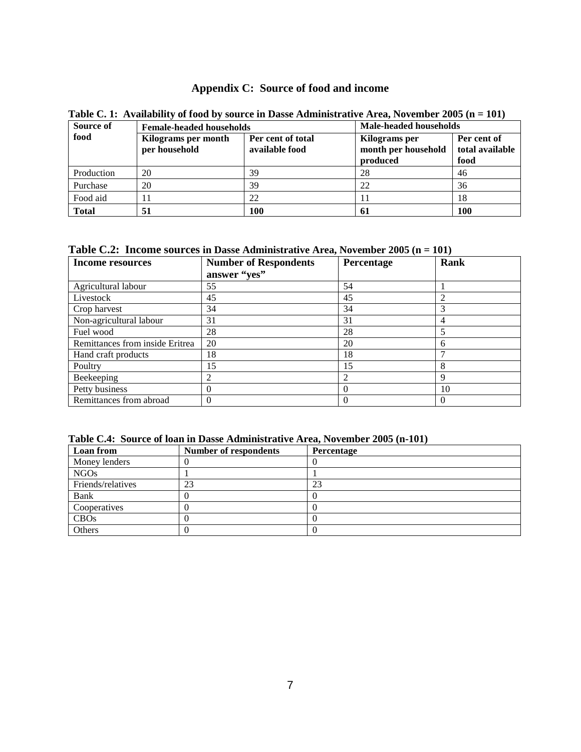### **Appendix C: Source of food and income**

| Source of    | <b>Female-headed households</b>      |                                     |                                                  | <b>Male-headed households</b>          |  |  |
|--------------|--------------------------------------|-------------------------------------|--------------------------------------------------|----------------------------------------|--|--|
| food         | Kilograms per month<br>per household | Per cent of total<br>available food | Kilograms per<br>month per household<br>produced | Per cent of<br>total available<br>food |  |  |
| Production   | 20                                   | 39                                  | 28                                               | 46                                     |  |  |
| Purchase     | 20                                   | 39                                  | 22                                               | 36                                     |  |  |
| Food aid     |                                      | 22                                  |                                                  | 18                                     |  |  |
| <b>Total</b> | 51                                   | 100                                 | -61                                              | 100                                    |  |  |

**Table C. 1: Availability of food by source in Dasse Administrative Area, November 2005 (n = 101)** 

**Table C.2: Income sources in Dasse Administrative Area, November 2005 (n = 101)**

| Income resources                | <b>Number of Respondents</b><br>answer "yes" | Percentage | Rank     |
|---------------------------------|----------------------------------------------|------------|----------|
| Agricultural labour             | 55                                           | 54         |          |
| Livestock                       | 45                                           | 45         |          |
| Crop harvest                    | 34                                           | 34         | 3        |
| Non-agricultural labour         | 31                                           | 31         | 4        |
| Fuel wood                       | 28                                           | 28         | 5        |
| Remittances from inside Eritrea | 20                                           | 20         | 6        |
| Hand craft products             | 18                                           | 18         |          |
| Poultry                         | 15                                           | 15         | 8        |
| Beekeeping                      |                                              |            | 9        |
| Petty business                  | $\Omega$                                     |            | 10       |
| Remittances from abroad         | $\Omega$                                     |            | $\Omega$ |

| Table C.4: Source of loan in Dasse Administrative Area, November 2005 (n-101) |  |  |  |  |  |  |  |  |  |
|-------------------------------------------------------------------------------|--|--|--|--|--|--|--|--|--|
|-------------------------------------------------------------------------------|--|--|--|--|--|--|--|--|--|

| Loan from         | <b>Number of respondents</b> | Percentage |
|-------------------|------------------------------|------------|
| Money lenders     |                              |            |
| <b>NGOs</b>       |                              |            |
| Friends/relatives | 23                           | 23         |
| Bank              |                              |            |
| Cooperatives      |                              |            |
| <b>CBOs</b>       |                              |            |
| Others            |                              |            |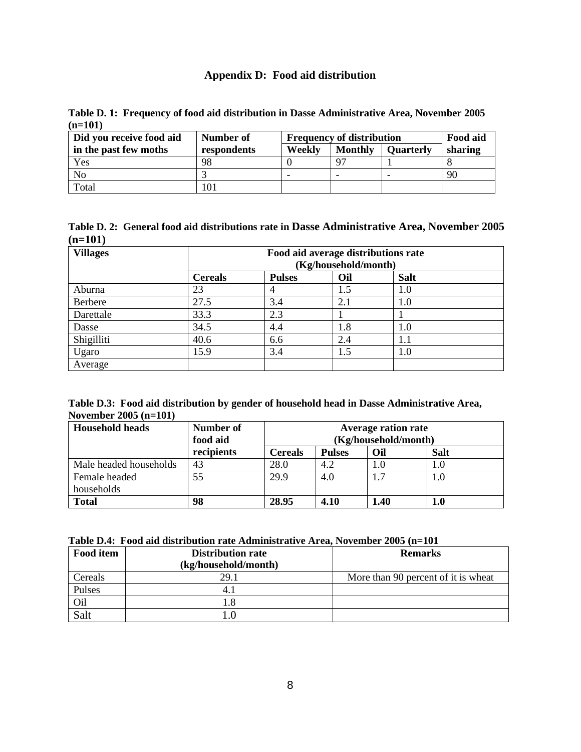### **Appendix D: Food aid distribution**

**Table D. 1: Frequency of food aid distribution in Dasse Administrative Area, November 2005 (n=101)** 

| Did you receive food aid | Number of   | <b>Frequency of distribution</b> |                |                  | Food aid |
|--------------------------|-------------|----------------------------------|----------------|------------------|----------|
| in the past few moths    | respondents | Weekly                           | <b>Monthly</b> | <b>Quarterly</b> | sharing  |
| Yes                      | 98          |                                  | $\mathbf{Q}$   |                  |          |
| No                       |             |                                  |                |                  | 90       |
| Total                    | 101         |                                  |                |                  |          |

**Table D. 2: General food aid distributions rate in Dasse Administrative Area, November 2005 (n=101)**

| <b>Villages</b> |                | Food aid average distributions rate<br>(Kg/household/month) |     |             |  |  |
|-----------------|----------------|-------------------------------------------------------------|-----|-------------|--|--|
|                 | <b>Cereals</b> | <b>Pulses</b>                                               | Oil | <b>Salt</b> |  |  |
| Aburna          | 23             |                                                             | 1.5 | 1.0         |  |  |
| Berbere         | 27.5           | 3.4                                                         | 2.1 | 1.0         |  |  |
| Darettale       | 33.3           | 2.3                                                         |     |             |  |  |
| Dasse           | 34.5           | 4.4                                                         | 1.8 | 1.0         |  |  |
| Shigilliti      | 40.6           | 6.6                                                         | 2.4 | 1.1         |  |  |
| Ugaro           | 15.9           | 3.4                                                         | 1.5 | 1.0         |  |  |
| Average         |                |                                                             |     |             |  |  |

| Table D.3: Food aid distribution by gender of household head in Dasse Administrative Area, |
|--------------------------------------------------------------------------------------------|
| November 2005 $(n=101)$                                                                    |

| <b>Household heads</b> | Number of<br>food aid | <b>Average ration rate</b><br>(Kg/household/month) |               |            |             |
|------------------------|-----------------------|----------------------------------------------------|---------------|------------|-------------|
|                        | recipients            | <b>Cereals</b>                                     | <b>Pulses</b> | Oil        | <b>Salt</b> |
| Male headed households | 43                    | 28.0                                               | 4.2           | 1.0        |             |
| Female headed          | 55                    | 29.9                                               | 4.0           | $\cdot$ .7 | $1.0\,$     |
| households             |                       |                                                    |               |            |             |
| <b>Total</b>           | 98                    | 28.95                                              | 4.10          | 1.40       | $1.0\,$     |

|--|

| <b>Food item</b> | <b>Distribution rate</b> | <b>Remarks</b>                      |
|------------------|--------------------------|-------------------------------------|
|                  | (kg/household/month)     |                                     |
| Cereals          | 29.1                     | More than 90 percent of it is wheat |
| Pulses           |                          |                                     |
| O <sub>il</sub>  |                          |                                     |
| Salt             |                          |                                     |